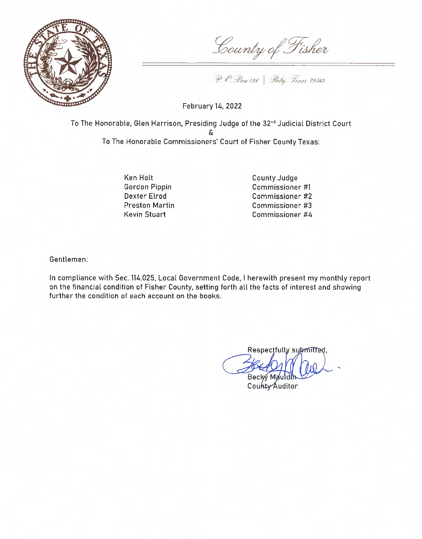

County of Fisher

P. C. Bex 126 Rely. Texas 19543

February 14, 2022

To The Honorable, Glen Harrison, Presiding Judge of the 32<sup>nd</sup> Judicial District Court To The Honorable Commissioners' Court of Fisher County Texas:

> Ken Holt Gordon Pippin Dexter Elrod **Preston Martin** Kevin Stuart

County Judge Commissioner #1 Commissioner #2 Commissioner #3 Commissioner #4

Gentlemen:

In compliance with Sec. 114.025, Local Government Code, I herewith present my monthly report on the financial condition of Fisher County, setting forth all the facts of interest and showing further the condition of each account on the books.

Respectfully submitted, Becky Mau

County Auditor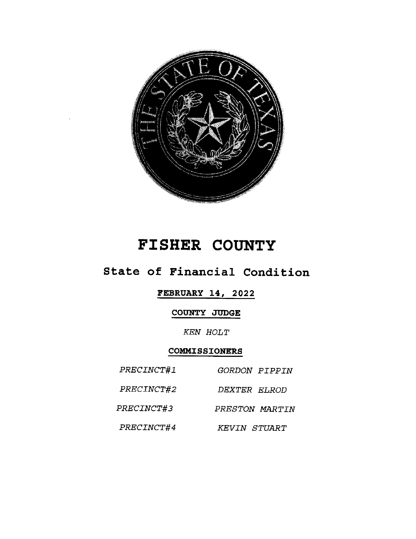

# FISHER COUNTY

## State of Financial Condition

## **FEBRUARY 14, 2022**

## COUNTY JUDGE

#### **KEN HOLT**

## COMMISSIONERS

| PRECINCT#1        | GORDON PIPPIN       |
|-------------------|---------------------|
| PRECINCT#2        | <i>DEXTER FLROD</i> |
| <i>PRECINCT#3</i> | PRESTON MARTIN      |
| PRECINCT#4        | KEVIN STUART        |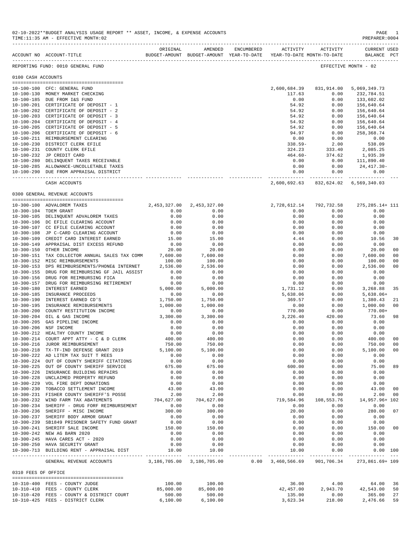|                     | ACCOUNT NO ACCOUNT-TITLE                                                                        | ORIGINAL                      | AMENDED<br>BUDGET-AMOUNT BUDGET-AMOUNT YEAR-TO-DATE | ENCUMBERED | ACTIVITY<br>YEAR-TO-DATE MONTH-TO-DATE | ACTIVITY                | CURRENT USED<br>BALANCE PCT             |                |
|---------------------|-------------------------------------------------------------------------------------------------|-------------------------------|-----------------------------------------------------|------------|----------------------------------------|-------------------------|-----------------------------------------|----------------|
|                     | REPORTING FUND: 0010 GENERAL FUND                                                               |                               |                                                     |            |                                        |                         | EFFECTIVE MONTH - 02                    |                |
| 0100 CASH ACCOUNTS  |                                                                                                 |                               |                                                     |            |                                        |                         |                                         |                |
|                     |                                                                                                 |                               |                                                     |            | 2,600,684.39                           | 831,914.00              | 5,069,349.73                            |                |
|                     | 10-100-100 CFC: GENERAL FUND<br>10-100-130 MONEY MARKET CHECKING                                |                               |                                                     |            | 117.63                                 | 0.00                    | 232,784.51                              |                |
|                     | 10-100-185 DUE FROM I&S FUND                                                                    |                               |                                                     |            | 0.00                                   | 0.00                    | 133,602.02                              |                |
|                     | 10-100-201 CERTIFICATE OF DEPOSIT - 1                                                           |                               |                                                     |            | 54.92                                  | 0.00                    | 156,640.64                              |                |
|                     | 10-100-202 CERTIFICATE OF DEPOSIT - 2                                                           |                               |                                                     |            | 54.92                                  | 0.00                    | 156,640.64                              |                |
|                     | 10-100-203 CERTIFICATE OF DEPOSIT - 3                                                           |                               |                                                     |            | 54.92                                  | 0.00                    | 156,640.64                              |                |
|                     | 10-100-204 CERTIFICATE OF DEPOSIT - 4                                                           |                               |                                                     |            | 54.92                                  | 0.00                    | 156,640.64                              |                |
|                     | 10-100-205 CERTIFICATE OF DEPOSIT - 5                                                           |                               |                                                     |            | 54.92                                  | 0.00                    | 156,640.64                              |                |
|                     | 10-100-206 CERTIFICATE OF DEPOSIT - 6                                                           |                               |                                                     |            | 94.97                                  | 0.00                    | 258,368.74                              |                |
|                     | 10-100-211 REIMBURSEMENT CLEARING                                                               |                               |                                                     |            | 0.00                                   | 0.00                    | 0.00                                    |                |
|                     | 10-100-230 DISTRICT CLERK EFILE                                                                 |                               |                                                     |            | $338.59 -$                             | 2.00                    | 538.09                                  |                |
|                     | 10-100-231 COUNTY CLERK EFILE                                                                   |                               |                                                     |            | 324.23                                 | 333.40                  | 2,085.25                                |                |
|                     | 10-100-232 JP CREDIT CARD                                                                       |                               |                                                     |            | $464.60 -$                             | 374.62                  | 1,935.39                                |                |
|                     | 10-100-280 DELINQUENT TAXES RECEIVABLE                                                          |                               |                                                     |            | 0.00                                   |                         | 0.00 111,890.40                         |                |
|                     | 10-100-285 ALLOWANCE-UNCOLLETABLE TAXES                                                         |                               |                                                     |            | 0.00                                   | 0.00                    | $24,417.30-$                            |                |
|                     | 10-100-290 DUE FROM APPRAISAL DISTRICT                                                          |                               |                                                     |            | 0.00<br>-------------                  | 0.00                    | 0.00<br>------------------------------- |                |
|                     | CASH ACCOUNTS                                                                                   |                               |                                                     |            | 2,600,692.63                           |                         | 832,624.02 6,569,340.03                 |                |
|                     | 0300 GENERAL REVENUE ACCOUNTS                                                                   |                               |                                                     |            |                                        |                         |                                         |                |
|                     | 10-300-100 ADVALOREM TAXES                                                                      | 2, 453, 327.00 2, 453, 327.00 |                                                     |            |                                        | 2,728,612.14 792,732.58 | 275, 285. 14+ 111                       |                |
|                     | 10-300-104 TDEM GRANT                                                                           | 0.00                          | 0.00                                                |            | 0.00                                   | 0.00                    | 0.00                                    |                |
|                     | 10-300-105 DELINQUENT ADVALOREM TAXES                                                           | 0.00                          | 0.00                                                |            | 0.00                                   | 0.00                    | 0.00                                    |                |
|                     | 10-300-106 DC EFILE CLEARING ACCOUNT                                                            | 0.00                          | 0.00                                                |            | 0.00                                   | 0.00                    | 0.00                                    |                |
|                     | 10-300-107 CC EFILE CLEARING ACCOUNT                                                            | 0.00                          | 0.00                                                |            | 0.00                                   | 0.00                    | 0.00                                    |                |
|                     | 10-300-108 JP C-CARD CLEARING ACCOUNT                                                           | 0.00                          | 0.00                                                |            | 0.00                                   | 0.00                    | 0.00                                    |                |
|                     | 10-300-109 CREDIT CARD INTEREST EARNED                                                          | 15.00                         | 15.00                                               |            | 4.44                                   | 0.00                    | 10.56                                   | 30             |
|                     | 10-300-149 APPRAISAL DIST EXCESS REFUND                                                         | 0.00                          | 0.00                                                |            | 0.00                                   | 0.00                    | 0.00                                    |                |
|                     | 10-300-150 OTHER INCOME                                                                         | 20.00                         | 20.00                                               |            | 0.00                                   | 0.00                    | 20.00                                   | 0 <sub>0</sub> |
|                     | 10-300-151 TAX COLLECTOR ANNUAL SALES TAX COMM                                                  | 7,600.00                      | 7,600.00                                            |            | 0.00                                   | 0.00                    | 7,600.00                                | 0 <sub>0</sub> |
|                     | 10-300-152 MISC REIMBURSEMENTS                                                                  | 100.00                        | 100.00                                              |            | 0.00                                   | 0.00                    | 100.00                                  | 0 <sub>0</sub> |
|                     | 10-300-153 DPS REIMBURSEMENTS/PHONE& INTERNET                                                   | 2,536.00                      | 2,536.00                                            |            | 0.00                                   | 0.00                    | 2,536.00                                | 0 <sub>0</sub> |
|                     | 10-300-155 DRUG FOR REIMBURSING GF JAIL ASSIST                                                  | 0.00                          | 0.00                                                |            | 0.00                                   | 0.00                    | 0.00                                    |                |
|                     | 10-300-156 DRUG FOR REIMBURSING FICA                                                            | 0.00                          | 0.00                                                |            | 0.00                                   | 0.00                    | 0.00                                    |                |
|                     | 10-300-157 DRUG FOR REIMBURSING RETIREMENT                                                      | 0.00                          | 0.00                                                |            | 0.00                                   | 0.00                    | 0.00                                    |                |
|                     | 10-300-180 INTEREST EARNED                                                                      | 5,000.00                      | 5,000.00                                            |            | 1,731.12                               | 0.00                    | 3,268.88                                | 35             |
|                     | 10-300-185 INSURANCE PROCEEDS                                                                   | 0.00                          | 0.00                                                |            | 5,638.06                               | 0.00                    | $5,638.06+$                             |                |
|                     | 10-300-190 INTEREST EARNED CD'S                                                                 | 1,750.00                      | 1,750.00                                            |            | 369.57                                 | 0.00                    | 1,380.43                                | 21             |
|                     | 10-300-195 INSURANCE REMIBURSEMENTS                                                             | 1,000.00                      | 1,000.00                                            |            | 0.00                                   | 0.00                    | 1,000.00                                | 0 <sub>0</sub> |
|                     | 10-300-200 COUNTY RESTITUTION INCOME                                                            | 0.00                          | 0.00                                                |            | 770.00                                 | 0.00                    | $770.00+$                               |                |
|                     | 10-300-204 OIL & GAS INCOME                                                                     | 3,300.00                      | 3,300.00                                            |            | 3,226.40                               | 420.00                  | 73.60                                   | 98             |
|                     | 10-300-205 GAS PIPELINE INCOME                                                                  | 0.00                          | 0.00                                                |            | 0.00                                   | 0.00                    | 0.00                                    |                |
|                     | 10-300-206 NSF INCOME<br>10-300-212 HEALTHY COUNTY INCOME                                       | 0.00                          | 0.00                                                |            | 0.00<br>0.00                           | 0.00<br>0.00            | 0.00                                    |                |
|                     | 10-300-214 COURT APPT ATTY - C & D CLERK                                                        | 0.00<br>400.00                | 0.00<br>400.00                                      |            | 0.00                                   | 0.00                    | 0.00<br>400.00                          | 0 <sub>0</sub> |
|                     | 10-300-216 JUROR REIMBURSEMENT                                                                  | 750.00                        | 750.00                                              |            | 0.00                                   | 0.00                    | 750.00                                  | 0 <sub>0</sub> |
|                     | 10-300-218 TX-TF-IND DEFENSE GRANT 2019                                                         | 5,100.00                      | 5,100.00                                            |            | 0.00                                   | 0.00                    | 5.100.00                                | 0 <sub>0</sub> |
|                     | 10-300-222 AD LITEM TAX SUIT T REES                                                             | 0.00                          | 0.00                                                |            | 0.00                                   | 0.00                    | 0.00                                    |                |
|                     | 10-300-224 OUT OF COUNTY SHERIFF CITATIONS                                                      | 0.00                          | 0.00                                                |            | 0.00                                   | 0.00                    | 0.00                                    |                |
|                     | 10-300-225 OUT OF COUNTY SHERIFF SERVICE                                                        | 675.00                        | 675.00                                              |            | 600.00                                 | 0.00                    | 75.00                                   | -89            |
|                     | 10-300-226 INSURANCE BUILDING REPAIRS                                                           | 0.00                          | 0.00                                                |            | 0.00                                   | 0.00                    | 0.00                                    |                |
|                     | 10-300-228 UNCLAIMED PROPERTY REFUND                                                            | 0.00                          | 0.00                                                |            | 0.00                                   | 0.00                    | 0.00                                    |                |
|                     | 10-300-229 VOL FIRE DEPT DONATIONS                                                              | 0.00                          | 0.00                                                |            | 0.00                                   | 0.00                    | 0.00                                    |                |
|                     | 10-300-230 TOBACCO SETTLEMENT INCOME                                                            | 43.00                         | 43.00                                               |            | 0.00                                   | 0.00                    | 43.00                                   | 0 <sub>0</sub> |
|                     | 10-300-231 FISHER COUNTY SHERIFF'S POSSE                                                        | 2.00                          | 2.00                                                |            | 0.00                                   | 0.00                    | 2.00                                    | 0 <sub>0</sub> |
|                     | 10-300-232 WIND FARM TAX ABATEMENTS                                                             | 704,627.00                    | 704,627.00                                          |            | 719,584.96                             | 108,553.76              | 14,957.96+ 102                          |                |
|                     | 10-300-234 SHERIFF - DRUG FORF REIMBURSEMENT                                                    | 0.00                          | 0.00                                                |            | 0.00                                   | 0.00                    | 0.00                                    |                |
|                     | 10-300-236 SHERIFF - MISC INCOME                                                                | 300.00                        | 300.00                                              |            | 20.00                                  | 0.00                    | 280.00                                  | 07             |
|                     | 10-300-237 SHERIFF BODY ARMOR GRANT                                                             | 0.00                          | 0.00                                                |            | 0.00                                   | 0.00                    | 0.00                                    |                |
|                     | 10-300-239 SB1849 PRISONER SAFETY FUND GRANT                                                    | 0.00                          | 0.00                                                |            | 0.00                                   | 0.00                    | 0.00                                    |                |
|                     | 10-300-241 SHERIFF SALE INCOME                                                                  | 150.00                        | 150.00                                              |            | 0.00                                   | 0.00                    | 150.00                                  | 00             |
|                     | 10-300-242 NEW AG BARN 2020                                                                     | 0.00                          | 0.00                                                |            | 0.00                                   | 0.00                    | 0.00                                    |                |
|                     | 10-300-245 HAVA CARES ACT - 2020                                                                | 0.00                          | 0.00                                                |            | 0.00                                   | 0.00                    | 0.00                                    |                |
|                     | 10-300-250 HAVA SECURITY GRANT                                                                  | 0.00                          | 0.00                                                |            | 0.00                                   | 0.00                    | 0.00                                    |                |
|                     | $10-300-713$ BUILDING RENT - APPRAISAL DIST $10.00$                                             |                               | 10.00                                               |            | 10.00                                  | 0.00                    | $0.00$ 100                              |                |
|                     | GENERAL REVENUE ACCOUNTS 3,186,705.00 3,186,705.00 0.00 3,460,566.69 901,706.34 273,861.69+ 109 |                               |                                                     |            |                                        |                         |                                         |                |
| 0310 FEES OF OFFICE |                                                                                                 |                               |                                                     |            |                                        |                         |                                         |                |
|                     |                                                                                                 |                               |                                                     |            |                                        |                         |                                         |                |
|                     | 10-310-400 FEES - COUNTY JUDGE                                                                  | 100.00                        | 100.00                                              |            | 36.00                                  | 4.00                    | 64.00                                   | 36             |
|                     | 10-310-410 FEES - COUNTY CLERK                                                                  | 85,000.00                     | 85,000.00                                           |            | 42,457.00                              | 2,943.70                | 42,543.00                               | 50<br>27       |
|                     | 10-310-420 FEES - COUNTY & DISTRICT COURT<br>10-310-425 FEES - DISTRICT CLERK                   | 500.00<br>6,100.00            | 500.00<br>6,100.00                                  |            | 135.00<br>3,623.34                     | 0.00<br>218.00          | 365.00<br>2,476.66                      | 59             |
|                     |                                                                                                 |                               |                                                     |            |                                        |                         |                                         |                |

TIME:11:35 AM - EFFECTIVE MONTH:02 -------------------------------------------------------------------------------------------------------------------------------------------

02-10-2022\*\*BUDGET ANALYSIS USAGE REPORT \*\* ASSET, INCOME, & EXPENSE ACCOUNTS PAGE 1<br>TIME:11:35 AM - EFFECTIVE MONTH:02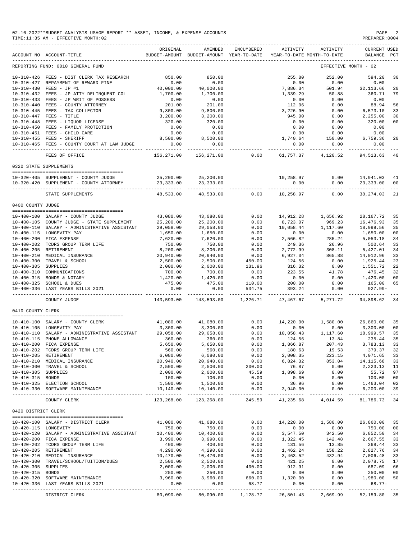|                      | 02-10-2022**BUDGET ANALYSIS USAGE REPORT ** ASSET, INCOME, & EXPENSE ACCOUNTS<br>TIME:11:35 AM - EFFECTIVE MONTH:02 |                             |                                                     |                          |                                        |                                             | PAGE<br>PREPARER: 0004                                                                                                                | 2                                                                                                                                                                                                                                                                                                                                                                                                  |
|----------------------|---------------------------------------------------------------------------------------------------------------------|-----------------------------|-----------------------------------------------------|--------------------------|----------------------------------------|---------------------------------------------|---------------------------------------------------------------------------------------------------------------------------------------|----------------------------------------------------------------------------------------------------------------------------------------------------------------------------------------------------------------------------------------------------------------------------------------------------------------------------------------------------------------------------------------------------|
|                      | ACCOUNT NO ACCOUNT-TITLE                                                                                            | ORIGINAL                    | AMENDED<br>BUDGET-AMOUNT BUDGET-AMOUNT YEAR-TO-DATE | ENCUMBERED               | ACTIVITY<br>YEAR-TO-DATE MONTH-TO-DATE | ACTIVITY<br>_______________________________ | <b>CURRENT USED</b><br>BALANCE PCT                                                                                                    |                                                                                                                                                                                                                                                                                                                                                                                                    |
|                      | REPORTING FUND: 0010 GENERAL FUND                                                                                   |                             |                                                     |                          |                                        |                                             | EFFECTIVE MONTH - 02                                                                                                                  |                                                                                                                                                                                                                                                                                                                                                                                                    |
|                      | 10-310-426 FEES - DIST CLERK TAX RESEARCH<br>10-310-427 REPAYMENT OF REWARD FINE<br>10-310-430 FEES - JP #1         | 850.00<br>0.00<br>40,000.00 | 850.00<br>0.00<br>40,000.00                         |                          | 255.80<br>0.00<br>7,886.34             | 252.00<br>0.00<br>501.94                    | 594.20<br>0.00<br>32, 113.66                                                                                                          | 30<br>20                                                                                                                                                                                                                                                                                                                                                                                           |
|                      | 10-310-432 FEES - JP ATTY DELINQUENT COL                                                                            | 1,700.00                    | 1,700.00                                            |                          | 1,339.29                               | 50.88                                       | 360.71                                                                                                                                | 79                                                                                                                                                                                                                                                                                                                                                                                                 |
|                      | 10-310-433 FEES - JP WRIT OF POSSESS<br>10-310-440 FEES - COUNTY ATTORNEY                                           | 0.00<br>201.00              | 0.00<br>201.00                                      |                          | 0.00<br>112.06                         | 0.00<br>0.00                                | 0.00<br>88.94                                                                                                                         | 56                                                                                                                                                                                                                                                                                                                                                                                                 |
|                      | 10-310-445 FEES - TAX COLLECTOR                                                                                     | 9,800.00                    | 9,800.00                                            |                          | 3,226.90                               | 0.00                                        | 6,573.10                                                                                                                              | 33                                                                                                                                                                                                                                                                                                                                                                                                 |
|                      | 10-310-447 FEES - TITLE                                                                                             | 3,200.00                    | 3,200.00                                            |                          | 945.00                                 | 0.00                                        | 2,255.00                                                                                                                              | 30                                                                                                                                                                                                                                                                                                                                                                                                 |
|                      | 10-310-448 FEES - LIQUOR LICENSE                                                                                    | 320.00                      | 320.00                                              |                          | 0.00                                   | 0.00                                        | 320.00                                                                                                                                | 00                                                                                                                                                                                                                                                                                                                                                                                                 |
|                      | 10-310-450 FEES - FAMILY PROTECTION<br>10-310-451 FEES - CHILD CARE                                                 | 0.00<br>0.00                | 0.00<br>0.00                                        |                          | 0.00<br>0.00                           | 0.00<br>0.00                                | 0.00<br>0.00                                                                                                                          |                                                                                                                                                                                                                                                                                                                                                                                                    |
|                      | 10-310-455 FEES - SHERIFF                                                                                           | 8,500.00                    | 8,500.00                                            |                          | 1,740.64                               | 150.00                                      | 6,759.36                                                                                                                              | 20                                                                                                                                                                                                                                                                                                                                                                                                 |
|                      | 10-310-465 FEES - COUNTY COURT AT LAW JUDGE                                                                         | 0.00                        | 0.00                                                |                          | 0.00                                   | 0.00                                        | 0.00                                                                                                                                  |                                                                                                                                                                                                                                                                                                                                                                                                    |
|                      | FEES OF OFFICE                                                                                                      | .<br>156,271.00             | 156,271.00                                          | 0.00                     | -------<br>61,757.37                   | ---------<br>4,120.52                       | --------<br>94, 513.63                                                                                                                | 40                                                                                                                                                                                                                                                                                                                                                                                                 |
|                      | 0320 STATE SUPPLEMENTS                                                                                              |                             |                                                     |                          |                                        |                                             |                                                                                                                                       |                                                                                                                                                                                                                                                                                                                                                                                                    |
|                      | 10-320-405 SUPPLEMENT - COUNTY JUDGE                                                                                | 25,200.00                   | 25,200.00                                           |                          | 10,258.97                              | 0.00                                        | 14,941.03                                                                                                                             | 41                                                                                                                                                                                                                                                                                                                                                                                                 |
|                      | 10-320-420 SUPPLEMENT - COUNTY ATTORNEY                                                                             | 23, 333.00                  | 23, 333.00                                          |                          | 0.00                                   | 0.00                                        | 23, 333.00                                                                                                                            | 00                                                                                                                                                                                                                                                                                                                                                                                                 |
|                      | STATE SUPPLEMENTS                                                                                                   | ---------<br>48,533.00      | -----------<br>48,533.00                            | 0.00                     | 10,258.97                              | ------------<br>0.00                        | -----------<br>38, 274, 03                                                                                                            | $\frac{1}{2} \frac{1}{2} \frac{1}{2} \frac{1}{2} \frac{1}{2} \frac{1}{2} \frac{1}{2} \frac{1}{2} \frac{1}{2} \frac{1}{2} \frac{1}{2} \frac{1}{2} \frac{1}{2} \frac{1}{2} \frac{1}{2} \frac{1}{2} \frac{1}{2} \frac{1}{2} \frac{1}{2} \frac{1}{2} \frac{1}{2} \frac{1}{2} \frac{1}{2} \frac{1}{2} \frac{1}{2} \frac{1}{2} \frac{1}{2} \frac{1}{2} \frac{1}{2} \frac{1}{2} \frac{1}{2} \frac{$<br>21 |
| 0400 COUNTY JUDGE    |                                                                                                                     |                             |                                                     |                          |                                        |                                             |                                                                                                                                       |                                                                                                                                                                                                                                                                                                                                                                                                    |
|                      |                                                                                                                     |                             |                                                     |                          |                                        |                                             |                                                                                                                                       |                                                                                                                                                                                                                                                                                                                                                                                                    |
|                      | 10-400-100 SALARY - COUNTY JUDGE<br>10-400-105 COUNTY JUDGE - STATE SUPPLEMENT                                      | 43,080.00<br>25,200.00      | 43,080.00<br>25,200.00                              | 0.00<br>0.00             | 14,912.28<br>8,723.07                  | 1,656.92<br>969.23                          | 28, 167. 72<br>16,476.93                                                                                                              | 35<br>35                                                                                                                                                                                                                                                                                                                                                                                           |
|                      | 10-400-110 SALARY - ADMINISTRATIVE ASSISTANT                                                                        | 29,058.00                   | 29,058.00                                           | 0.00                     | 10,058.44                              | 1,117.60                                    | 18,999.56                                                                                                                             | 35                                                                                                                                                                                                                                                                                                                                                                                                 |
|                      | 10-400-115 LONGEVITY PAY                                                                                            | 1,650.00                    | 1,650.00                                            | 0.00                     | 0.00                                   | 0.00                                        | 1,650.00                                                                                                                              | 00                                                                                                                                                                                                                                                                                                                                                                                                 |
|                      | 10-400-200 FICA EXPENSE                                                                                             | 7,620.00                    | 7,620.00                                            | 0.00                     | 2,566.82                               | 285.24                                      | 5,053.18                                                                                                                              | 34                                                                                                                                                                                                                                                                                                                                                                                                 |
|                      | 10-400-202 TCDRS GROUP TERM LIFE<br>10-400-205 RETIREMENT                                                           | 750.00<br>8,200.00          | 750.00<br>8,200.00                                  | 0.00<br>0.00             | 249.36<br>2,772.99                     | 26.96<br>308.11                             | 500.64<br>5,427.01                                                                                                                    | 33<br>34                                                                                                                                                                                                                                                                                                                                                                                           |
|                      | 10-400-210 MEDICAL INSURANCE                                                                                        | 20,940.00                   | 20,940.00                                           | 0.00                     | 6,927.04                               | 865.88                                      | 14,012.96                                                                                                                             | 33                                                                                                                                                                                                                                                                                                                                                                                                 |
|                      | 10-400-300 TRAVEL & SCHOOL                                                                                          | 2,500.00                    | 2,500.00                                            | 450.00                   | 124.56                                 | 0.00                                        | 1,925.44                                                                                                                              | 23                                                                                                                                                                                                                                                                                                                                                                                                 |
| 10-400-305 SUPPLIES  | 10-400-310 COMMUNICATIONS                                                                                           | 2,000.00<br>700.00          | 2,000.00<br>700.00                                  | 131.96<br>0.00           | 316.32<br>223.55                       | 0.00<br>41.78                               | 1,551.72<br>476.45                                                                                                                    | 22<br>32                                                                                                                                                                                                                                                                                                                                                                                           |
|                      | 10-400-315 BONDS & NOTARY                                                                                           | 1,420.00                    | 1,420.00                                            | 0.00                     | 0.00                                   | 0.00                                        | 1,420.00                                                                                                                              | 00                                                                                                                                                                                                                                                                                                                                                                                                 |
|                      | 10-400-325 SCHOOL & DUES                                                                                            | 475.00                      | 475.00                                              | 110.00                   | 200.00                                 | 0.00                                        | 165.00                                                                                                                                | 65                                                                                                                                                                                                                                                                                                                                                                                                 |
|                      | 10-400-336 LAST YEARS BILLS 2021                                                                                    | 0.00<br>------------        | 0.00                                                | 534.75<br>----------     | 393.24                                 | 0.00<br>------------ -------------          | $927.99 -$<br>----------                                                                                                              |                                                                                                                                                                                                                                                                                                                                                                                                    |
|                      | COUNTY JUDGE                                                                                                        | 143,593.00                  | 143,593.00                                          | 1,226.71                 | 47,467.67                              | 5,271.72                                    | 94,898.62                                                                                                                             | 34                                                                                                                                                                                                                                                                                                                                                                                                 |
| 0410 COUNTY CLERK    |                                                                                                                     |                             |                                                     |                          |                                        |                                             |                                                                                                                                       |                                                                                                                                                                                                                                                                                                                                                                                                    |
|                      | 10-410-100 SALARY - COUNTY CLERK                                                                                    | 41,080.00                   | 41,080.00                                           | 0.00                     | 14,220.00                              | 1,580.00                                    | 26,860.00                                                                                                                             | 35                                                                                                                                                                                                                                                                                                                                                                                                 |
|                      | 10-410-105 LONGEVITY PAY                                                                                            | 3,300.00                    | 3,300.00                                            | 0.00                     | 0.00                                   | 0.00                                        | 3,300.00                                                                                                                              | 00                                                                                                                                                                                                                                                                                                                                                                                                 |
|                      | $10-410-110$ SALARY - ADMINISTRATIVE ASSISTANT<br>10-410-115 PHONE ALLOWANCE<br>10-410-200 FICA EXPENSE             | 29,058.00<br>360.00         | 29,058.00<br>360.00                                 | 0.00<br>0.00             | 10,058.43<br>124.56                    | 1,117.60<br>13.84                           | 18,999.57<br>235.44                                                                                                                   | 35                                                                                                                                                                                                                                                                                                                                                                                                 |
|                      | 10-410-200 FICA EXPENSE                                                                                             | 5,650.00                    | 5,650.00                                            | 0.00                     | 1,866.87                               |                                             |                                                                                                                                       | 35                                                                                                                                                                                                                                                                                                                                                                                                 |
|                      | 10-410-202 TCDRS GROUP TERM LIFE                                                                                    | 560.00                      | 560.00                                              | 0.00                     | 180.63                                 |                                             | $207.43$ $3.783.13$ $33$<br>$19.53$ $379.37$ $32$<br>$223.15$ $4.071.65$ $33$<br>$853.04$ $14.115.68$ $33$<br>$0.00$ $2.315.68$ $3.3$ |                                                                                                                                                                                                                                                                                                                                                                                                    |
|                      | 10-410-205 RETIREMENT                                                                                               | 6,080.00                    | 6,080.00                                            | 0.00                     | 2,008.35                               |                                             |                                                                                                                                       |                                                                                                                                                                                                                                                                                                                                                                                                    |
|                      | 10-410-210 MEDICAL INSURANCE<br>10-410-300 TRAVEL & SCHOOL                                                          | 20,940.00<br>2,500.00       | 20,940.00<br>2,500.00                               | $0.00$<br>$200.00$       | 6,824.32<br>76.87                      | 0.00                                        | 2,223.13 11                                                                                                                           |                                                                                                                                                                                                                                                                                                                                                                                                    |
| 10-410-305 SUPPLIES  |                                                                                                                     | 2,000.00                    | 2,000.00                                            | 45.59                    | 1,898.69                               | 0.00                                        | 55.72 97                                                                                                                              |                                                                                                                                                                                                                                                                                                                                                                                                    |
| 10-410-315 BONDS     |                                                                                                                     | 100.00                      | 100.00                                              | 0.00                     | $0.00$<br>36.96                        | $0.00$<br>$0.00$                            | $100.00$ 00<br>$1,463.04$ 02                                                                                                          |                                                                                                                                                                                                                                                                                                                                                                                                    |
|                      | 10-410-325 ELECTION SCHOOL<br>10-410-330 SOFTWARE MAINTENANCE                                                       | 1,500.00<br>10,140.00       | 1,500.00<br>10,140.00                               | 0.00<br>0.00             | 3,940.00                               | 0.00<br>0.00                                | 6,200.00 39                                                                                                                           |                                                                                                                                                                                                                                                                                                                                                                                                    |
|                      | COUNTY CLERK                                                                                                        |                             | 123, 268.00 123, 268.00                             |                          |                                        | 245.59 41,235.68 4,014.59                   | 81,786.73 34                                                                                                                          |                                                                                                                                                                                                                                                                                                                                                                                                    |
| 0420 DISTRICT CLERK  |                                                                                                                     |                             |                                                     |                          |                                        |                                             |                                                                                                                                       |                                                                                                                                                                                                                                                                                                                                                                                                    |
|                      |                                                                                                                     |                             |                                                     |                          |                                        |                                             |                                                                                                                                       |                                                                                                                                                                                                                                                                                                                                                                                                    |
| 10-420-115 LONGEVITY | 10-420-100 SALARY - DISTRICT CLERK                                                                                  | 750.00                      | 41,080.00 41,080.00<br>750.00                       | 0.00<br>0.00             | 0.00                                   | 14,220.00 1,580.00<br>0.00                  | 26,860.00<br>750.00                                                                                                                   | 35<br>00                                                                                                                                                                                                                                                                                                                                                                                           |
|                      | 10-420-120 SALARY - ADMINISTRATIVE ASSISTANT                                                                        | 10,400.00                   | 10,400.00                                           | 0.00                     | 3,547.50                               | 342.50<br>142.48<br>13.85                   | 6,852.50 34                                                                                                                           |                                                                                                                                                                                                                                                                                                                                                                                                    |
|                      | 10-420-200 FICA EXPENSE<br>10-420-202 TCDRS GROUP TERM LIFE                                                         | 3,990.00<br>400.00          | 3,990.00<br>400.00                                  | $0.00$<br>$0.00$<br>0.00 | 1,322.45<br>131.56                     |                                             | 2,667.55 33<br>268.44                                                                                                                 | 33                                                                                                                                                                                                                                                                                                                                                                                                 |
|                      | 10-420-205 RETIREMENT                                                                                               | 4,290.00                    | 4,290.00                                            |                          | 1,462.24                               |                                             | 2,827.76 34                                                                                                                           |                                                                                                                                                                                                                                                                                                                                                                                                    |
|                      | 10-420-210 MEDICAL INSURANCE                                                                                        | 10,470.00                   | 10,470.00                                           | $0.00$<br>$0.00$         | 3,463.52                               | 158.22<br>432.94                            | 7,006.48                                                                                                                              | 33                                                                                                                                                                                                                                                                                                                                                                                                 |
| 10-420-305 SUPPLIES  | 10-420-300 TRAVEL/SCHOOL/TUITION/DUES                                                                               | 2,500.00<br>2,000.00        | 2,500.00<br>2,000.00                                | 0.00<br>400.00           | 421.25<br>912.91                       | 0.00<br>0.00                                | 2,078.75 17<br>687.09                                                                                                                 | 66                                                                                                                                                                                                                                                                                                                                                                                                 |
| 10-420-315 BONDS     |                                                                                                                     | 250.00                      | 250.00                                              | 0.00                     | 0.00                                   | 0.00                                        | 250.00 00                                                                                                                             |                                                                                                                                                                                                                                                                                                                                                                                                    |
|                      | 10-420-320 SOFTWARE MAINTENANCE                                                                                     | 3,960.00                    | 3,960.00                                            | 660.00                   | 1,320.00                               | 0.00                                        | 1,980.00                                                                                                                              | 50                                                                                                                                                                                                                                                                                                                                                                                                 |
|                      | 10-420-336 LAST YEARS BILLS 2021                                                                                    | 0.00<br>_________           | 0.00<br>-----------                                 | 68.77                    | 0.00                                   | 0.00                                        | $68.77-$                                                                                                                              |                                                                                                                                                                                                                                                                                                                                                                                                    |
|                      | DISTRICT CLERK                                                                                                      | 80,090.00                   | 80,090.00                                           | 1,128.77                 | 26,801.43                              | 2,669.99                                    | 52,159.80 35                                                                                                                          |                                                                                                                                                                                                                                                                                                                                                                                                    |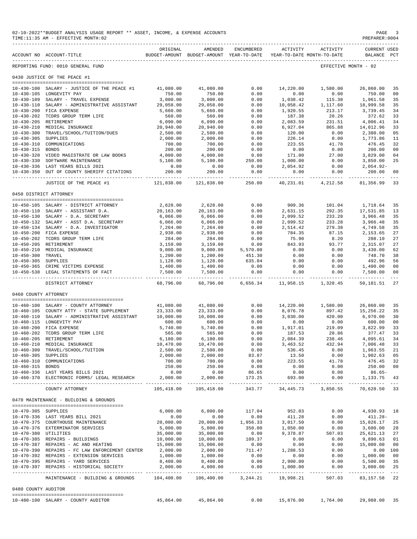|                      | 02-10-2022**BUDGET ANALYSIS USAGE REPORT ** ASSET, INCOME, & EXPENSE ACCOUNTS<br>TIME:11:35 AM - EFFECTIVE MONTH:02 |                                     |                                                                                |                                     |                      |                                      | PAGE<br>PREPARER: 0004                |                                                                                                                                                                                                                                                                                                                                                                                                                |
|----------------------|---------------------------------------------------------------------------------------------------------------------|-------------------------------------|--------------------------------------------------------------------------------|-------------------------------------|----------------------|--------------------------------------|---------------------------------------|----------------------------------------------------------------------------------------------------------------------------------------------------------------------------------------------------------------------------------------------------------------------------------------------------------------------------------------------------------------------------------------------------------------|
|                      | ACCOUNT NO ACCOUNT-TITLE                                                                                            | ORIGINAL                            | AMENDED<br>BUDGET-AMOUNT BUDGET-AMOUNT YEAR-TO-DATE YEAR-TO-DATE MONTH-TO-DATE | ENCUMBERED                          |                      | ACTIVITY ACTIVITY                    | <b>CURRENT USED</b><br>BALANCE PCT    |                                                                                                                                                                                                                                                                                                                                                                                                                |
|                      | REPORTING FUND: 0010 GENERAL FUND                                                                                   |                                     |                                                                                |                                     |                      |                                      | EFFECTIVE MONTH - 02                  |                                                                                                                                                                                                                                                                                                                                                                                                                |
|                      | 0430 JUSTICE OF THE PEACE #1                                                                                        |                                     |                                                                                |                                     |                      |                                      |                                       |                                                                                                                                                                                                                                                                                                                                                                                                                |
|                      | 10-430-100 SALARY - JUSTICE OF THE PEACE #1                                                                         | 41,080.00                           | 41,080.00                                                                      | 0.00                                | 14,220.00            | 1,580.00                             | 26,860.00                             | 35                                                                                                                                                                                                                                                                                                                                                                                                             |
|                      | 10-430-105 LONGEVITY PAY                                                                                            | 750.00                              | 750.00                                                                         | 0.00                                | 0.00                 | 0.00                                 | 750.00                                | 0 <sub>0</sub>                                                                                                                                                                                                                                                                                                                                                                                                 |
|                      | 10-430-109 SALARY - TRAVEL EXPENSE                                                                                  | 3,000.00                            | 3,000.00                                                                       | 0.00                                | 1,038.42             | 115.38                               | 1,961.58                              | 35                                                                                                                                                                                                                                                                                                                                                                                                             |
|                      | 10-430-110 SALARY - ADMINISTRATIVE ASSISTANT 29,058.00                                                              |                                     | 29,058.00                                                                      | 0.00                                |                      | 10,058.42 1,117.60                   | 18,999.58                             | 35                                                                                                                                                                                                                                                                                                                                                                                                             |
|                      | 10-430-200 FICA EXPENSE                                                                                             | 5,660.00                            | 5,660.00                                                                       | 0.00                                | 1,920.55             | 213.17                               | 3,739.45                              | 34                                                                                                                                                                                                                                                                                                                                                                                                             |
|                      | 10-430-202 TCDRS GROUP TERM LIFE                                                                                    | 560.00                              | 560.00                                                                         | 0.00                                | 187.38               | 20.26                                | 372.62                                | 33                                                                                                                                                                                                                                                                                                                                                                                                             |
|                      | 10-430-205 RETIREMENT                                                                                               | 6,090.00                            | 6,090.00                                                                       | 0.00                                | 2,083.59             | 231.51                               | 4,006.41                              | 34                                                                                                                                                                                                                                                                                                                                                                                                             |
|                      | 10-430-210 MEDICAL INSURANCE                                                                                        | 20,940.00                           | 20,940.00                                                                      | 0.00                                | 6,927.04             | 865.88                               | 14,012.96                             | 33                                                                                                                                                                                                                                                                                                                                                                                                             |
|                      | 10-430-300 TRAVEL/SCHOOL/TUITION/DUES                                                                               | 2,500.00                            | 2,500.00                                                                       | 0.00                                | 120.00               | 0.00                                 | 2,380.00                              | 05                                                                                                                                                                                                                                                                                                                                                                                                             |
| 10-430-305 SUPPLIES  |                                                                                                                     | 2,000.00<br>700.00                  | 2,000.00<br>700.00                                                             | 0.00                                | 226.14               | 0.00                                 | 1,773.86                              | 11<br>32                                                                                                                                                                                                                                                                                                                                                                                                       |
| 10-430-315 BONDS     | 10-430-310 COMMUNICATIONS                                                                                           | 200.00                              | 200.00                                                                         | 0.00<br>0.00                        | 223.55<br>0.00       | 41.78<br>0.00                        | 476.45<br>200.00                      | 0 <sub>0</sub>                                                                                                                                                                                                                                                                                                                                                                                                 |
|                      | 10-430-320 VIDEO MAGISTRATE OR LAW BOOKS                                                                            | 4,000.00                            | 4,000.00                                                                       | 0.00                                | 171.00               | 27.00                                | 3,829.00                              | 04                                                                                                                                                                                                                                                                                                                                                                                                             |
|                      | 10-430-330 SOFTWARE MAINTENANCE                                                                                     | 5,100.00                            | 5,100.00                                                                       | 250.00                              | 1,000.00             | 0.00                                 | 3,850.00                              | 25                                                                                                                                                                                                                                                                                                                                                                                                             |
|                      | 10-430-336 LAST YEARS BILLS 2021                                                                                    | 0.00                                | 0.00                                                                           | 0.00                                | 2,054.92             | 0.00                                 | $2,054.92-$                           |                                                                                                                                                                                                                                                                                                                                                                                                                |
| $10 - 430 - 350$     | OUT OF COUNTY SHERIFF CITATIONS                                                                                     | 200.00                              | 200.00                                                                         | 0.00                                | 0.00                 | 0.00                                 | 200.00                                | 0 <sub>0</sub>                                                                                                                                                                                                                                                                                                                                                                                                 |
|                      | JUSTICE OF THE PEACE #1                                                                                             | ------------ <i>-</i><br>121,838.00 | -------------<br>121,838.00                                                    | -------------<br>250.00             | 40,231.01            | ________________________<br>4,212.58 | --------------<br>81,356.99           | $- - -$<br>33                                                                                                                                                                                                                                                                                                                                                                                                  |
|                      |                                                                                                                     |                                     |                                                                                |                                     |                      |                                      |                                       |                                                                                                                                                                                                                                                                                                                                                                                                                |
|                      | 0450 DISTRICT ATTORNEY                                                                                              |                                     |                                                                                |                                     |                      |                                      |                                       |                                                                                                                                                                                                                                                                                                                                                                                                                |
|                      | 10-450-105 SALARY - DISTRICT ATTORNEY                                                                               | 2,628.00                            | 2,628.00                                                                       | 0.00                                | 909.36               | 101.04                               | 1,718.64                              | 35                                                                                                                                                                                                                                                                                                                                                                                                             |
|                      | 10-450-110 SALARY - ASSISTANT D.A.                                                                                  | 20,163.00                           | 20,163.00                                                                      | 0.00                                | 2,631.15             | 292.35                               | 17,531.85                             | 13                                                                                                                                                                                                                                                                                                                                                                                                             |
|                      | 10-450-130 SALARY - D.A. SECRETARY                                                                                  | 6,066.00                            | 6,066.00                                                                       | 0.00                                | 2,099.52             | 233.28                               | 3,966.48                              | 35                                                                                                                                                                                                                                                                                                                                                                                                             |
|                      | 10-450-132 SALARY - ASST D.A. SECRETARY                                                                             | 6,066.00                            | 6,066.00                                                                       | 0.00                                | 2,099.52             | 233.28                               | 3,966.48                              | 35                                                                                                                                                                                                                                                                                                                                                                                                             |
|                      | 10-450-134 SALARY - D.A. INVESTIGATOR                                                                               | 7,264.00                            | 7,264.00                                                                       | 0.00                                | 2,514.42             | 279.38                               | 4,749.58                              | 35                                                                                                                                                                                                                                                                                                                                                                                                             |
|                      | 10-450-200 FICA EXPENSE                                                                                             | 2,938.00                            | 2,938.00                                                                       | 0.00                                | 784.35               | 87.15                                | 2,153.65                              | 27                                                                                                                                                                                                                                                                                                                                                                                                             |
|                      | 10-450-202 TCDRS GROUP TERM LIFE<br>10-450-205 RETIREMENT                                                           | 284.00<br>3,159.00                  | 284.00<br>3,159.00                                                             | 0.00<br>0.00                        | 75.90<br>843.93      | 8.20<br>93.77                        | 208.10<br>2,315.07                    | 27<br>27                                                                                                                                                                                                                                                                                                                                                                                                       |
|                      | 10-450-210 MEDICAL INSURANCE                                                                                        | 9,000.00                            | 9,000.00                                                                       | 5,570.00                            | 0.00                 | 0.00                                 | 3,430.00                              | 62                                                                                                                                                                                                                                                                                                                                                                                                             |
| 10-450-300 TRAVEL    |                                                                                                                     | 1,200.00                            | 1,200.00                                                                       | 451.30                              | 0.00                 | 0.00                                 | 748.70                                | 38                                                                                                                                                                                                                                                                                                                                                                                                             |
| 10-450-305 SUPPLIES  |                                                                                                                     | 1,128.00                            | 1,128.00                                                                       | 635.04                              | 0.00                 | 0.00                                 | 492.96                                | 56                                                                                                                                                                                                                                                                                                                                                                                                             |
|                      | 10-450-365 CRIME VICTIMS EXPENSE                                                                                    | 1,400.00                            | 1,400.00                                                                       | 0.00                                | 0.00                 | 0.00                                 | 1,400.00                              | 0 <sub>0</sub>                                                                                                                                                                                                                                                                                                                                                                                                 |
|                      | 10-450-538 LEGAL STATEMENTS OF FACT                                                                                 | 7,500.00<br>-----------             | 7,500.00                                                                       | 0.00<br>------------ ------------ . | 0.00                 | 0.00                                 | 7,500.00<br>----------- ------------- | 0 <sub>0</sub><br>$\frac{1}{2} \frac{1}{2} \frac{1}{2} \frac{1}{2} \frac{1}{2} \frac{1}{2} \frac{1}{2} \frac{1}{2} \frac{1}{2} \frac{1}{2} \frac{1}{2} \frac{1}{2} \frac{1}{2} \frac{1}{2} \frac{1}{2} \frac{1}{2} \frac{1}{2} \frac{1}{2} \frac{1}{2} \frac{1}{2} \frac{1}{2} \frac{1}{2} \frac{1}{2} \frac{1}{2} \frac{1}{2} \frac{1}{2} \frac{1}{2} \frac{1}{2} \frac{1}{2} \frac{1}{2} \frac{1}{2} \frac{$ |
|                      | DISTRICT ATTORNEY                                                                                                   | 68,796.00                           | 68,796.00                                                                      |                                     | 6,656.34 11,958.15   | 1,328.45                             | 50,181.51                             | 27                                                                                                                                                                                                                                                                                                                                                                                                             |
| 0460 COUNTY ATTORNEY |                                                                                                                     |                                     |                                                                                |                                     |                      |                                      |                                       |                                                                                                                                                                                                                                                                                                                                                                                                                |
|                      |                                                                                                                     |                                     |                                                                                |                                     |                      |                                      |                                       |                                                                                                                                                                                                                                                                                                                                                                                                                |
|                      | 10-460-100 SALARY - COUNTY ATTORNEY                                                                                 | 41,080.00                           | 41,080.00                                                                      | 0.00                                | 8,076.78             | 14,220.00 1,580.00                   | 26,860.00                             | 35                                                                                                                                                                                                                                                                                                                                                                                                             |
|                      | 10-460-105 COUNTY ATTY - STATE SUPPLEMENT<br>10-460-110 SALARY - ADMINISTRATIVE ASSISTANT                           | 23, 333.00<br>10,000.00             | 23,333.00<br>10,000.00                                                         | 0.00<br>0.00                        | 3,030.00             | 897.42<br>420.00                     | 15,256.22<br>6,970.00                 | 35<br>30                                                                                                                                                                                                                                                                                                                                                                                                       |
|                      | 10-460-115 LONGEVITY PAY                                                                                            | 600.00                              | 600.00                                                                         | 0.00                                | 0.00                 | 0.00                                 | 600.00                                | 0 <sub>0</sub>                                                                                                                                                                                                                                                                                                                                                                                                 |
|                      | 10-460-200 FICA EXPENSE                                                                                             | 5,740.00                            | 5,740.00                                                                       | 0.00                                | 1,917.01             | 219.09                               | 3,822.99                              | 33                                                                                                                                                                                                                                                                                                                                                                                                             |
|                      | 10-460-202 TCDRS GROUP TERM LIFE                                                                                    | 565.00                              | 565.00                                                                         | 0.00                                | 187.53               | 20.86                                | 377.47                                | 33                                                                                                                                                                                                                                                                                                                                                                                                             |
|                      | 10-460-205 RETIREMENT                                                                                               | 6,180.00                            | 6,180.00                                                                       | 0.00                                | 2,084.39             | 238.46                               | 4,095.61                              | 34                                                                                                                                                                                                                                                                                                                                                                                                             |
|                      | 10-460-210 MEDICAL INSURANCE                                                                                        | 10,470.00                           | 10,470.00                                                                      | 0.00                                | 3,463.52             | 432.94                               | 7,006.48                              | 33                                                                                                                                                                                                                                                                                                                                                                                                             |
|                      | 10-460-300 TRAVEL/SCHOOL/TUITION                                                                                    | 2,500.00                            | 2,500.00                                                                       | 0.00                                | 536.45               | 0.00                                 | 1,963.55                              | 21                                                                                                                                                                                                                                                                                                                                                                                                             |
| $10 - 460 - 305$     | SUPPLIES                                                                                                            | 2,000.00                            | 2,000.00                                                                       | 83.87                               | 13.50                | 0.00                                 | 1,902.63                              | 05                                                                                                                                                                                                                                                                                                                                                                                                             |
| $10 - 460 - 310$     | COMMUNICATIONS                                                                                                      | 700.00                              | 700.00                                                                         | 0.00                                | 223.55               | 41.78                                | 476.45                                | 32                                                                                                                                                                                                                                                                                                                                                                                                             |
| 10-460-315 BONDS     | 10-460-336 LAST YEARS BILLS 2021                                                                                    | 250.00<br>0.00                      | 250.00<br>0.00                                                                 | 0.00<br>86.65                       | 0.00<br>0.00         | 0.00<br>0.00                         | 250.00<br>$86.65-$                    | 0 <sub>0</sub>                                                                                                                                                                                                                                                                                                                                                                                                 |
|                      | 10-460-370 ELECTRONIC FORMS/ LEGAL RESEARCH                                                                         | 2,000.00                            | 2,000.00                                                                       | 173.25                              | 693.00               | 0.00                                 | 1,133.75                              | -43                                                                                                                                                                                                                                                                                                                                                                                                            |
|                      | COUNTY ATTORNEY                                                                                                     | 105,418.00                          | 105,418.00                                                                     | 343.77                              | 34,445.73            | 3,850.55                             | 70,628.50                             | 33                                                                                                                                                                                                                                                                                                                                                                                                             |
|                      | 0470 MAINTENANCE - BUILDING & GROUNDS                                                                               |                                     |                                                                                |                                     |                      |                                      |                                       |                                                                                                                                                                                                                                                                                                                                                                                                                |
|                      |                                                                                                                     |                                     |                                                                                |                                     |                      |                                      |                                       |                                                                                                                                                                                                                                                                                                                                                                                                                |
| 10-470-305 SUPPLIES  |                                                                                                                     | 6,000.00                            | 6.000.00                                                                       | 117.04                              | 952.03               | 0.00                                 | 4,930.93                              | 18                                                                                                                                                                                                                                                                                                                                                                                                             |
|                      | 10-470-336 LAST YEARS BILL 2021<br>10-470-375 COURTHOUSE MAINTENANCE                                                | 0.00<br>20,000.00                   | 0.00                                                                           | 0.00                                | 411.28               | 0.00                                 | $411.28 -$                            | 25                                                                                                                                                                                                                                                                                                                                                                                                             |
|                      | 10-470-376 EXTERMINATOR SERVICES                                                                                    | 5,000.00                            | 20,000.00<br>5,000.00                                                          | 1,956.33<br>350.00                  | 3,017.50<br>1,050.00 | 0.00<br>0.00                         | 15,026.17<br>3,600.00                 | 28                                                                                                                                                                                                                                                                                                                                                                                                             |
| 10-470-380 UTILITIES |                                                                                                                     | 35,000.00                           | 35,000.00                                                                      | 0.00                                | 9,378.87             | 507.03                               | 25,621.13                             | 27                                                                                                                                                                                                                                                                                                                                                                                                             |
|                      | 10-470-385 REPAIRS - BUILDINGS                                                                                      | 10,000.00                           | 10,000.00                                                                      | 109.37                              | 0.00                 | 0.00                                 | 9,890.63                              | 01                                                                                                                                                                                                                                                                                                                                                                                                             |
|                      | 10-470-387 REPAIRS - AC AND HEATING                                                                                 | 15,000.00                           | 15,000.00                                                                      | 0.00                                | 0.00                 | 0.00                                 | 15,000.00                             | 0 <sub>0</sub>                                                                                                                                                                                                                                                                                                                                                                                                 |
|                      | 10-470-390 REPAIRS - FC LAW ENFORCEMENT CENTER                                                                      | 2,000.00                            | 2,000.00                                                                       | 711.47                              | 1,288.53             | 0.00                                 | 0.00                                  | 100                                                                                                                                                                                                                                                                                                                                                                                                            |
|                      | 10-470-392 REPAIRS - EXTENSION SERVICES                                                                             | 1,000.00                            | 1,000.00                                                                       | 0.00                                | 0.00                 | 0.00                                 | 1,000.00                              | 0 <sub>0</sub>                                                                                                                                                                                                                                                                                                                                                                                                 |
|                      | 10-470-395 REPAIRS - YARD SERVICES                                                                                  | 8,400.00                            | 8,400.00                                                                       | 0.00                                | 2,900.00             | 0.00                                 | 5,500.00                              | 35                                                                                                                                                                                                                                                                                                                                                                                                             |
|                      | 10-470-397 REPAIRS - HISTORICAL SOCIETY                                                                             | 2,000.00                            | 4,000.00<br>-------------                                                      | 0.00<br>-----------                 | 1,000.00<br>.        | 0.00<br>--------                     | 3,000.00<br>-------------             | 25<br>$- - -$                                                                                                                                                                                                                                                                                                                                                                                                  |
|                      | MAINTENANCE - BUILDING & GROUNDS                                                                                    | 104,400.00                          | 106,400.00                                                                     | 3, 244. 21                          | 19,998.21            | 507.03                               | 83, 157.58                            | 22                                                                                                                                                                                                                                                                                                                                                                                                             |
| 0480 COUNTY AUDITOR  |                                                                                                                     |                                     |                                                                                |                                     |                      |                                      |                                       |                                                                                                                                                                                                                                                                                                                                                                                                                |
|                      |                                                                                                                     |                                     |                                                                                |                                     |                      |                                      |                                       |                                                                                                                                                                                                                                                                                                                                                                                                                |
|                      | 10-480-100 SALARY - COUNTY AUDITOR                                                                                  | 45,864.00                           | 45,864.00                                                                      | 0.00                                | 15,876.00            | 1,764.00                             | 29,988.00                             | 35                                                                                                                                                                                                                                                                                                                                                                                                             |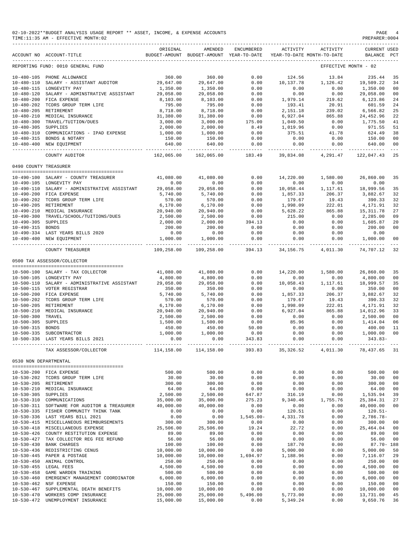|                                      | 02-10-2022**BUDGET ANALYSIS USAGE REPORT ** ASSET, INCOME, & EXPENSE ACCOUNTS<br>TIME:11:35 AM - EFFECTIVE MONTH:02 |                                                              |                                                     |                         |                             |                                        | PAGE<br>PREPARER: 0004         | -4                  |
|--------------------------------------|---------------------------------------------------------------------------------------------------------------------|--------------------------------------------------------------|-----------------------------------------------------|-------------------------|-----------------------------|----------------------------------------|--------------------------------|---------------------|
|                                      | ACCOUNT NO ACCOUNT-TITLE                                                                                            | ORIGINAL                                                     | AMENDED<br>BUDGET-AMOUNT BUDGET-AMOUNT YEAR-TO-DATE | ENCUMBERED              | ACTIVITY                    | ACTIVITY<br>YEAR-TO-DATE MONTH-TO-DATE | <b>CURRENT USED</b><br>BALANCE | PCT                 |
|                                      | REPORTING FUND: 0010 GENERAL FUND                                                                                   |                                                              |                                                     |                         |                             |                                        | EFFECTIVE MONTH - 02           |                     |
|                                      | 10-480-105 PHONE ALLOWANCE                                                                                          | 360.00                                                       | 360.00                                              | 0.00                    | 124.56                      | 13.84                                  | 235.44                         | 35                  |
| $10 - 480 - 110$                     | SALARY - ASSISTANT AUDITOR                                                                                          | 29,647.00                                                    | 29,647.00                                           | 0.00                    | 10,137.78                   | 1,126.42                               | 19,509.22                      | 34                  |
|                                      | 10-480-115 LONGEVITY PAY                                                                                            | 1,350.00                                                     | 1,350.00                                            | 0.00                    | 0.00                        | 0.00                                   | 1,350.00                       | 00                  |
| $10 - 480 - 120$                     | SALARY - ADMINSTRATIVE ASSISTANT                                                                                    | 29,058.00                                                    | 29,058.00                                           | 0.00                    | 0.00                        | 0.00                                   | 29,058.00                      | 00                  |
|                                      | 10-480-200 FICA EXPENSE                                                                                             | 8,103.00                                                     | 8,103.00                                            | 0.00                    | 1,979.14                    | 219.62                                 | 6,123.86                       | 24                  |
| 10-480-202                           | TCDRS GROUP TERM LIFE                                                                                               | 795.00                                                       | 795.00                                              | 0.00                    | 193.41                      | 20.91                                  | 601.59                         | 24                  |
|                                      | 10-480-205 RETIREMENT                                                                                               | 8,718.00                                                     | 8,718.00                                            | 0.00                    | 2,151.18                    | 239.02                                 | 6,566.82                       | 25                  |
| $10 - 480 - 210$                     | MEDICAL INSURANCE<br>10-480-300 TRAVEL/TUITION/DUES                                                                 | 31,380.00<br>3,000.00                                        | 31,380.00<br>3,000.00                               | 0.00<br>175.00          | 6,927.04<br>1,049.50        | 865.88<br>0.00                         | 24,452.96<br>1,775.50          | 22<br>41            |
| 10-480-305 SUPPLIES                  |                                                                                                                     | 2,000.00                                                     | 2,000.00                                            | 8.49                    | 1,019.96                    | 0.00                                   | 971.55                         | 51                  |
|                                      | 10-480-310 COMMUNICATIONS - IPAD EXPENSE                                                                            | 1,000.00                                                     | 1,000.00                                            | 0.00                    | 375.51                      | 41.78                                  | 624.49                         | 38                  |
|                                      | 10-480-315 BONDS & NOTARY                                                                                           | 150.00                                                       | 150.00                                              | 0.00                    | 0.00                        | 0.00                                   | 150.00                         | 00                  |
|                                      | 10-480-400 NEW EQUIPMENT                                                                                            | 640.00                                                       | 640.00                                              | 0.00                    | 0.00                        | 0.00                                   | 640.00                         | 00                  |
|                                      | COUNTY AUDITOR                                                                                                      | -------------<br>162,065.00                                  | --------------<br>162,065.00                        | -------------<br>183.49 | --------------<br>39,834.08 | -------------<br>4,291.47              | --------------<br>122,047.43   | $\frac{1}{2}$<br>25 |
| 0490 COUNTY TREASURER                |                                                                                                                     |                                                              |                                                     |                         |                             |                                        |                                |                     |
|                                      |                                                                                                                     |                                                              |                                                     |                         |                             |                                        |                                |                     |
|                                      | 10-490-100 SALARY - COUNTY TREASURER<br>10-490-105 LONGEVITY PAY                                                    | 41,080.00<br>0.00                                            | 41,080.00<br>0.00                                   | 0.00<br>0.00            | 14,220.00<br>0.00           | 1,580.00<br>0.00                       | 26,860.00<br>0.00              | 35                  |
|                                      | 10-490-110 SALARY - ADMINISTRATIVE ASSISTANT                                                                        | 29,058.00                                                    | 29,058.00                                           | 0.00                    | 10,058.44                   | 1,117.61                               | 18,999.56                      | 35                  |
|                                      | 10-490-200 FICA EXPENSE                                                                                             | 5,740.00                                                     | 5,740.00                                            | 0.00                    | 1,857.33                    | 206.37                                 | 3,882.67                       | 32                  |
|                                      | 10-490-202 TCDRS GROUP TERM LIFE                                                                                    | 570.00                                                       | 570.00                                              | 0.00                    | 179.67                      | 19.43                                  | 390.33                         | 32                  |
|                                      | 10-490-205 RETIREMENT                                                                                               | 6, 170.00                                                    | 6,170.00                                            | 0.00                    | 1,998.09                    | 222.01                                 | 4,171.91                       | 32                  |
|                                      | 10-490-210 MEDICAL INSURANCE                                                                                        | 20,940.00                                                    | 20,940.00                                           | 0.00                    | 5,628.22                    | 865.88                                 | 15, 311.78                     | 27                  |
|                                      | 10-490-300 TRAVEL/SCHOOL/TUITIONS/DUES                                                                              | 2,500.00                                                     | 2,500.00                                            | 0.00                    | 215.00                      | 0.00                                   | 2,285.00                       | 09                  |
| 10-490-305 SUPPLIES                  |                                                                                                                     | 2,000.00                                                     | 2,000.00                                            | 394.13                  | 0.00                        | 0.00                                   | 1,605.87                       | 20                  |
| 10-490-315 BONDS                     |                                                                                                                     | 200.00                                                       | 200.00                                              | 0.00                    | 0.00                        | 0.00                                   | 200.00                         | 00                  |
|                                      | 10-490-334 LAST YEARS BILLS 2020<br>10-490-400 NEW EQUIPMENT                                                        | 0.00<br>1,000.00                                             | 0.00<br>1,000.00                                    | 0.00<br>0.00            | 0.00<br>0.00                | 0.00<br>0.00                           | 0.00<br>1,000.00               | 00                  |
|                                      |                                                                                                                     |                                                              | 109,258.00                                          | $- - - - - -$<br>394.13 | -----------                 |                                        | 74,707.12                      |                     |
|                                      | COUNTY TREASURER                                                                                                    | 109,258.00                                                   |                                                     |                         | 34,156.75                   | 4,011.30                               |                                | -32                 |
|                                      | 0500 TAX ASSESSOR/COLLECTOR                                                                                         |                                                              |                                                     |                         |                             |                                        |                                |                     |
|                                      | 10-500-100 SALARY - TAX COLLECTOR                                                                                   | 41,080.00                                                    | 41,080.00                                           | 0.00                    | 14,220.00                   | 1,580.00                               | 26,860.00                      | 35                  |
|                                      | 10-500-105 LONGEVITY PAY                                                                                            | 4,800.00                                                     | 4,800.00                                            | 0.00                    | 0.00                        | 0.00                                   | 4,800.00                       | 00                  |
|                                      | 10-500-110 SALARY - ADMINISTRATIVE ASSISTANT                                                                        | 29,058.00                                                    | 29,058.00                                           | 0.00                    | 10,058.43                   | 1,117.61                               | 18,999.57                      | 35                  |
|                                      | 10-500-115 VOTER REGISTRAR                                                                                          | 350.00                                                       | 350.00                                              | 0.00                    | 0.00                        | 0.00                                   | 350.00                         | 00                  |
|                                      | 10-500-200 FICA EXPENSE                                                                                             | 5,740.00                                                     | 5,740.00                                            | 0.00                    | 1,857.33                    | 206.37                                 | 3,882.67                       | 32                  |
|                                      | 10-500-202 TCDRS GROUP TERM LIFE                                                                                    | 570.00                                                       | 570.00                                              | 0.00                    | 179.67                      | 19.43                                  | 390.33                         | 32                  |
|                                      | 10-500-205 RETIREMENT                                                                                               | 6,170.00                                                     | 6,170.00                                            | 0.00                    | 1,998.09                    | 222.01                                 | 4,171.91                       | 32                  |
| $10 - 500 - 210$                     | MEDICAL INSURANCE                                                                                                   | 20,940.00                                                    | 20,940.00                                           | 0.00                    | 6.927.04                    | 865.88                                 | 14,012.96                      | 33                  |
| $10 - 500 - 300$<br>$10 - 500 - 305$ | TRAVEL<br>SUPPLIES                                                                                                  | 2,500.00<br>1,500.00                                         | 2,500.00<br>1,500.00                                | 0.00<br>0.00            | 0.00<br>85.96               | 0.00<br>0.00                           | 2,500.00<br>1,414.04           | 00<br>06            |
| $10 - 500 - 315$                     | BONDS                                                                                                               | 450.00                                                       | 450.00                                              | 50.00                   | 0.00                        | 0.00                                   | 400.00                         | 11                  |
|                                      | 10-500-335 SUBCONTRACTOR                                                                                            |                                                              |                                                     |                         |                             |                                        |                                |                     |
|                                      | 10-500-336 LAST YEARS BILLS 2021                                                                                    |                                                              |                                                     |                         |                             |                                        |                                |                     |
|                                      | TAX ASSESSOR/COLLECTOR                                                                                              | 114,158.00 114,158.00 393.83 35,326.52 4,011.30 78,437.65 31 |                                                     |                         |                             |                                        |                                |                     |
| 0530 NON DEPARTMENTAL                |                                                                                                                     |                                                              |                                                     |                         |                             |                                        |                                |                     |
|                                      | --------------------------------------<br>10-530-200 FICA EXPENSE                                                   | 500.00                                                       | 500.00                                              | 0.00                    | 0.00                        | 0.00                                   | 500.00                         | 00                  |
|                                      | 10-530-202 TCDRS GROUP TERM LIFE                                                                                    | 30.00                                                        | 30.00                                               | 0.00                    | 0.00                        | 0.00                                   | 30.00                          | 00                  |
|                                      | 10-530-205 RETIREMENT                                                                                               | 300.00                                                       | 300.00                                              | 0.00                    | 0.00                        | 0.00                                   | 300.00                         | 00                  |
|                                      | 10-530-210 MEDICAL INSURANCE                                                                                        | 64.00                                                        | 64.00                                               | 0.00                    | 0.00                        | 0.00                                   | 64.00                          | 00                  |
| 10-530-305 SUPPLIES                  |                                                                                                                     | 2,500.00                                                     | 2,500.00                                            | 647.87                  | 316.19                      | 0.00                                   | 1,535.94                       | 39                  |
|                                      | 10-530-310 COMMUNICATIONS                                                                                           | 35,000.00                                                    | 35,000.00                                           | 275.23                  | 9,340.46                    | 1,755.76                               | 25, 384.31                     | 27                  |
|                                      | 10-530-311 SOFTWARE FOR AUDITOR & TREASURER                                                                         | 40,000.00                                                    | 40,000.00                                           | 0.00                    | 0.00                        | 0.00                                   | 40,000.00                      | 00                  |
|                                      | 10-530-335 FISHER COMMUNITY THINK TANK                                                                              | 0.00                                                         | 0.00                                                | 0.00                    | 120.51                      | 0.00                                   | $120.51-$                      |                     |
|                                      | 10-530-336 LAST YEARS BILL 2021                                                                                     | 0.00                                                         | 0.00                                                | 1,545.00-               | 4,331.78                    | 0.00                                   | $2,786.78-$                    |                     |
|                                      | 10-530-415 MISCELLANEOUS REIMBURSEMENTS                                                                             | 300.00                                                       | 300.00                                              | 0.00                    | 0.00                        | 0.00                                   | 300.00                         | 00                  |
|                                      | 10-530-418 MISCELLANEOUS EXPENSE<br>10-530-426 COUNTY RESTITUTION EXPENSE                                           | 25,506.00<br>89.00                                           | 25,506.00<br>89.00                                  | 19.24<br>0.00           | 22.72<br>0.00               | 0.00<br>0.00                           | 25,464.04<br>89.00             | 00<br>00            |
|                                      | 10-530-427 TAX COLLECTOR REG FEE REFUND                                                                             | 56.00                                                        | 56.00                                               | 0.00                    | 0.00                        | 0.00                                   | 56.00                          | 00                  |
|                                      | 10-530-430 BANK CHARGES                                                                                             | 100.00                                                       | 100.00                                              | 0.00                    | 187.70                      | 0.00                                   | 87.70- 188                     |                     |
|                                      | 10-530-436 REDISTRICTING CENUS                                                                                      | 10,000.00                                                    | 10,000.00                                           | 0.00                    | 5,000.00                    | 0.00                                   | 5,000.00                       | 50                  |
|                                      | 10-530-445 PAPER & POSTAGE                                                                                          | 10,000.00                                                    | 10,000.00                                           | 1,694.97                | 1,188.96                    | 0.00                                   | 7,116.07                       | 29                  |
|                                      | 10-530-450 ANIMAL CONTROL                                                                                           | 250.00                                                       | 250.00                                              | 0.00                    | 0.00                        | 0.00                                   | 250.00                         | 00                  |
|                                      | 10-530-455 LEGAL FEES                                                                                               | 4,500.00                                                     | 4,500.00                                            | 0.00                    | 0.00                        | 0.00                                   | 4,500.00                       | 00                  |
| $10 - 530 - 458$                     | GAME WARDEN TRAINING                                                                                                | 500.00                                                       | 500.00                                              | 0.00                    | 0.00                        | 0.00                                   | 500.00                         | 00                  |
| $10 - 530 - 460$                     | EMERGENCY MANAGEMENT COORDINATOR                                                                                    | 6,000.00                                                     | 6,000.00                                            | 0.00                    | 0.00                        | 0.00                                   | 6,000.00                       | 00                  |
| $10 - 530 - 462$<br>$10 - 530 - 467$ | NSF EXPENSE<br>SUPPLEMENTAL DEATH BENEFITS                                                                          | 150.00<br>10,000.00                                          | 150.00<br>10,000.00                                 | 0.00<br>0.00            | 0.00<br>0.00                | 0.00<br>0.00                           | 150.00<br>10,000.00            | 00<br>00            |
| $10 - 530 - 470$                     | WORKERS COMP INSURANCE                                                                                              | 25,000.00                                                    | 25,000.00                                           | 5,496.00                | 5,773.00                    | 0.00                                   | 13,731.00                      | 45                  |
|                                      | 10-530-472 UNEMPLOYMENT INSURANCE                                                                                   | 15,000.00                                                    | 15,000.00                                           | 0.00                    | 5,349.24                    | 0.00                                   | 9,650.76                       | 36                  |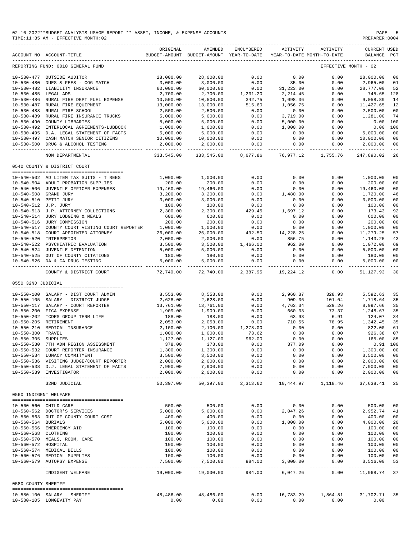|                       | 02-10-2022**BUDGET ANALYSIS USAGE REPORT ** ASSET, INCOME, & EXPENSE ACCOUNTS<br>TIME:11:35 AM - EFFECTIVE MONTH:02 |                             |                                                                                |                           |                            |                                | PAGE<br>PREPARER: 0004             |                      |
|-----------------------|---------------------------------------------------------------------------------------------------------------------|-----------------------------|--------------------------------------------------------------------------------|---------------------------|----------------------------|--------------------------------|------------------------------------|----------------------|
|                       | ACCOUNT NO ACCOUNT-TITLE                                                                                            | ORIGINAL                    | AMENDED<br>BUDGET-AMOUNT BUDGET-AMOUNT YEAR-TO-DATE YEAR-TO-DATE MONTH-TO-DATE | ENCUMBERED                | ACTIVITY                   | ACTIVITY                       | <b>CURRENT USED</b><br>BALANCE PCT |                      |
|                       | REPORTING FUND: 0010 GENERAL FUND                                                                                   |                             |                                                                                |                           |                            |                                | EFFECTIVE MONTH - 02               |                      |
|                       | 10-530-477 OUTSIDE AUDITOR                                                                                          | 28,000.00                   | 28,000.00                                                                      | 0.00                      | 0.00                       | 0.00                           | 28,000.00                          | $\overline{00}$      |
|                       | 10-530-480 DUES & FEES - COG MATCH                                                                                  | 3,000.00                    | 3,000.00                                                                       | 0.00                      | 35.00                      | 0.00                           | 2,965.00                           | 01                   |
|                       | 10-530-482 LIABILITY INSURANCE                                                                                      | 60,000.00                   | 60,000.00                                                                      | 0.00                      | 31,223.00                  | 0.00                           | 28,777.00                          | 52                   |
| 10-530-485 LEGAL ADS  |                                                                                                                     | 2,700.00                    | 2,700.00                                                                       | 1, 231.20                 | 2,214.45                   | 0.00                           | 745.65- 128                        |                      |
|                       | 10-530-486 RURAL FIRE DEPT FUEL EXPENSE                                                                             | 10,500.00                   | 10,500.00                                                                      | 342.75                    | 1,098.36                   | 0.00                           | 9,058.89                           | 14                   |
|                       | 10-530-487 RURAL FIRE EQUIPMENT                                                                                     | 13,000.00                   | 13,000.00                                                                      | 515.60                    | 1,056.75                   | 0.00                           | 11,427.65                          | 12                   |
|                       | 10-530-488 RURAL FIRE SCHOOL                                                                                        | 2,500.00                    | 2,500.00                                                                       | 0.00<br>0.00              | 0.00                       | 0.00                           | 2,500.00                           | 00<br>74             |
|                       | 10-530-489 RURAL FIRE INSURANCE TRUCKS<br>10-530-490 COUNTY LIBRARIES                                               | 5,000.00<br>5,000.00        | 5,000.00<br>5,000.00                                                           | 0.00                      | 3,719.00<br>5,000.00       | 0.00<br>0.00                   | 1,281.00<br>0.00 100               |                      |
|                       | 10-530-492 INTERLOCAL AGREEMENTS-LUBBOCK                                                                            | 1,000.00                    | 1,000.00                                                                       | 0.00                      | 1,000.00                   | 0.00                           | 0.00 100                           |                      |
|                       | 10-530-495 D.A. LEGAL STATEMENT OF FACTS                                                                            | 5,000.00                    | 5,000.00                                                                       | 0.00                      | 0.00                       | 0.00                           | 5,000.00                           | 00                   |
|                       | 10-530-497 CASH MATCH SENIOR CITIZENS                                                                               | 10,000.00                   | 10,000.00                                                                      | 0.00                      | 0.00                       | 0.00                           | 10,000.00                          | $\overline{00}$      |
|                       | 10-530-500 DRUG & ALCOHOL TESTING                                                                                   | 2,000.00                    | 2,000.00                                                                       | 0.00                      | 0.00                       | 0.00                           | 2,000.00                           | 00                   |
|                       | NON DEPARTMENTAL                                                                                                    | ------------<br>333,545.00  | -----------------------------<br>333,545.00                                    | 8,677.86                  | -------------<br>76,977.12 | 1,755.76                       | 247,890.02                         | 26                   |
|                       | 0540 COUNTY & DISTRICT COURT                                                                                        |                             |                                                                                |                           |                            |                                |                                    |                      |
|                       | --------------------------------------                                                                              |                             |                                                                                |                           |                            |                                |                                    |                      |
|                       | 10-540-502 AD LITEM TAX SUITS - T REES                                                                              | 1,000.00                    | 1,000.00                                                                       | 0.00                      | 0.00                       | 0.00                           | 1,000.00                           | 00                   |
|                       | 10-540-504 ADULT PROBATION SUPPLIES                                                                                 | 200.00                      | 200.00                                                                         | 0.00                      | 0.00                       | 0.00                           | 200.00                             | 00                   |
|                       | 10-540-506 JUVENILE OFFICER EXPENSES 19,460.00<br>10-540-508 GRAND JURY                                             |                             | 19,460.00                                                                      | 0.00<br>0.00              | 0.00<br>1,480.00           | 0.00<br>0.00                   | 19,460.00<br>1,720.00              | 0 <sub>0</sub><br>46 |
|                       | 10-540-510 PETIT JURY                                                                                               | 3,200.00<br>3,000.00        | 3,200.00<br>3,000.00                                                           | 0.00                      | 0.00                       | 0.00                           | 3,000.00                           | 00                   |
| 10-540-512 J.P. JURY  |                                                                                                                     | 100.00                      | 100.00                                                                         | 0.00                      | 0.00                       | 0.00                           | 100.00                             | 0 <sub>0</sub>       |
|                       | 10-540-513 J.P. ATTORNEY COLLECTIONS                                                                                | 2,300.00                    | 2,300.00                                                                       | 429.45                    | 1,697.12                   | 0.00                           | 173.43                             | 92                   |
|                       | 10-540-514 JURY LODGING & MEALS                                                                                     | 600.00                      | 600.00                                                                         | 0.00                      | 0.00                       | 0.00                           | 600.00                             | 0 <sub>0</sub>       |
|                       | 10-540-516 JURY COMMISSION                                                                                          | 200.00                      | 200.00                                                                         | 0.00                      | 0.00                       | 0.00                           | 200.00                             | 00                   |
|                       | 10-540-517 COUNTY COURT VISTING COURT REPORTER                                                                      | 1,000.00                    | 1,000.00                                                                       | 0.00                      | 0.00                       | 0.00                           | 1,000.00                           | 00                   |
|                       | 10-540-518 COURT APPOINTED ATTORNEY                                                                                 | 26,000.00                   | 26,000.00                                                                      | 492.50                    | 14,228.25                  | 0.00                           | 11,279.25                          | 57                   |
|                       | 10-540-520 INTERPRETOR                                                                                              | 2,000.00                    | 2,000.00                                                                       | 0.00                      | 856.75                     | 0.00                           | 1,143.25                           | 43                   |
|                       | 10-540-522 PSYCHIATRIC EVALUATION<br>10-540-524 JUVENILE DETENTION                                                  | 3,500.00<br>5,000.00        | 3,500.00<br>5,000.00                                                           | 1,466.00<br>0.00          | 962.00<br>0.00             | 0.00<br>0.00                   | 1,072.00<br>5,000.00               | 69<br>0 <sub>0</sub> |
|                       | 10-540-525 OUT OF COUNTY CITATIONS                                                                                  | 180.00                      | 180.00                                                                         | 0.00                      | 0.00                       | 0.00                           | 180.00                             | 00                   |
|                       | 10-540-526 DA & CA DRUG TESTING                                                                                     | 5,000.00                    | 5,000.00                                                                       | 0.00                      | 0.00                       | 0.00                           | 5,000.00                           | 00                   |
|                       | COUNTY & DISTRICT COURT                                                                                             | --------------<br>72,740.00 | -------------<br>72,740.00                                                     | -------------<br>2,387.95 | -----------<br>19,224.12   | --------<br>0.00               | -------------<br>51, 127.93        | 30                   |
|                       |                                                                                                                     |                             |                                                                                |                           |                            |                                |                                    |                      |
| 0550 32ND JUDICIAL    |                                                                                                                     |                             |                                                                                |                           |                            |                                |                                    |                      |
|                       | 10-550-100 SALARY - DIST COURT ADMIN                                                                                | 8,553.00                    | 8,553.00                                                                       | 0.00                      | 2,960.37                   | 328.93                         | 5,592.63                           | 35                   |
|                       | 10-550-105 SALARY - DISTRICT JUDGE                                                                                  | 2,628.00                    | 2,628.00                                                                       | 0.00                      | 909.36                     | 101.04                         | 1,718.64                           | 35                   |
|                       | 10-550-117 SALARY - COURT REPORTER                                                                                  | 13,761.00                   | 13,761.00                                                                      | 0.00                      | 4,763.34                   | 529.26                         | 8,997.66                           | 35                   |
|                       | 10-550-200 FICA EXPENSE                                                                                             | 1,909.00                    | 1,909.00                                                                       | 0.00                      | 660.33                     | 73.37                          | 1,248.67                           | 35                   |
|                       | 10-550-202 TCDRS GROUP TERM LIFE                                                                                    | 188.00                      | 188.00                                                                         | 0.00                      | 63.93                      | 6.91                           | 124.07                             | 34                   |
|                       | 10-550-205 RETIREMENT                                                                                               | 2,053.00                    | 2,053.00                                                                       | 0.00                      | 710.55                     | 78.95                          | 1,342.45                           | 35                   |
| 10-550-300 TRAVEL     | 10-550-210 MEDICAL INSURANCE                                                                                        | 2,100.00<br>1,000.00        | 2,100.00                                                                       | 1,278.00<br>73.62         | 0.00<br>0.00               | 0.00<br>0.00                   | 822.00<br>926.38 07                | 61                   |
| 10-550-305 SUPPLIES   |                                                                                                                     | 1,127.00                    | 1,000.00<br>1,127.00                                                           | 962.00                    | 0.00                       | 0.00                           | 165.00 85                          |                      |
|                       | 10-550-530 7TH ADM REGION ASSESSMENT                                                                                | 378.00                      | 378.00                                                                         | 0.00                      | 377.09                     | 0.00                           | $0.91$ 100                         |                      |
|                       | 10-550-532 COURT REPORTER INSURANCE                                                                                 | 1,300.00                    | 1,300.00                                                                       | 0.00                      | 0.00                       | $0.00$<br>0.00<br>0.00<br>0.00 | 1,300.00 00                        |                      |
|                       | 10-550-534 LUNACY COMMITMENT                                                                                        | 3,500.00                    | 3,500.00                                                                       | 0.00                      | 0.00                       |                                | 3,500.00 00                        |                      |
|                       | 10-550-536 VISITING JUDGE/COURT REPORTER                                                                            | 2,000.00                    | 2,000.00                                                                       | 0.00                      | 0.00                       |                                | 2,000.00 00                        |                      |
|                       | 10-550-538 D.J. LEGAL STATEMENT OF FACTS                                                                            | 7,900.00                    | 7,900.00                                                                       | 0.00                      | 0.00                       | $0.00$<br>$0.00$               | 7,900.00 00                        |                      |
|                       | 10-550-539 INVESTIGATOR                                                                                             | 2,000.00                    | 2,000.00                                                                       | 0.00                      | 0.00                       |                                | 2,000.00                           | 0 <sub>0</sub>       |
|                       | 32ND JUDICIAL                                                                                                       | 50,397.00                   | 50,397.00                                                                      |                           |                            | 2, 313.62 10, 444.97 1, 118.46 | 37,638.41 25                       |                      |
| 0560 INDIGENT WELFARE |                                                                                                                     |                             |                                                                                |                           |                            |                                |                                    |                      |
|                       | 10-560-560 CHILD CARE                                                                                               | 500.00                      | 500.00                                                                         | 0.00                      | 0.00                       | 0.00                           | 500.00                             | 0 <sub>0</sub>       |
|                       | 10-560-562 DOCTOR'S SERVICES                                                                                        | 5,000.00                    | 5,000.00                                                                       | 0.00                      | 2,047.26                   | 0.00                           | 2,952.74 41                        |                      |
|                       | 10-560-563 OUT OF COUNTY COURT COST                                                                                 | 400.00                      | 400.00                                                                         | 0.00                      | 0.00                       | 0.00                           | 400.00 00                          |                      |
| 10-560-564 BURIALS    |                                                                                                                     | 5,000.00                    | 5,000.00                                                                       | 0.00                      | 1,000.00                   | 0.00                           | 4,000.00                           | 20                   |
|                       | 10-560-566 EMERGENCY AID                                                                                            | 100.00                      | 100.00                                                                         | 0.00                      | 0.00                       | 0.00                           | 100.00                             | 00                   |
| 10-560-568 CLOTHING   |                                                                                                                     | 100.00                      | 100.00<br>100.00                                                               | 0.00                      | 0.00                       | 0.00                           | 100.00                             | 0 <sub>0</sub>       |
|                       | 10-560-570 MEALS, ROOM, CARE                                                                                        | 100.00                      |                                                                                | 0.00                      | 0.00                       | 0.00                           | 100.00                             | 0 <sub>0</sub>       |
| 10-560-572 HOSPITAL   | 10-560-574 MEDICAL BILLS                                                                                            | 100.00<br>100.00            | 100.00<br>100.00                                                               | 0.00<br>0.00              | 0.00<br>0.00               | 0.00<br>0.00                   | 100.00<br>100.00                   | 0 <sub>0</sub><br>00 |
|                       | 10-560-576 MEDICAL SUPPLIES                                                                                         | 100.00                      | 100.00                                                                         | 0.00                      | 0.00                       | 0.00                           | 100.00                             | 00                   |
|                       | 10-560-579 AUTOPSY EXPENSE                                                                                          | 7,500.00                    | 7,500.00                                                                       | 984.00                    | 3,000.00                   | 0.00                           | 3,516.00                           | 53                   |
|                       | INDIGENT WELFARE                                                                                                    | 19,000.00                   | 19,000.00                                                                      | _______________<br>984.00 | . <u>.</u><br>6,047.26     |                                | $0.00$ 11,968.74 37                |                      |
| 0580 COUNTY SHERIFF   |                                                                                                                     |                             |                                                                                |                           |                            |                                |                                    |                      |
|                       |                                                                                                                     |                             |                                                                                |                           |                            |                                |                                    |                      |
|                       | 10-580-100 SALARY - SHERIFF                                                                                         | 48,486.00                   | 48,486.00                                                                      | 0.00                      | 16,783.29                  |                                | 1,864.81 31,702.71 35              |                      |
|                       | 10-580-105 LONGEVITY PAY                                                                                            | 0.00                        | 0.00                                                                           | 0.00                      | 0.00                       | 0.00                           | 0.00                               |                      |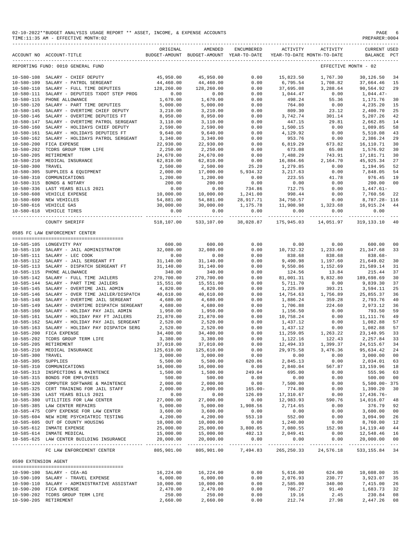#### 02-10-2022\*\*BUDGET ANALYSIS USAGE REPORT \*\* ASSET, INCOME, & EXPENSE ACCOUNTS PAGE 6 PAGE 6 PAGE 6 PAGE 6 PAGE 6 PAGE 6 PAGE 6 PAGE 6 PAGE 6 PAGE 6 PAGE 6 PAGE 6 PAGE 6 PAGE 6 PAGE 6 PAGE 6 PAGE 6 PAGE 6 PAGE 6 PAGE 6 PAGE TIME:11:35 AM - EFFECTIVE MONTH:02

------------------------------------------------------------------------------------------------------------------------------------------- ORIGINAL AMENDED ENCUMBERED ACTIVITY ACTIVITY CURRENT USED

|                                      | ACCOUNT NO ACCOUNT-TITLE                                                           |                        | BUDGET-AMOUNT BUDGET-AMOUNT YEAR-TO-DATE |                     | YEAR-TO-DATE MONTH-TO-DATE |                           | BALANCE PCT                 |                      |
|--------------------------------------|------------------------------------------------------------------------------------|------------------------|------------------------------------------|---------------------|----------------------------|---------------------------|-----------------------------|----------------------|
|                                      | REPORTING FUND: 0010 GENERAL FUND                                                  |                        |                                          |                     |                            |                           | EFFECTIVE MONTH - 02        |                      |
|                                      | 10-580-108 SALARY - CHIEF DEPUTY                                                   | 45,950.00              | 45,950.00                                | 0.00                | 15,823.50                  | 1,767.30                  | 30,126.50                   | -34                  |
| $10 - 580 - 109$                     | SALARY - PATROL SERGEANT                                                           | 44,460.00              | 44,460.00                                | 0.00                | 6,795.54                   | 1,708.82                  | 37,664.46                   | 15                   |
| $10 - 580 - 110$                     | SALARY - FULL TIME DEPUTIES                                                        | 128,260.00             | 128,260.00                               | 0.00                | 37,695.08                  | 3,288.64                  | 90,564.92                   | 29                   |
| $10 - 580 - 111$                     | SALARY - DEPUTIES TXDOT STEP PROG                                                  | 0.00                   | 0.00                                     | 0.00                | 1,044.47                   | 0.00                      | $1,044.47-$                 |                      |
| $10 - 580 - 115$                     | PHONE ALLOWANCE                                                                    | 1,670.00               | 1,670.00                                 | 0.00                | 498.24                     | 55.36                     | 1,171.76                    | 30                   |
| $10 - 580 - 120$                     | SALARY - PART TIME DEPUTIES                                                        | 5,000.00               | 5,000.00                                 | 0.00                | 764.80                     | 0.00                      | 4,235.20                    | 15                   |
| $10 - 580 - 145$                     | SALARY - OVERTIME CHIEF DEPUTY                                                     | 3,210.00               | 3,210.00                                 | 0.00                | 809.30                     | 23.12                     | 2,400.70                    | 25                   |
| 10-580-146<br>$10 - 580 - 147$       | SALARY - OVERTIME DEPUTIES FT<br>SALARY - OVERTIME PATROL SERGEANT                 | 8,950.00<br>3,110.00   | 8,950.00<br>3,110.00                     | 0.00<br>0.00        | 3,742.74<br>447.15         | 301.14<br>29.81           | 5,207.26<br>2,662.85        | 42<br>14             |
| $10 - 580 - 160$                     | SALARY - HOLIDAYS CHIEF DEPUTY                                                     | 2,590.00               | 2,590.00                                 | 0.00                | 1,500.15                   | 0.00                      | 1,089.85                    | 58                   |
| $10 - 580 - 161$                     | SALARY - HOLIDAYS DEPUTIES FT                                                      | 9,640.00               | 9,640.00                                 | 0.00                | 4,129.92                   | 0.00                      | 5,510.08                    | 43                   |
| $10 - 580 - 162$                     | SALARY - HOLIDAYS PATROL SERGEANT                                                  | 3,340.00               | 3,340.00                                 | 0.00                | 953.76                     | 0.00                      | 2,386.24                    | 29                   |
| $10 - 580 - 200$                     | FICA EXPENSE                                                                       | 22,930.00              | 22,930.00                                | 0.00                | 6,819.29                   | 673.82                    | 16,110.71                   | 30                   |
| $10 - 580 - 202$                     | TCDRS GROUP TERM LIFE                                                              | 2,250.00               | 2,250.00                                 | 0.00                | 673.08                     | 65.08                     | 1,576.92                    | 30                   |
| $10 - 580 - 205$                     | RETIREMENT                                                                         | 24,670.00              | 24,670.00                                | 0.00                | 7,488.29                   | 743.91                    | 17,181.71                   | 30                   |
| $10 - 580 - 210$                     | MEDICAL INSURANCE                                                                  | 62,810.00              | 62,810.00                                | 0.00                | 16,884.66                  | 2,164.70                  | 45, 925.34                  | 27                   |
| $10 - 580 - 300$                     | TRAVEL                                                                             | 2,500.00               | 2,500.00                                 | 25.20               | 1,279.85                   | 0.00                      | 1,194.95                    | 52                   |
| $10 - 580 - 305$                     | SUPPLIES & EQUIPMENT                                                               | 2,000.00               | 17,000.00                                | 5,934.32            | 3,217.63                   | 0.00                      | 7,848.05                    | 54                   |
| $10 - 580 - 310$                     | COMMUNICATIONS                                                                     | 1,200.00               | 1,200.00                                 | 0.00                | 223.55                     | 41.78                     | 976.45                      | 19<br>0 <sub>0</sub> |
| $10 - 580 - 315$<br>$10 - 580 - 336$ | BONDS & NOTARY<br>LAST YEARS BILLS 2021                                            | 200.00<br>0.00         | 200.00<br>0.00                           | 0.00<br>734.86      | 0.00<br>712.75             | 0.00<br>0.00              | 200.00<br>$1,447.61-$       |                      |
| $10 - 580 - 608$                     | VEHICLE EXPENSE                                                                    | 10,000.00              | 10,000.00                                | 1,241.00            | 998.44                     | 0.00                      | 7,760.56                    | 22                   |
| $10 - 580 - 609$                     | NEW VEHICLES                                                                       | 54,881.00              | 54,881.00                                | 28,917.71           | 34,750.57                  | 0.00                      | 8,787.28- 116               |                      |
|                                      | 10-580-616 VEHICLE GAS                                                             | 30,000.00              | 30,000.00                                | 1,175.78            | 11,908.98                  | 1,323.68                  | 16,915.24                   | 44                   |
|                                      | 10-580-618 VEHICLE TIRES                                                           | 0.00                   | 0.00<br>_____________                    | 0.00                | 0.00                       | 0.00                      | 0.00                        |                      |
|                                      | COUNTY SHERIFF                                                                     | 518,107.00             | 533,107.00                               | 38,028.87           | . <u>.</u><br>175,945.03   | ------------<br>14,051.97 | -------------<br>319,133.10 | 40                   |
|                                      | 0585 FC LAW ENFORCEMENT CENTER                                                     |                        |                                          |                     |                            |                           |                             |                      |
|                                      | 10-585-105 LONGEVITY PAY                                                           | 600.00                 | 600.00                                   | 0.00                | 0.00                       | 0.00                      | 600.00                      | 00                   |
|                                      | 10-585-110 SALARY - JAIL ADMINISTRATOR                                             | 32,080.00              | 32,080.00                                | 0.00                | 10,732.32                  | 1,233.60                  | 21, 347.68                  | 33                   |
|                                      | 10-585-111 SALARY - LEC COOK                                                       | 0.00                   | 0.00                                     | 0.00                | 838.68                     | 838.68                    | $838.68 -$                  |                      |
|                                      | 10-585-112 SALARY - JAIL SERGEANT FT                                               | 31,140.00              | 31,140.00                                | 0.00                | 9,490.98                   | 1,197.60                  | 21,649.02                   | 30                   |
|                                      | 10-585-113 SALARY - DISPATCH SERGEANT FT                                           | 31,140.00              | 31,140.00                                | 0.00                | 9,550.86                   | 1,152.69                  | 21,589.14                   | 31                   |
|                                      | 10-585-115 PHONE ALLOWANCE                                                         | 340.00                 | 340.00                                   | 0.00                | 124.56                     | 13.84                     | 215.44                      | 37                   |
|                                      | 10-585-142 SALARY - FULL TIME JAILERS                                              | 270,700.00             | 270,700.00                               | 0.00                | 81,001.31                  | 9,832.80                  | 189,698.69                  | 30                   |
|                                      | 10-585-144 SALARY - PART TIME JAILERS                                              | 15,551.00              | 15,551.00                                | 0.00                | 5,711.70                   | 0.00                      | 9,839.30                    | 37                   |
|                                      | 10-585-145 SALARY - OVERTIME JAIL ADMIN                                            | 4,820.00<br>40,610.00  | 4,820.00<br>40,610.00                    | 0.00<br>0.00        | 1,225.89                   | 393.21                    | 3,594.11                    | 25<br>36             |
| $10 - 585 - 146$<br>$10 - 585 - 148$ | SALARY - OVER TIME JAILER/DISPATCH<br>SALARY - OVERTIME JAIL SERGEANT              | 4,680.00               | 4,680.00                                 | 0.00                | 14,754.63<br>1,886.24      | 1,756.89<br>359.28        | 25,855.37<br>2,793.76       | 40                   |
| $10 - 585 - 149$                     | SALARY - OVERTIME DISPATCH SERGEANT                                                | 4,680.00               | 4,680.00                                 | 0.00                | 1,706.88                   | 224.60                    | 2,973.12                    | 36                   |
| $10 - 585 - 160$                     | SALARY - HOLIDAY PAY JAIL ADMIN                                                    | 1,950.00               | 1,950.00                                 | 0.00                | 1,156.50                   | 0.00                      | 793.50                      | 59                   |
| $10 - 585 - 161$                     | SALARY - HOLIDAY PAY FT JAILERS                                                    | 21,870.00              | 21,870.00                                | 0.00                | 10,758.24                  | 0.00                      | 11, 111.76                  | 49                   |
| $10 - 585 - 162$                     | SALARY - HOLIDAY PAY JAIL SERGEANT                                                 | 2,520.00               | 2,520.00                                 | 0.00                | 1,437.12                   | 0.00                      | 1,082.88                    | 57                   |
| $10 - 585 - 163$                     | SALARY - HOLIDAY PAY DISPATCH SERG                                                 | 2,520.00               | 2,520.00                                 | 0.00                | 1,437.12                   | 0.00                      | 1,082.88                    | 57                   |
| $10 - 585 - 200$                     | FICA EXPENSE                                                                       | 34,400.00              | 34,400.00                                | 0.00                | 11,259.05                  | 1,263.22                  | 23,140.95                   | 33                   |
| $10 - 585 - 202$                     | TCDRS GROUP TERM LIFE                                                              | 3,380.00               | 3,380.00                                 | 0.00                | 1,122.16                   | 122.43                    | 2,257.84                    | 33                   |
| $10 - 585 - 205$                     | RETIREMENT                                                                         | 37,010.00              | 37,010.00                                | 0.00                | 12,494.33                  | 1,399.37                  | 24,515.67                   | 34                   |
| $10 - 585 - 210$                     | MEDICAL INSURANCE                                                                  | 125,610.00             | 125,610.00                               | 0.00                | 29,975.58                  | 3,476.36                  | 95,634.42                   | 24                   |
| $10 - 585 - 300$                     | TRAVEL                                                                             | 3,000.00               | 3,000.00                                 | 0.00                | 0.00                       | 0.00                      | 3,000.00                    | 0 <sub>0</sub>       |
| 10-585-305 SUPPLIES                  |                                                                                    | 5,500.00               | 5,500.00                                 | 620.86              | 2,845.13                   | 0.00                      | 2,034.01                    | 63                   |
|                                      | 10-585-310 COMMUNICATIONS<br>10-585-313 INSPECTIONS & MAINTENCE                    | 16,000.00<br>1,500.00  | 16,000.00<br>1,500.00                    | 0.00<br>249.04      | 2,840.04<br>695.00         | 567.87<br>0.00            | 13,159.96<br>555.96         | 18<br>63             |
|                                      | 10-585-315 BONDS FOR EMPLOYEES                                                     | 500.00                 | 500.00                                   | 0.00                | 0.00                       | 0.00                      | 500.00                      | 00                   |
|                                      | 10-585-320 COMPUTER SOFTWARE & MAINTENCE                                           | 2,000.00               | 2,000.00                                 | 0.00                | 7,500.00                   | 0.00                      | $5,500.00 - 375$            |                      |
|                                      | 10-585-325 CERT TRAINING FOR JAIL STAFF                                            | 2,000.00               | 2,000.00                                 | $165.00 -$          | 774.80                     | 0.00                      | 1,390.20                    | 30                   |
|                                      | 10-585-336 LAST YEARS BILLS 2021                                                   | 0.00                   | 0.00                                     | 126.09              | 17,310.67                  | 0.00                      | 17,436.76-                  |                      |
|                                      | 10-585-380 UTILITIES FOR LAW CENTER                                                | 27,000.00              | 27,000.00                                | 0.00                | 12,983.93                  | 590.76                    | 14,016.07                   | 48                   |
|                                      | 10-585-385 LAW CENTER REPAIRS                                                      | 5,000.00               | 5,000.00                                 | 1,908.56            | 2,714.65                   | 0.00                      | 376.79                      | 92                   |
|                                      | 10-585-475 COPY EXPENSE FOR LAW CENTER                                             | 3,600.00               | 3,600.00                                 | 0.00                | 0.00                       | 0.00                      | 3,600.00                    | 00                   |
|                                      | 10-585-604 NEW HIRE PSYCHIATRIC TESTING                                            | 4,200.00               | 4,200.00                                 | 553.10              | 552.00                     | 0.00                      | 3,094.90                    | 26                   |
|                                      | 10-585-605 OUT OF COUNTY HOUSING                                                   | 10,000.00              | 10,000.00                                | 0.00                | 1,240.00                   | 0.00                      | 8,760.00                    | 12                   |
|                                      | 10-585-612 INMATE EXPENSE                                                          | 25,000.00              | 25,000.00                                | 3,800.05            | 7,080.55                   | 152.98                    | 14,119.40                   | 44                   |
|                                      | 10-585-614 INMATE MEDICAL<br>10-585-625 LAW CENTER BUILDING INSURANCE              | 15,000.00<br>20,000.00 | 15,000.00<br>20,000.00                   | 402.13<br>0.00      | 2,049.41<br>0.00           | 0.00<br>0.00              | 12,548.46<br>20,000.00      | 16<br>00             |
|                                      | FC LAW ENFORCEMENT CENTER                                                          | 805,901.00             | ______________                           | 805,901.00 7,494.83 |                            | 265, 250.33 24, 576.18    | 533,155.84                  | 34                   |
| 0590 EXTENSION AGENT                 |                                                                                    |                        |                                          |                     |                            |                           |                             |                      |
|                                      |                                                                                    |                        |                                          |                     |                            |                           |                             |                      |
|                                      | 10-590-100 SALARY - CEA-AG                                                         | 16,224.00              | 16,224.00                                | 0.00                | 5,616.00                   | 624.00                    | 10,608.00                   | 35                   |
|                                      | 10-590-109 SALARY - TRAVEL EXPENSE<br>10-590-110 SALARY - ADMINISTRATIVE ASSISTANT | 6,000.00               | 6,000.00                                 | 0.00<br>0.00        | 2,076.93<br>2,585.00       | 230.77                    | 3,923.07<br>7,415.00        | 35<br>26             |
|                                      | 10-590-200 FICA EXPENSE                                                            | 10,000.00<br>2,470.00  | 10,000.00<br>2,470.00                    | 0.00                | 786.27                     | 340.00<br>91.40           | 1,683.73                    | 32                   |
|                                      | 10-590-202 TCDRS GROUP TERM LIFE                                                   | 250.00                 | 250.00                                   | 0.00                | 19.16                      | 2.45                      | 230.84                      | 08                   |
|                                      | 10-590-205 RETIREMENT                                                              | 2,660.00               | 2,660.00                                 | 0.00                | 212.74                     | 27.98                     | 2,447.26                    | 08                   |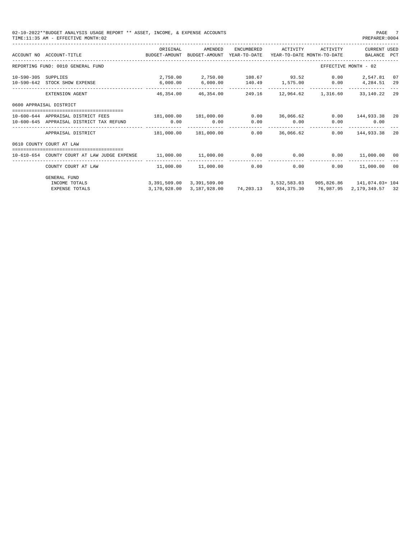|                  | 02-10-2022**BUDGET ANALYSIS USAGE REPORT ** ASSET, INCOME, & EXPENSE ACCOUNTS<br>PAGE 7<br>TIME: 11:35 AM - EFFECTIVE MONTH: 02<br>PREPARER: 0004<br>ORIGINAL<br>AMENDED<br>ENCUMBERED<br>ACTIVITY<br><b>CURRENT USED</b><br>ACTIVITY<br>BUDGET-AMOUNT YEAR-TO-DATE<br>ACCOUNT NO ACCOUNT-TITLE<br>BUDGET-AMOUNT<br>YEAR-TO-DATE MONTH-TO-DATE<br>BALANCE PCT<br>REPORTING FUND: 0010 GENERAL FUND<br>EFFECTIVE MONTH - 02<br>2,750.00 2,750.00<br>108.67 93.52<br>$0.00$ 2,547.81<br>SUPPLIES<br>07<br>6,000.00<br>140.49 1,575.00 0.00<br>10-590-642 STOCK SHOW EXPENSE<br>6,000.00<br>4,284.51<br>29<br>46,354,00<br>46,354,00<br>249.16<br>12,964.62 1,316.60<br>33,140.22<br>EXTENSION AGENT<br>29<br>0600 APPRAISAL DISTRICT<br>10-600-644 APPRAISAL DISTRICT FEES<br>181,000.00 181,000.00<br>0.00<br>0.00<br>144,933.38 20<br>36,066.62<br>0.00<br>0.00<br>0.00<br>0.00<br>0.00<br>10-600-645 APPRAISAL DISTRICT TAX REFUND<br>0.00<br>. _ _ _ _ _ _ _ _ _ _<br>-----------<br>36,066,62<br>181,000.00<br>181,000.00<br>0.00<br>0.00<br>144,933.38<br>APPRAISAL DISTRICT<br>20<br>0610 COUNTY COURT AT LAW<br>11,000.00 11,000.00<br>0.00<br>0.00<br>10-610-654 COUNTY COURT AT LAW JUDGE EXPENSE<br>0.00<br>11,000.00<br>00<br>11,000.00 11,000.00<br>11,000.00<br>0.00<br>0.00<br>0.00<br>COUNTY COURT AT LAW<br>00 |              |                                        |                      |  |           |                           |  |
|------------------|-------------------------------------------------------------------------------------------------------------------------------------------------------------------------------------------------------------------------------------------------------------------------------------------------------------------------------------------------------------------------------------------------------------------------------------------------------------------------------------------------------------------------------------------------------------------------------------------------------------------------------------------------------------------------------------------------------------------------------------------------------------------------------------------------------------------------------------------------------------------------------------------------------------------------------------------------------------------------------------------------------------------------------------------------------------------------------------------------------------------------------------------------------------------------------------------------------------------------------------------------------------------------------------------------------------------------------|--------------|----------------------------------------|----------------------|--|-----------|---------------------------|--|
|                  |                                                                                                                                                                                                                                                                                                                                                                                                                                                                                                                                                                                                                                                                                                                                                                                                                                                                                                                                                                                                                                                                                                                                                                                                                                                                                                                               |              |                                        |                      |  |           |                           |  |
|                  |                                                                                                                                                                                                                                                                                                                                                                                                                                                                                                                                                                                                                                                                                                                                                                                                                                                                                                                                                                                                                                                                                                                                                                                                                                                                                                                               |              |                                        |                      |  |           |                           |  |
| $10 - 590 - 305$ |                                                                                                                                                                                                                                                                                                                                                                                                                                                                                                                                                                                                                                                                                                                                                                                                                                                                                                                                                                                                                                                                                                                                                                                                                                                                                                                               |              |                                        |                      |  |           |                           |  |
|                  |                                                                                                                                                                                                                                                                                                                                                                                                                                                                                                                                                                                                                                                                                                                                                                                                                                                                                                                                                                                                                                                                                                                                                                                                                                                                                                                               |              |                                        |                      |  |           |                           |  |
|                  |                                                                                                                                                                                                                                                                                                                                                                                                                                                                                                                                                                                                                                                                                                                                                                                                                                                                                                                                                                                                                                                                                                                                                                                                                                                                                                                               |              |                                        |                      |  |           |                           |  |
|                  |                                                                                                                                                                                                                                                                                                                                                                                                                                                                                                                                                                                                                                                                                                                                                                                                                                                                                                                                                                                                                                                                                                                                                                                                                                                                                                                               |              |                                        |                      |  |           |                           |  |
|                  |                                                                                                                                                                                                                                                                                                                                                                                                                                                                                                                                                                                                                                                                                                                                                                                                                                                                                                                                                                                                                                                                                                                                                                                                                                                                                                                               |              |                                        |                      |  |           |                           |  |
|                  |                                                                                                                                                                                                                                                                                                                                                                                                                                                                                                                                                                                                                                                                                                                                                                                                                                                                                                                                                                                                                                                                                                                                                                                                                                                                                                                               |              |                                        |                      |  |           |                           |  |
|                  |                                                                                                                                                                                                                                                                                                                                                                                                                                                                                                                                                                                                                                                                                                                                                                                                                                                                                                                                                                                                                                                                                                                                                                                                                                                                                                                               |              |                                        |                      |  |           |                           |  |
|                  |                                                                                                                                                                                                                                                                                                                                                                                                                                                                                                                                                                                                                                                                                                                                                                                                                                                                                                                                                                                                                                                                                                                                                                                                                                                                                                                               |              |                                        |                      |  |           |                           |  |
|                  | <b>GENERAL FUND</b><br>INCOME TOTALS                                                                                                                                                                                                                                                                                                                                                                                                                                                                                                                                                                                                                                                                                                                                                                                                                                                                                                                                                                                                                                                                                                                                                                                                                                                                                          |              | 3,391,509.00 3,391,509.00 3,532,583.03 |                      |  |           | 905,826.86 141,074.03+104 |  |
|                  | <b>EXPENSE TOTALS</b>                                                                                                                                                                                                                                                                                                                                                                                                                                                                                                                                                                                                                                                                                                                                                                                                                                                                                                                                                                                                                                                                                                                                                                                                                                                                                                         | 3,170,928.00 | 3,187,928.00                           | 74,203.13 934,375.30 |  | 76,987.95 | 2, 179, 349.57 32         |  |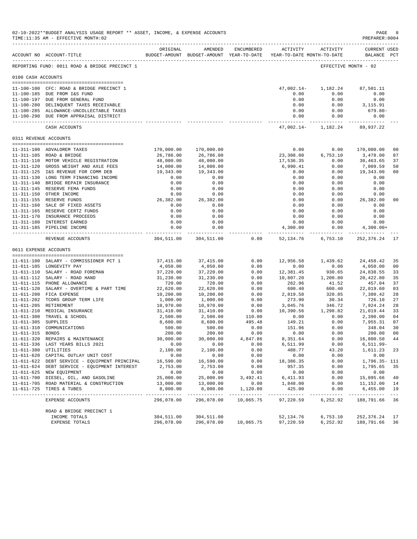|                     | 02-10-2022**BUDGET ANALYSIS USAGE REPORT ** ASSET, INCOME, & EXPENSE ACCOUNTS<br>TIME:11:35 AM - EFFECTIVE MONTH:02 |                         |                                                                                |                           |                                       |                                                      | PAGE<br>PREPARER: 0004             | 8                    |
|---------------------|---------------------------------------------------------------------------------------------------------------------|-------------------------|--------------------------------------------------------------------------------|---------------------------|---------------------------------------|------------------------------------------------------|------------------------------------|----------------------|
|                     | ACCOUNT NO ACCOUNT-TITLE                                                                                            | ORIGINAL                | AMENDED<br>BUDGET-AMOUNT BUDGET-AMOUNT YEAR-TO-DATE YEAR-TO-DATE MONTH-TO-DATE | ENCUMBERED                | ACTIVITY                              | ACTIVITY                                             | <b>CURRENT USED</b><br>BALANCE PCT |                      |
|                     | REPORTING FUND: 0011 ROAD & BRIDGE PRECINCT 1                                                                       |                         |                                                                                |                           |                                       |                                                      | EFFECTIVE MONTH - 02               |                      |
| 0100 CASH ACCOUNTS  |                                                                                                                     |                         |                                                                                |                           |                                       |                                                      |                                    |                      |
|                     | 11-100-100 CFC: ROAD & BRIDGE PRECINCT 1                                                                            |                         |                                                                                |                           | $47,002.14-$                          | 1,182.24                                             | 87,501.11                          |                      |
|                     | 11-100-185 DUE FROM I&S FUND                                                                                        |                         |                                                                                |                           | 0.00                                  | 0.00                                                 | 0.00                               |                      |
|                     | 11-100-197 DUE FROM GENERAL FUND                                                                                    |                         |                                                                                |                           | 0.00                                  | 0.00                                                 | 0.00                               |                      |
|                     | 11-100-280 DELINQUENT TAXES RECEIVABLE                                                                              |                         |                                                                                |                           | 0.00                                  | 0.00                                                 | 3,115.91                           |                      |
|                     | 11-100-285 ALLOWANCE-UNCOLLECTABLE TAXES<br>11-100-290 DUE FROM APPRAISAL DISTRICT                                  |                         |                                                                                |                           | 0.00<br>0.00                          | 0.00<br>0.00                                         | 679.80-<br>0.00                    |                      |
|                     | CASH ACCOUNTS                                                                                                       |                         |                                                                                |                           |                                       | ------------- ------------<br>$47,002.14 - 1,182.24$ | .<br>89,937.22                     |                      |
|                     | 0311 REVENUE ACCOUNTS                                                                                               |                         |                                                                                |                           |                                       |                                                      |                                    |                      |
|                     |                                                                                                                     |                         |                                                                                |                           |                                       |                                                      |                                    |                      |
|                     | 11-311-100 ADVALOREM TAXES<br>11-311-105 ROAD & BRIDGE                                                              | 170,000.00<br>26,786.00 | 170,000.00<br>26,786.00                                                        |                           | 0.00<br>23,308.00                     | 0.00<br>6,753.10                                     | 170,000.00<br>3,478.00             | 0 <sub>0</sub><br>87 |
|                     | 11-311-110 MOTOR VEHICLE REGISTRATION                                                                               | 48,000.00               | 48,000.00                                                                      |                           | 17,536.35                             | 0.00                                                 | 30,463.65                          | 37                   |
|                     | 11-311-120 GROSS WEIGHT AND AXLE FEES                                                                               | 14,000.00               | 14,000.00                                                                      |                           | 6,990.41                              | 0.00                                                 | 7,009.59                           | 50                   |
|                     | 11-311-125 I&S REVENUE FOR COMM DEB                                                                                 | 19,343.00               | 19,343.00                                                                      |                           | 0.00                                  | 0.00                                                 | 19,343.00                          | 0 <sub>0</sub>       |
|                     | 11-311-130 LONG TERM FINANCING INCOME                                                                               | 0.00                    | 0.00                                                                           |                           | 0.00                                  | 0.00                                                 | 0.00                               |                      |
|                     | 11-311-140 BRIDGE REPAIR INSURANCE                                                                                  | 0.00                    | 0.00                                                                           |                           | 0.00                                  | 0.00                                                 | 0.00                               |                      |
|                     | 11-311-145 RESERVE FEMA FUNDS                                                                                       | 0.00                    | 0.00                                                                           |                           | 0.00                                  | 0.00                                                 | 0.00                               |                      |
|                     | 11-311-150 OTHER INCOME                                                                                             | 0.00                    | 0.00                                                                           |                           | 0.00                                  | 0.00                                                 | 0.00                               |                      |
|                     | 11-311-155 RESERVE FUNDS                                                                                            | 26,382.00               | 26,382.00                                                                      |                           | 0.00                                  | 0.00                                                 | 26,382.00                          | 0 <sub>0</sub>       |
|                     | 11-311-160 SALE OF FIXED ASSETS<br>11-311-165 RESERVE CERTZ FUNDS                                                   | 0.00<br>0.00            | 0.00<br>0.00                                                                   |                           | 0.00<br>0.00                          | 0.00<br>0.00                                         | 0.00<br>0.00                       |                      |
|                     | 11-311-170 INSURANCE PROCEEDS                                                                                       | 0.00                    | 0.00                                                                           |                           | 0.00                                  | 0.00                                                 | 0.00                               |                      |
|                     | 11-311-180 INTEREST EARNED                                                                                          | 0.00                    | 0.00                                                                           |                           | 0.00                                  | 0.00                                                 | 0.00                               |                      |
|                     | 11-311-185 PIPELINE INCOME                                                                                          | 0.00                    | 0.00                                                                           |                           | 4,300.00                              | 0.00                                                 | $4,300.00+$                        |                      |
|                     | REVENUE ACCOUNTS                                                                                                    | 304,511.00              | 304,511.00                                                                     | 0.00                      | ________________________<br>52,134.76 | 6,753.10                                             | 252,376.24                         | 17                   |
|                     | 0611 EXPENSE ACCOUNTS                                                                                               |                         |                                                                                |                           |                                       |                                                      |                                    |                      |
|                     | -------------------------------------<br>11-611-100 SALARY - COMMISSIONER PCT 1                                     | 37,415.00               | 37,415.00                                                                      | 0.00                      |                                       | 12,956.58 1,439.62                                   | 24,458.42                          | 35                   |
|                     | 11-611-105 LONGEVITY PAY                                                                                            | 4,050.00                | 4,050.00                                                                       | 0.00                      | 0.00                                  | 0.00                                                 | 4,050.00                           | 0 <sub>0</sub>       |
|                     | 11-611-110 SALARY - ROAD FOREMAN                                                                                    | 37,220.00               | 37,220.00                                                                      | 0.00                      | 12,381.45                             | 930.65                                               | 24,838.55                          | 33                   |
|                     | 11-611-112 SALARY - ROAD HAND                                                                                       | 31,230.00               | 31,230.00                                                                      | 0.00                      | 10,807.20                             | 1,200.80                                             | 20,422.80                          | 35                   |
|                     | 11-611-115 PHONE ALLOWANCE                                                                                          | 720.00                  | 720.00                                                                         | 0.00                      | 262.96                                | 41.52                                                | 457.04                             | 37                   |
|                     | 11-611-120 SALARY - OVERTIME & PART TIME                                                                            | 22,620.00               | 22,620.00                                                                      | 0.00                      | 600.40                                | 600.40                                               | 22,019.60                          | 03                   |
|                     | 11-611-200 FICA EXPENSE                                                                                             | 10,200.00               | 10,200.00                                                                      | 0.00                      | 2,819.58                              | 320.85                                               | 7,380.42                           | 28                   |
|                     | 11-611-202 TCDRS GROUP TERM LIFE                                                                                    | 1,000.00                | 1,000.00                                                                       | 0.00                      | 273.90                                | 30.34                                                | 726.10                             | 27                   |
|                     | 11-611-205 RETIREMENT<br>11-611-210 MEDICAL INSURANCE                                                               | 10,970.00<br>31,410.00  | 10,970.00<br>31,410.00                                                         | 0.00<br>0.00              | 3,045.76<br>10,390.56                 | 346.72<br>1,298.82                                   | 7,924.24<br>21,019.44              | 28<br>33             |
|                     | 11-611-300 TRAVEL & SCHOOL                                                                                          | 2,500.00                | 2,500.00                                                                       | 110.00                    | 0.00                                  | 0.00                                                 | 2,390.00                           | 04                   |
| 11-611-305 SUPPLIES |                                                                                                                     | 8,600.00                | 8,600.00                                                                       | 495.48                    | 149.21                                | 0.00                                                 | 7,955.31                           | 07                   |
|                     | 11-611-310 COMMUNICATIONS                                                                                           | 500.00                  | 500.00                                                                         | 0.00                      | 151.96                                | 0.00                                                 | 348.04                             | 30                   |
| $11 - 611 - 315$    | <b>BONDS</b>                                                                                                        | 200.00                  | 200.00                                                                         | 0.00                      | 0.00                                  | 0.00                                                 | 200.00                             | 0 <sub>0</sub>       |
|                     | 11-611-320 REPAIRS & MAINTENANCE                                                                                    | 30,000.00               | 30,000.00                                                                      | 4,847.86                  | 8,351.64                              | 0.00                                                 | 16,800.50 44                       |                      |
|                     | 11-611-336 LAST YEARS BILLS 2021                                                                                    | 0.00                    | 0.00                                                                           | 0.00                      | 6,511.99                              | 0.00                                                 | 6,511.99-                          |                      |
|                     | 11-611-380 UTILITIES                                                                                                | 2,100.00                | 2,100.00                                                                       | 0.00                      | 488.77                                | 43.20                                                | 1,611.23                           | 23                   |
|                     | 11-611-620 CAPITAL OUTLAY UNIT COST<br>11-611-622 DEBT SERVICE - EQUIPMENT PRINCIPAL                                | 0.00<br>16,590.00       | 0.00<br>16,590.00                                                              | 0.00<br>0.00              | 0.00<br>18,386.35                     | 0.00<br>0.00                                         | 0.00<br>1,796.35- 111              |                      |
|                     | 11-611-624 DEBT SERVICE - EQUIPMENT INTEREST                                                                        | 2,753.00                | 2,753.00                                                                       | 0.00                      | 957.35                                | 0.00                                                 | 1,795.65                           | 35                   |
|                     | 11-611-625 NEW EQUIPMENT                                                                                            | 0.00                    | 0.00                                                                           | 0.00                      | 0.00                                  | 0.00                                                 | 0.00                               |                      |
|                     | 11-611-700 DIESEL, OIL, AND GASOLINE                                                                                | 25,000.00               | 25,000.00                                                                      | 3,492.41                  | 6,411.93                              | 0.00                                                 | 15,095.66                          | 40                   |
|                     | 11-611-705 ROAD MATERIAL & CONSTRUCTION                                                                             | 13,000.00               | 13,000.00                                                                      | 0.00                      | 1,848.00                              | 0.00                                                 | 11,152.00                          | 14                   |
|                     | 11-611-725 TIRES & TUBES                                                                                            | 8,000.00                | 8,000.00<br>-------------                                                      | 1,120.00<br>------------- | 425.00<br>--------------              | 0.00<br>-----------                                  | 6,455.00                           | 19                   |
|                     | EXPENSE ACCOUNTS                                                                                                    | 296,078.00              | 296,078.00                                                                     | 10,065.75                 | 97,220.59                             | 6,252.92                                             | 188,791.66 36                      |                      |
|                     | ROAD & BRIDGE PRECINCT 1                                                                                            |                         |                                                                                |                           |                                       |                                                      |                                    |                      |
|                     | INCOME TOTALS                                                                                                       | 304,511.00              | 304,511.00                                                                     |                           | 52,134.76                             | 6,753.10                                             | 252, 376. 24 17                    |                      |
|                     | EXPENSE TOTALS                                                                                                      | 296,078.00              |                                                                                | 296,078.00 10,065.75      | 97,220.59                             | 6,252.92                                             | 188,791.66                         | 36                   |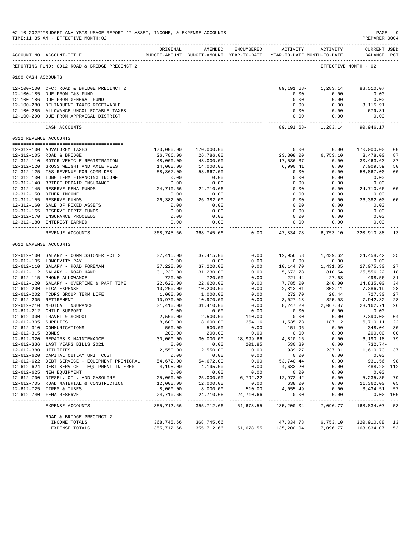|                       | 02-10-2022**BUDGET ANALYSIS USAGE REPORT ** ASSET, INCOME, & EXPENSE ACCOUNTS<br>TIME:11:35 AM - EFFECTIVE MONTH:02 |                            |                                                                                |                           |                       |                                   | PAGE<br>PREPARER: 0004             | 9                          |
|-----------------------|---------------------------------------------------------------------------------------------------------------------|----------------------------|--------------------------------------------------------------------------------|---------------------------|-----------------------|-----------------------------------|------------------------------------|----------------------------|
|                       | ACCOUNT NO ACCOUNT-TITLE                                                                                            | ORIGINAL                   | AMENDED<br>BUDGET-AMOUNT BUDGET-AMOUNT YEAR-TO-DATE YEAR-TO-DATE MONTH-TO-DATE |                           |                       | ENCUMBERED ACTIVITY ACTIVITY      | <b>CURRENT USED</b><br>BALANCE PCT |                            |
|                       | REPORTING FUND: 0012 ROAD & BRIDGE PRECINCT 2                                                                       |                            |                                                                                |                           |                       | EFFECTIVE MONTH - 02              |                                    |                            |
| 0100 CASH ACCOUNTS    |                                                                                                                     |                            |                                                                                |                           |                       |                                   |                                    |                            |
|                       | 12-100-100 CFC: ROAD & BRIDGE PRECINCT 2                                                                            |                            |                                                                                |                           | 89,191.68-            | 1,283.14                          | 88,510.07                          |                            |
|                       | 12-100-185 DUE FROM I&S FUND                                                                                        |                            |                                                                                |                           | 0.00                  | 0.00                              | 0.00                               |                            |
|                       | 12-100-186 DUE FROM GENERAL FUND                                                                                    |                            |                                                                                |                           | 0.00                  | 0.00                              | 0.00                               |                            |
|                       | 12-100-280 DELINQUENT TAXES RECEIVABLE                                                                              |                            |                                                                                |                           | 0.00                  | 0.00                              | 3,115.91                           |                            |
|                       | 12-100-285 ALLOWANCE-UNCOLLECTABLE TAXES                                                                            |                            |                                                                                |                           | 0.00                  | 0.00                              | 679.81-                            |                            |
|                       | 12-100-290 DUE FROM APPRAISAL DISTRICT                                                                              |                            |                                                                                |                           | 0.00                  | 0.00                              | 0.00                               |                            |
|                       | CASH ACCOUNTS                                                                                                       |                            |                                                                                |                           |                       | 89, 191.68 - 1, 283.14 90, 946.17 |                                    |                            |
| 0312 REVENUE ACCOUNTS |                                                                                                                     |                            |                                                                                |                           |                       |                                   |                                    |                            |
|                       | -------------------------------------                                                                               |                            |                                                                                |                           | 0.00                  |                                   |                                    |                            |
|                       | 12-312-100 ADVALOREM TAXES<br>12-312-105 ROAD & BRIDGE                                                              | 170,000.00<br>26,786.00    | 170,000.00<br>26,786.00                                                        |                           | 23,308.00             | 0.00<br>6,753.10                  | 170,000.00<br>3,478.00             | 00<br>87                   |
|                       | 12-312-110 MOTOR VEHICLE REGISTRATION                                                                               | 48,000.00                  | 48,000.00                                                                      |                           | 17,536.37             | 0.00                              | 30,463.63                          | 37                         |
|                       | 12-312-120 GROSS WEIGHT AND AXLE FEES                                                                               | 14,000.00                  | 14,000.00                                                                      |                           | 6,990.41              | 0.00                              | 7,009.59                           | 50                         |
|                       | 12-312-125 I&S REVENUE FOR COMM DEB                                                                                 | 58,867.00                  | 58,867.00                                                                      |                           | 0.00                  | 0.00                              | 58,867.00                          | 00                         |
|                       | 12-312-130 LONG TERM FINANCING INCOME                                                                               | 0.00                       | 0.00                                                                           |                           | 0.00                  | 0.00                              | 0.00                               |                            |
|                       | 12-312-140 BRIDGE REPAIR INSURANCE                                                                                  | 0.00                       | 0.00                                                                           |                           | 0.00                  | 0.00                              | 0.00                               |                            |
|                       | 12-312-145 RESERVE FEMA FUNDS                                                                                       | 24,710.66                  | 24,710.66                                                                      |                           | 0.00                  | 0.00                              | 24,710.66                          | 00                         |
|                       | 12-312-150 OTHER INCOME                                                                                             | 0.00                       | 0.00                                                                           |                           | 0.00                  | 0.00                              | 0.00                               |                            |
|                       | 12-312-155 RESERVE FUNDS                                                                                            | 26,382.00                  | 26,382.00                                                                      |                           | 0.00                  | 0.00                              | 26,382.00                          | 00                         |
|                       | 12-312-160 SALE OF FIXED ASSETS                                                                                     | 0.00                       | 0.00                                                                           |                           | 0.00                  | 0.00                              | 0.00                               |                            |
|                       | 12-312-165 RESERVE CERTZ FUNDS                                                                                      | 0.00                       | 0.00                                                                           |                           | 0.00                  | 0.00                              | 0.00                               |                            |
|                       | 12-312-170 INSURANCE PROCEEDS                                                                                       | 0.00                       | 0.00                                                                           |                           | 0.00                  | 0.00                              | 0.00                               |                            |
|                       | 12-312-180 INTEREST EARNED                                                                                          | 0.00                       | 0.00<br>-----------                                                            |                           | 0.00                  | 0.00                              | 0.00<br>.                          |                            |
|                       | REVENUE ACCOUNTS                                                                                                    | 368,745.66                 | 368,745.66                                                                     | 0.00                      | 47,834.78             |                                   | 6,753.10 320,910.88                | 13                         |
| 0612 EXPENSE ACCOUNTS |                                                                                                                     |                            |                                                                                |                           |                       |                                   |                                    |                            |
|                       | 12-612-100 SALARY - COMMISSIONER PCT 2                                                                              | 37,415.00                  | 37,415.00                                                                      | 0.00                      |                       | 12,956.58 1,439.62                | 24,458.42                          | 35                         |
|                       | 12-612-105 LONGEVITY PAY                                                                                            | 0.00                       | 0.00                                                                           | 0.00                      | 0.00                  | 0.00                              | 0.00                               |                            |
|                       | 12-612-110 SALARY - ROAD FOREMAN                                                                                    | 37,220.00                  | 37,220.00                                                                      | 0.00                      | 10,144.70             | 1,431.35                          | 27,075.30                          | 27                         |
|                       | 12-612-112 SALARY - ROAD HAND                                                                                       | 31,230.00                  | 31,230.00                                                                      | 0.00                      | 5,673.78              | 810.54                            | 25,556.22                          | 18                         |
|                       | 12-612-115 PHONE ALLOWANCE                                                                                          | 720.00                     | 720.00                                                                         | 0.00                      | 221.44                | 27.68                             | 498.56                             | 31                         |
|                       | 12-612-120 SALARY - OVERTIME & PART TIME                                                                            | 22,620.00                  | 22,620.00                                                                      | 0.00                      | 7,785.00              | 240.00                            | 14,835.00                          | 34                         |
|                       | 12-612-200 FICA EXPENSE                                                                                             | 10,200.00                  | 10,200.00                                                                      | 0.00                      | 2,813.81              | 302.11                            | 7,386.19                           | 28                         |
|                       | 12-612-202 TCDRS GROUP TERM LIFE                                                                                    | 1,000.00                   | 1,000.00                                                                       | 0.00                      | 272.70                | 28.44                             | 727.30                             | 27                         |
|                       | 12-612-205 RETIREMENT                                                                                               | 10,970.00<br>31,410.00     | 10,970.00<br>31,410.00                                                         | 0.00                      | 3,027.18<br>8,247.29  | 325.03                            | 7,942.82                           | 28<br>26                   |
|                       | 12-612-210 MEDICAL INSURANCE<br>12-612-212 CHILD SUPPORT                                                            | 0.00                       | 0.00                                                                           | 0.00<br>0.00              | 0.00                  | 2,067.07<br>0.00                  | 23, 162. 71<br>0.00                |                            |
|                       | 12-612-300 TRAVEL & SCHOOL                                                                                          | 2,500.00                   | 2,500.00                                                                       | 110.00                    | 0.00                  | 0.00                              | 2,390.00                           | 04                         |
| 12-612-305 SUPPLIES   |                                                                                                                     | 8,600.00                   | 8,600.00                                                                       | 354.16                    | 1,535.73              | 187.12                            | 6,710.11                           | 22                         |
|                       | 12-612-310 COMMUNICATIONS                                                                                           | 500.00                     | 500.00                                                                         | 0.00                      | 151.96                | 0.00                              | 348.04                             | 30                         |
| 12-612-315 BONDS      |                                                                                                                     | 200.00                     | 200.00                                                                         | 0.00                      | 0.00                  | 0.00                              | 200.00                             | 0 <sup>0</sup>             |
|                       | 12-612-320 REPAIRS & MAINTENANCE                                                                                    | 30,000.00                  | 30,000.00                                                                      | 18,999.66                 | 4,810.16              | 0.00                              | 6,190.18                           | 79                         |
|                       | 12-612-336 LAST YEARS BILLS 2021                                                                                    | 0.00                       | 0.00                                                                           | 201.85                    | 530.89                | 0.00                              | $732.74-$                          |                            |
| 12-612-380 UTILITIES  |                                                                                                                     | 2,550.00                   | 2,550.00                                                                       | 0.00                      | 939.27                | 237.81                            | 1,610.73 37                        |                            |
|                       | 12-612-620 CAPITAL OUTLAY UNIT COST                                                                                 | 0.00                       | 0.00                                                                           | 0.00                      | 0.00                  | 0.00                              | 0.00                               |                            |
|                       | 12-612-622 DEBT SERVICE - EQUIPMENT PRINICPAL                                                                       | 54,672.00                  | 54,672.00                                                                      | 0.00                      | 53,740.44             | 0.00                              | 931.56                             | 98                         |
|                       | 12-612-624 DEBT SERVICE - EQUIPMENT INTEREST                                                                        | 4,195.00                   | 4,195.00                                                                       | 0.00                      | 4,683.20              | 0.00                              | 488.20- 112                        |                            |
|                       | 12-612-625 NEW EQUIPMENT<br>12-612-700 DIESEL, OIL, AND GASOLINE                                                    | 0.00<br>25,000.00          | 0.00<br>25,000.00                                                              | 0.00                      | 0.00                  | 0.00                              | 0.00<br>5,235.36                   | 79                         |
|                       | 12-612-705 ROAD MATERIAL & CONSTRUCTION                                                                             | 12,000.00                  | 12,000.00                                                                      | 6,792.22<br>0.00          | 12,972.42<br>638.00   | 0.00<br>0.00                      | 11,362.00                          | 05                         |
|                       | 12-612-725 TIRES & TUBES                                                                                            | 8,000.00                   | 8,000.00                                                                       | 510.00                    | 4,055.49              | 0.00                              | 3,434.51                           | 57                         |
|                       | 12-612-740 FEMA RESERVE                                                                                             | 24,710.66                  | 24,710.66                                                                      | 24,710.66                 | 0.00                  | 0.00                              |                                    | 0.00 100                   |
|                       | -----------------------------<br>EXPENSE ACCOUNTS                                                                   | . <i>.</i> .<br>355,712.66 | -------------<br>355,712.66                                                    | ____________<br>51,678.55 | -------<br>135,200.04 | 7,096.77                          | 168,834.07                         | $\sim$ $\sim$ $\sim$<br>53 |
|                       | ROAD & BRIDGE PRECINCT 2                                                                                            |                            |                                                                                |                           |                       |                                   |                                    |                            |
|                       | INCOME TOTALS                                                                                                       | 368,745.66                 | 368,745.66                                                                     |                           | 47,834.78             | 6,753.10                          | 320,910.88                         | 13                         |
|                       | EXPENSE TOTALS                                                                                                      | 355,712.66                 | 355,712.66                                                                     | 51,678.55                 | 135,200.04            | 7,096.77                          | 168,834.07                         | 53                         |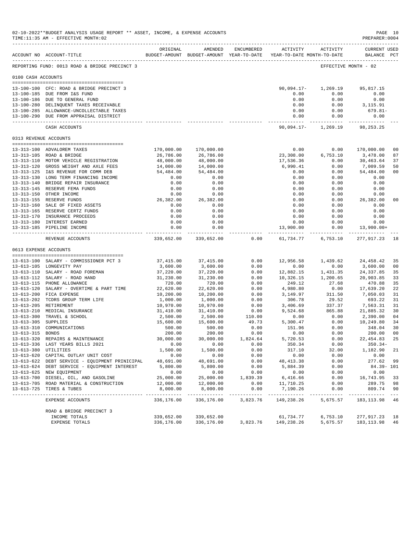|                     | 02-10-2022**BUDGET ANALYSIS USAGE REPORT ** ASSET, INCOME, & EXPENSE ACCOUNTS<br>TIME:11:35 AM - EFFECTIVE MONTH:02 |                                   |                       |              |                                                                     |                          | PAGE 10<br>PREPARER: 0004          |                      |
|---------------------|---------------------------------------------------------------------------------------------------------------------|-----------------------------------|-----------------------|--------------|---------------------------------------------------------------------|--------------------------|------------------------------------|----------------------|
|                     | ACCOUNT NO ACCOUNT-TITLE                                                                                            | ORIGINAL                          | AMENDED               | ENCUMBERED   | BUDGET-AMOUNT BUDGET-AMOUNT YEAR-TO-DATE YEAR-TO-DATE MONTH-TO-DATE | ACTIVITY ACTIVITY        | <b>CURRENT USED</b><br>BALANCE PCT |                      |
|                     | REPORTING FUND: 0013 ROAD & BRIDGE PRECINCT 3                                                                       |                                   |                       |              |                                                                     |                          | EFFECTIVE MONTH - 02               |                      |
| 0100 CASH ACCOUNTS  |                                                                                                                     |                                   |                       |              |                                                                     |                          |                                    |                      |
|                     | 13-100-100 CFC: ROAD & BRIDGE PRECINCT 3                                                                            |                                   |                       |              | $90,094.17-$                                                        | 1,269.19                 | 95,817.15                          |                      |
|                     | 13-100-185 DUE FROM I&S FUND                                                                                        |                                   |                       |              | 0.00                                                                | 0.00                     | 0.00                               |                      |
|                     | 13-100-186 DUE TO GENERAL FUND                                                                                      |                                   |                       |              | 0.00                                                                | 0.00                     | 0.00                               |                      |
|                     | 13-100-280 DELINQUENT TAXES RECEIVABLE                                                                              |                                   |                       |              | 0.00                                                                | 0.00                     | 3,115.91                           |                      |
|                     | 13-100-285 ALLOWANCE-UNCOLLECTABLE TAXES<br>13-100-290 DUE FROM APPRAISAL DISTRICT                                  |                                   |                       |              | 0.00<br>0.00                                                        | 0.00<br>0.00             | 679.81-<br>0.00                    |                      |
|                     | CASH ACCOUNTS                                                                                                       |                                   |                       |              | ------------ -<br>90,094.17-                                        | ------------<br>1,269.19 | 98, 253. 25                        |                      |
|                     | 0313 REVENUE ACCOUNTS                                                                                               |                                   |                       |              |                                                                     |                          |                                    |                      |
|                     |                                                                                                                     |                                   |                       |              |                                                                     |                          |                                    |                      |
|                     | 13-313-100 ADVALOREM TAXES                                                                                          | 170,000.00                        | 170,000.00            |              | 0.00                                                                | 0.00                     | 170,000.00                         | 0 <sub>0</sub>       |
|                     | 13-313-105 ROAD & BRIDGE                                                                                            | 26,786.00                         | 26,786.00             |              | 23,308.00                                                           | 6,753.10                 | 3,478.00                           | 87                   |
|                     | 13-313-110 MOTOR VEHICLE REGISTRATION                                                                               | 48,000.00                         | 48,000.00             |              | 17,536.36                                                           | 0.00                     | 30,463.64                          | 37                   |
|                     | 13-313-120 GROSS WEIGHT AND AXLE FEES                                                                               | 14,000.00                         | 14,000.00             |              | 6,990.41                                                            | 0.00                     | 7,009.59                           | 50                   |
|                     | 13-313-125 I&S REVENUE FOR COMM DEB                                                                                 | 54,484.00                         | 54,484.00             |              | 0.00                                                                | 0.00                     | 54,484.00                          | 0 <sub>0</sub>       |
|                     | 13-313-130 LONG TERM FINANCING INCOME                                                                               | 0.00                              | 0.00                  |              | 0.00                                                                | 0.00                     | 0.00                               |                      |
|                     | 13-313-140 BRIDGE REPAIR INSURANCE                                                                                  | 0.00                              | 0.00                  |              | 0.00                                                                | 0.00                     | 0.00                               |                      |
|                     | 13-313-145 RESERVE FEMA FUNDS                                                                                       | 0.00                              | 0.00                  |              | 0.00                                                                | 0.00                     | 0.00                               |                      |
|                     | 13-313-150 OTHER INCOME<br>13-313-155 RESERVE FUNDS                                                                 | 0.00<br>26,382.00                 | 0.00<br>26,382.00     |              | 0.00<br>0.00                                                        | 0.00<br>0.00             | 0.00<br>26,382.00                  | 0 <sub>0</sub>       |
|                     | 13-313-160 SALE OF FIXED ASSETS                                                                                     | 0.00                              | 0.00                  |              | 0.00                                                                | 0.00                     | 0.00                               |                      |
|                     | 13-313-165 RESERVE CERTZ FUNDS                                                                                      | 0.00                              | 0.00                  |              | 0.00                                                                | 0.00                     | 0.00                               |                      |
|                     | 13-313-170 INSURANCE PROCEEDS                                                                                       | 0.00                              | 0.00                  |              | 0.00                                                                | 0.00                     | 0.00                               |                      |
|                     | 13-313-180 INTEREST EARNED                                                                                          | 0.00                              | 0.00                  |              | 0.00                                                                | 0.00                     | 0.00                               |                      |
|                     | 13-313-185 PIPELINE INCOME                                                                                          | 0.00<br>. _ _ _ _ _ _ _ _ _ _ _ _ | 0.00<br>------------  |              | 13,900.00                                                           | 0.00                     | 13,900.00+<br>-------------        |                      |
|                     | REVENUE ACCOUNTS                                                                                                    | 339,652.00                        | 339,652.00            | 0.00         | 61,734.77                                                           | 6,753.10                 | 277,917.23                         | 18                   |
|                     | 0613 EXPENSE ACCOUNTS                                                                                               |                                   |                       |              |                                                                     |                          |                                    |                      |
|                     | --------------------------------------                                                                              |                                   |                       |              |                                                                     |                          |                                    |                      |
|                     | 13-613-100 SALARY - COMMISSIONER PCT 3<br>13-613-105 LONGEVITY PAY                                                  | 37, 415.00                        | 37,415.00             | 0.00<br>0.00 | 12,956.58<br>0.00                                                   | 1,439.62<br>0.00         | 24,458.42                          | 35<br>0 <sup>0</sup> |
|                     | 13-613-110 SALARY - ROAD FOREMAN                                                                                    | 3,600.00<br>37,220.00             | 3,600.00<br>37,220.00 | 0.00         | 12,882.15                                                           | 1,431.35                 | 3,600.00<br>24, 337.85             | 35                   |
|                     | 13-613-112 SALARY - ROAD HAND                                                                                       | 31,230.00                         | 31,230.00             | 0.00         | 10,326.15                                                           | 1,200.65                 | 20,903.85                          | 33                   |
|                     | 13-613-115 PHONE ALLOWANCE                                                                                          | 720.00                            | 720.00                | 0.00         | 249.12                                                              | 27.68                    | 470.88                             | 35                   |
|                     | 13-613-120 SALARY - OVERTIME & PART TIME                                                                            | 22,620.00                         | 22,620.00             | 0.00         | 4,980.80                                                            | 0.00                     | 17,639.20                          | 22                   |
|                     | 13-613-200 FICA EXPENSE                                                                                             | 10,200.00                         | 10,200.00             | 0.00         | 3,149.97                                                            | 311.50                   | 7,050.03                           | 31                   |
|                     | 13-613-202 TCDRS GROUP TERM LIFE                                                                                    | 1,000.00                          | 1,000.00              | 0.00         | 306.78                                                              | 29.52                    | 693.22                             | 31                   |
|                     | 13-613-205 RETIREMENT                                                                                               | 10,970.00                         | 10,970.00             | 0.00         | 3,406.69                                                            | 337.37                   | 7,563.31                           | 31                   |
|                     | 13-613-210 MEDICAL INSURANCE                                                                                        | 31,410.00                         | 31,410.00             | 0.00         | 9,524.68                                                            | 865.88                   | 21,885.32                          | 30                   |
|                     | 13-613-300 TRAVEL & SCHOOL                                                                                          | 2,500.00                          | 2,500.00              | 110.00       | 0.00                                                                | 0.00                     | 2,390.00                           | 04                   |
| 13-613-305 SUPPLIES |                                                                                                                     | 15,600.00                         | 15,600.00             | 49.73        | 5,300.47                                                            | 0.00                     | 10,249.80                          | 34                   |
|                     | 13-613-310 COMMUNICATIONS                                                                                           | 500.00                            | 500.00                | 0.00         | 151.96                                                              | 0.00                     | 348.04                             | 30                   |
| 13-613-315 BONDS    |                                                                                                                     | 200.00                            | 200.00                | 0.00         | 0.00                                                                | 0.00                     | 200.00                             | 0 <sub>0</sub>       |
|                     | 13-613-320 REPAIRS & MAINTENANCE                                                                                    | 30,000.00                         | 30,000.00             | 1,824.64     | 5,720.53                                                            | 0.00                     | 22, 454.83 25                      |                      |
|                     | 13-613-336 LAST YEARS BILLS 2021<br>13-613-380 UTILITIES                                                            | 0.00<br>1,500.00                  | 0.00<br>1,500.00      | 0.00<br>0.00 | 350.34<br>317.10                                                    | 0.00<br>32.00            | 350.34-<br>1,182.90                | 21                   |
|                     | 13-613-620 CAPITAL OUTLAY UNIT COST                                                                                 | 0.00                              | 0.00                  | 0.00         | 0.00                                                                | 0.00                     | 0.00                               |                      |
|                     | 13-613-622 DEBT SERVICE - EQUIPMENT PRINICIPAL                                                                      | 48,691.00                         | 48,691.00             | 0.00         | 48,413.38                                                           | 0.00                     | 277.62 99                          |                      |
|                     | 13-613-624 DEBT SERVICE - EQUIPMENT INTEREST                                                                        | 5,800.00                          | 5,800.00              | 0.00         | 5,884.39                                                            | 0.00                     | 84.39- 101                         |                      |
|                     | 13-613-625 NEW EQUIPMENT                                                                                            | 0.00                              | 0.00                  | 0.00         | 0.00                                                                | 0.00                     | 0.00                               |                      |
|                     | 13-613-700 DIESEL, OIL, AND GASOLINE                                                                                | 25,000.00                         | 25,000.00 1,839.39    |              |                                                                     | 0.00                     | 16,743.95                          | 33                   |
|                     | 13-613-705 ROAD MATERIAL & CONSTRUCTION                                                                             | 12,000.00                         | 12,000.00             | 0.00         | 6,416.66<br>11,710.25                                               | 0.00                     | 289.75                             | 98                   |
|                     | 13-613-725 TIRES & TUBES                                                                                            | 8,000.00                          | 8,000.00              | 0.00         | 7,190.26                                                            | 0.00                     | 809.74                             | 90                   |
|                     | EXPENSE ACCOUNTS                                                                                                    | 336,176.00                        | 336,176.00            | 3,823.76     | 149,238.26                                                          | 5,675.57                 | 183, 113.98 46                     |                      |
|                     | ROAD & BRIDGE PRECINCT 3                                                                                            |                                   |                       |              |                                                                     |                          |                                    |                      |
|                     | INCOME TOTALS<br>EXPENSE TOTALS                                                                                     | 339,652.00<br>336,176.00          | 339,652.00            |              | 61,734.77<br>336,176.00 3,823.76 149,238.26 5,675.57 183,113.98     | 6,753.10                 | 277,917.23 18                      | -46                  |
|                     |                                                                                                                     |                                   |                       |              |                                                                     |                          |                                    |                      |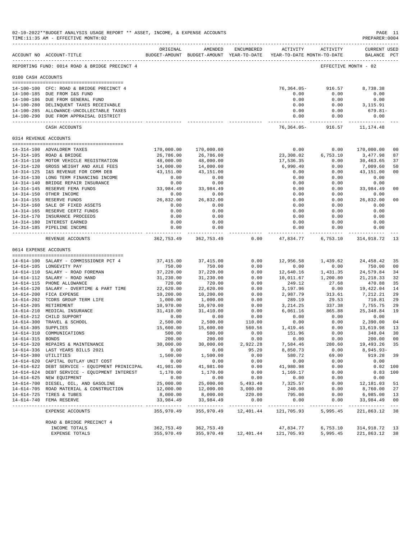|                     | 02-10-2022**BUDGET ANALYSIS USAGE REPORT ** ASSET, INCOME, & EXPENSE ACCOUNTS<br>TIME:11:35 AM - EFFECTIVE MONTH:02<br>______________________________________ |                           |                            |                        |                                                                     |                                              | PAGE 11<br>PREPARER: 0004          |                      |
|---------------------|---------------------------------------------------------------------------------------------------------------------------------------------------------------|---------------------------|----------------------------|------------------------|---------------------------------------------------------------------|----------------------------------------------|------------------------------------|----------------------|
|                     | ACCOUNT NO ACCOUNT-TITLE                                                                                                                                      | ORIGINAL                  | AMENDED                    | ENCUMBERED             | BUDGET-AMOUNT BUDGET-AMOUNT YEAR-TO-DATE YEAR-TO-DATE MONTH-TO-DATE | ACTIVITY ACTIVITY                            | <b>CURRENT USED</b><br>BALANCE PCT |                      |
|                     | REPORTING FUND: 0014 ROAD & BRIDGE PRECINCT 4                                                                                                                 |                           |                            |                        |                                                                     | EFFECTIVE MONTH - 02                         |                                    |                      |
| 0100 CASH ACCOUNTS  |                                                                                                                                                               |                           |                            |                        |                                                                     |                                              |                                    |                      |
|                     | 14-100-100 CFC: ROAD & BRIDGE PRECINCT 4                                                                                                                      |                           |                            |                        |                                                                     | 76,364.05-916.57                             | 8,738.38                           |                      |
|                     | 14-100-185 DUE FROM I&S FUND                                                                                                                                  |                           |                            |                        | 0.00                                                                | 0.00                                         | 0.00                               |                      |
|                     | 14-100-186 DUE FROM GENERAL FUND                                                                                                                              |                           |                            |                        | 0.00                                                                | 0.00                                         | 0.00                               |                      |
|                     | 14-100-280 DELINQUENT TAXES RECEIVABLE                                                                                                                        |                           |                            |                        | 0.00                                                                | 0.00                                         | 3,115.91                           |                      |
|                     | 14-100-285 ALLOWANCE-UNCOLLECTABLE TAXES                                                                                                                      |                           |                            |                        | 0.00                                                                | 0.00                                         | 679.81-                            |                      |
|                     | 14-100-290 DUE FROM APPRAISAL DISTRICT                                                                                                                        |                           |                            |                        | 0.00<br>------------                                                | 0.00<br>------------                         | 0.00<br>------------               |                      |
|                     | CASH ACCOUNTS                                                                                                                                                 |                           |                            |                        |                                                                     | 76,364.05-916.57                             | 11,174.48                          |                      |
|                     | 0314 REVENUE ACCOUNTS                                                                                                                                         |                           |                            |                        |                                                                     |                                              |                                    |                      |
|                     | 14-314-100 ADVALOREM TAXES                                                                                                                                    | 170,000.00                | 170,000.00                 |                        | 0.00                                                                | 0.00                                         | 170,000.00                         | 0 <sub>0</sub>       |
|                     | 14-314-105 ROAD & BRIDGE                                                                                                                                      | 26,786.00                 | 26,786.00                  |                        | 23,308.02                                                           | 6,753.10                                     | 3,477.98                           | 87                   |
|                     | 14-314-110 MOTOR VEHICLE REGISTRATION                                                                                                                         | 48,000.00                 | 48,000.00                  |                        | 17,536.35                                                           | 0.00                                         | 30,463.65                          | 37                   |
|                     | 14-314-120 GROSS WEIGHT AND AXLE FEES                                                                                                                         | 14,000.00                 | 14,000.00                  |                        | 6,990.40                                                            | 0.00                                         | 7,009.60                           | 50                   |
|                     | 14-314-125 I&S REVENUE FOR COMM DEB                                                                                                                           | 43,151.00                 | 43,151.00                  |                        | 0.00                                                                | 0.00                                         | 43,151.00                          | 0 <sub>0</sub>       |
|                     | 14-314-130 LONG TERM FINANCING INCOME                                                                                                                         | 0.00                      | 0.00                       |                        | 0.00                                                                | 0.00                                         | 0.00                               |                      |
|                     | 14-314-140 BRIDGE REPAIR INSURANCE                                                                                                                            | 0.00                      | 0.00                       |                        | 0.00                                                                | 0.00                                         | 0.00                               |                      |
|                     | 14-314-145 RESERVE FEMA FUNDS<br>14-314-150 OTHER INCOME                                                                                                      | 33,984.49<br>0.00         | 33,984.49<br>0.00          |                        | 0.00<br>0.00                                                        | 0.00<br>0.00                                 | 33,984.49<br>0.00                  | 0 <sub>0</sub>       |
|                     | 14-314-155 RESERVE FUNDS                                                                                                                                      | 26,832.00                 | 26,832.00                  |                        | 0.00                                                                | 0.00                                         | 26,832.00                          | 0 <sub>0</sub>       |
|                     | 14-314-160 SALE OF FIXED ASSETS                                                                                                                               | 0.00                      | 0.00                       |                        | 0.00                                                                | 0.00                                         | 0.00                               |                      |
|                     | 14-314-165 RESERVE CERTZ FUNDS                                                                                                                                | 0.00                      | 0.00                       |                        | 0.00                                                                | 0.00                                         | 0.00                               |                      |
|                     | 14-314-170 INSURANCE PROCEEDS                                                                                                                                 | 0.00                      | 0.00                       |                        | 0.00                                                                | 0.00                                         | 0.00                               |                      |
|                     | 14-314-180 INTEREST EARNED                                                                                                                                    | 0.00                      | 0.00                       |                        | 0.00                                                                | 0.00                                         | 0.00                               |                      |
|                     | 14-314-185 PIPELINE INCOME                                                                                                                                    | 0.00<br>------------      | 0.00                       |                        | 0.00<br>------------                                                | 0.00<br>-----------                          | 0.00                               |                      |
|                     | REVENUE ACCOUNTS                                                                                                                                              | 362,753.49                | 362,753.49                 | 0.00                   | 47,834.77                                                           | 6,753.10                                     | 314,918.72                         | -13                  |
|                     | 0614 EXPENSE ACCOUNTS                                                                                                                                         |                           |                            |                        |                                                                     |                                              |                                    |                      |
|                     | 14-614-100 SALARY - COMMISSIONER PCT 4                                                                                                                        | 37,415.00                 | 37, 415.00                 | 0.00                   |                                                                     | 12,956.58 1,439.62                           | 24,458.42                          | 35                   |
|                     | 14-614-105 LONGEVITY PAY                                                                                                                                      | 750.00                    | 750.00                     | 0.00                   | 0.00                                                                | 0.00                                         | 750.00                             | 0 <sub>0</sub>       |
|                     | 14-614-110 SALARY - ROAD FOREMAN                                                                                                                              | 37,220.00                 | 37,220.00                  | 0.00                   |                                                                     |                                              | 24,579.84                          | 34                   |
|                     | 14-614-112 SALARY - ROAD HAND                                                                                                                                 | 31,230.00                 | 31,230.00                  | 0.00                   |                                                                     | 12,640.16   1,431.35<br>10,011.67   1,200.80 | 21, 218.33                         | 32                   |
|                     | 14-614-115 PHONE ALLOWANCE                                                                                                                                    | 720.00                    | 720.00                     | 0.00                   | 249.12                                                              | 27.68                                        | 470.88                             | 35                   |
|                     | 14-614-120 SALARY - OVERTIME & PART TIME                                                                                                                      | 22,620.00                 | 22,620.00                  | 0.00                   | 3,197.96                                                            | 0.00                                         | 19,422.04                          | 14                   |
|                     | 14-614-200 FICA EXPENSE<br>14-614-202 TCDRS GROUP TERM LIFE                                                                                                   | 10,200.00<br>1,000.00     | 10,200.00<br>1,000.00      | 0.00<br>0.00           | 2,987.79<br>289.19                                                  | 313.61<br>29.53                              | 7,212.21<br>710.81                 | 29<br>29             |
|                     | 14-614-205 RETIREMENT                                                                                                                                         | 10,970.00                 | 10,970.00                  | 0.00                   | 3,214.25                                                            | 337.38                                       | 7,755.75                           | 29                   |
|                     | 14-614-210 MEDICAL INSURANCE                                                                                                                                  | 31,410.00                 | 31,410.00                  | 0.00                   | 6,061.16                                                            | 865.88                                       | 25, 348.84                         | 19                   |
|                     | 14-614-212 CHILD SUPPORT                                                                                                                                      | 0.00                      | 0.00                       | 0.00                   | 0.00                                                                | 0.00                                         | 0.00                               |                      |
|                     | 14-614-300 TRAVEL & SCHOOL                                                                                                                                    | 2,500.00                  |                            | $2,500.00$ 110.00      | 0.00                                                                |                                              | $0.00$ 2,390.00                    | 04                   |
| 14-614-305 SUPPLIES |                                                                                                                                                               | 15,600.00                 | 15,600.00                  | 560.56                 | 1,419.46                                                            | 0.00                                         | 13,619.98                          | 13                   |
|                     | 14-614-310 COMMUNICATIONS                                                                                                                                     | 500.00                    | 500.00                     | 0.00                   | 151.96                                                              | 0.00                                         | 348.04                             | 30                   |
| 14-614-315 BONDS    | 14-614-320 REPAIRS & MAINTENANCE                                                                                                                              | 200.00<br>30,000.00       | 200.00<br>30,000.00        | 0.00<br>2,922.28       | 0.00<br>7,584.46                                                    | 0.00<br>280.60                               | 200.00<br>19,493.26                | 0 <sub>0</sub><br>35 |
|                     | 14-614-336 LAST YEARS BILLS 2021                                                                                                                              | 0.00                      | 0.00                       | 95.20                  | 8,850.73                                                            | 0.00                                         | $8,945.93-$                        |                      |
|                     | 14-614-380 UTILITIES                                                                                                                                          | 1,500.00                  | 1,500.00                   | 0.00                   | 580.72                                                              | 69.00                                        | 919.28                             | 39                   |
|                     | 14-614-620 CAPITAL OUTLAY UNIT COST                                                                                                                           | 0.00                      | 0.00                       | 0.00                   | 0.00                                                                | 0.00                                         | 0.00                               |                      |
|                     | 14-614-622 DEBT SERVICE - EQUIPMENT PRINICIPAL                                                                                                                | 41,981.00                 | 41,981.00                  | 0.00                   | 41,980.98                                                           | 0.00                                         |                                    | 0.02 100             |
|                     | 14-614-624 DEBT SERVICE - EQUIPMENT INTEREST                                                                                                                  | 1,170.00                  | 1,170.00                   | 0.00                   | 1,169.17                                                            | 0.00                                         |                                    | $0.83$ 100           |
|                     | 14-614-625 NEW EQUIPMENT<br>14-614-700 DIESEL, OIL, AND GASOLINE                                                                                              | 0.00<br>25,000.00         | 0.00                       | 0.00<br>5,493.40       | 0.00<br>7,325.57                                                    | 0.00<br>0.00                                 | 0.00<br>12,181.03                  | 51                   |
|                     | 14-614-705 ROAD MATERIAL & CONSTRUCTION                                                                                                                       | 12,000.00                 | 25,000.00<br>12,000.00     | 3,000.00               | 240.00                                                              | 0.00                                         | 8,760.00                           | 27                   |
|                     | 14-614-725 TIRES & TUBES                                                                                                                                      | 8,000.00                  | 8,000.00                   | 220.00                 | 795.00                                                              | 0.00                                         | 6,985.00                           | 13                   |
|                     | 14-614-740 FEMA RESERVE                                                                                                                                       | 33,984.49                 | 33,984.49                  | 0.00                   | 0.00                                                                | 0.00                                         | 33,984.49                          | 0 <sub>0</sub>       |
|                     | -------------------------------<br>EXPENSE ACCOUNTS                                                                                                           | ___________<br>355,970.49 | ____________<br>355,970.49 | ---------<br>12,401.44 | $- - - - - - -$<br>121,705.93                                       | ---------<br>5,995.45                        | ------------<br>221,863.12         | $- - -$<br>38        |
|                     | ROAD & BRIDGE PRECINCT 4                                                                                                                                      |                           |                            |                        |                                                                     |                                              |                                    |                      |
|                     | INCOME TOTALS                                                                                                                                                 | 362,753.49                | 362,753.49                 |                        | 47,834.77                                                           | 6,753.10                                     | 314,918.72                         | 13                   |
|                     | EXPENSE TOTALS                                                                                                                                                | 355,970.49                | 355,970.49                 | 12,401.44              | 121,705.93                                                          | 5,995.45                                     | 221,863.12                         | 38                   |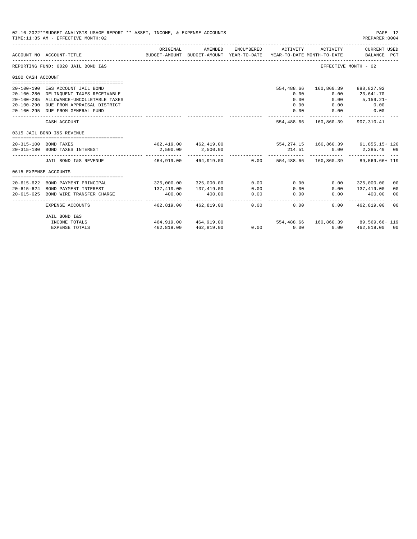|                                                | 02-10-2022**BUDGET ANALYSIS USAGE REPORT ** ASSET, INCOME, & EXPENSE ACCOUNTS                                                                                                                                                                                                                                                                                                                                                                                                                                                                                                                                                                                                                                                                                                                                                                                                                                                                                                                                                                           |            |                          |      |  |                                  | PAGE 12<br>PREPARER: 0004   |    |
|------------------------------------------------|---------------------------------------------------------------------------------------------------------------------------------------------------------------------------------------------------------------------------------------------------------------------------------------------------------------------------------------------------------------------------------------------------------------------------------------------------------------------------------------------------------------------------------------------------------------------------------------------------------------------------------------------------------------------------------------------------------------------------------------------------------------------------------------------------------------------------------------------------------------------------------------------------------------------------------------------------------------------------------------------------------------------------------------------------------|------------|--------------------------|------|--|----------------------------------|-----------------------------|----|
|                                                |                                                                                                                                                                                                                                                                                                                                                                                                                                                                                                                                                                                                                                                                                                                                                                                                                                                                                                                                                                                                                                                         | ORIGINAL   | AMENDED                  |      |  | ACTIVITY                         | CURRENT USED<br>BALANCE PCT |    |
|                                                |                                                                                                                                                                                                                                                                                                                                                                                                                                                                                                                                                                                                                                                                                                                                                                                                                                                                                                                                                                                                                                                         |            |                          |      |  |                                  | EFFECTIVE MONTH - 02        |    |
| 0100 CASH ACCOUNT                              |                                                                                                                                                                                                                                                                                                                                                                                                                                                                                                                                                                                                                                                                                                                                                                                                                                                                                                                                                                                                                                                         |            |                          |      |  |                                  |                             |    |
|                                                |                                                                                                                                                                                                                                                                                                                                                                                                                                                                                                                                                                                                                                                                                                                                                                                                                                                                                                                                                                                                                                                         |            |                          |      |  |                                  |                             |    |
|                                                |                                                                                                                                                                                                                                                                                                                                                                                                                                                                                                                                                                                                                                                                                                                                                                                                                                                                                                                                                                                                                                                         |            |                          |      |  |                                  | 160,860.39 888,827.92       |    |
|                                                |                                                                                                                                                                                                                                                                                                                                                                                                                                                                                                                                                                                                                                                                                                                                                                                                                                                                                                                                                                                                                                                         |            |                          |      |  | 0.00                             | 23,641.70                   |    |
|                                                |                                                                                                                                                                                                                                                                                                                                                                                                                                                                                                                                                                                                                                                                                                                                                                                                                                                                                                                                                                                                                                                         |            |                          |      |  | 0.00                             | $5,159.21-$                 |    |
|                                                |                                                                                                                                                                                                                                                                                                                                                                                                                                                                                                                                                                                                                                                                                                                                                                                                                                                                                                                                                                                                                                                         |            |                          |      |  | 0.00                             | 0.00                        |    |
|                                                |                                                                                                                                                                                                                                                                                                                                                                                                                                                                                                                                                                                                                                                                                                                                                                                                                                                                                                                                                                                                                                                         |            |                          |      |  | 0.00                             | 0.00                        |    |
|                                                | CASH ACCOUNT                                                                                                                                                                                                                                                                                                                                                                                                                                                                                                                                                                                                                                                                                                                                                                                                                                                                                                                                                                                                                                            |            |                          |      |  | 554.488.66 160.860.39 907.310.41 |                             |    |
|                                                |                                                                                                                                                                                                                                                                                                                                                                                                                                                                                                                                                                                                                                                                                                                                                                                                                                                                                                                                                                                                                                                         |            |                          |      |  |                                  |                             |    |
|                                                |                                                                                                                                                                                                                                                                                                                                                                                                                                                                                                                                                                                                                                                                                                                                                                                                                                                                                                                                                                                                                                                         |            |                          |      |  |                                  |                             |    |
|                                                |                                                                                                                                                                                                                                                                                                                                                                                                                                                                                                                                                                                                                                                                                                                                                                                                                                                                                                                                                                                                                                                         |            |                          |      |  |                                  |                             |    |
| 20-315-100 BOND TAXES<br>0615 EXPENSE ACCOUNTS |                                                                                                                                                                                                                                                                                                                                                                                                                                                                                                                                                                                                                                                                                                                                                                                                                                                                                                                                                                                                                                                         |            |                          |      |  | -------------                    | $0.00$ 2,285.49 09          |    |
|                                                | JAIL BOND I&S REVENUE                                                                                                                                                                                                                                                                                                                                                                                                                                                                                                                                                                                                                                                                                                                                                                                                                                                                                                                                                                                                                                   |            |                          |      |  |                                  |                             |    |
|                                                |                                                                                                                                                                                                                                                                                                                                                                                                                                                                                                                                                                                                                                                                                                                                                                                                                                                                                                                                                                                                                                                         |            |                          |      |  |                                  |                             |    |
|                                                |                                                                                                                                                                                                                                                                                                                                                                                                                                                                                                                                                                                                                                                                                                                                                                                                                                                                                                                                                                                                                                                         |            |                          |      |  |                                  |                             |    |
|                                                |                                                                                                                                                                                                                                                                                                                                                                                                                                                                                                                                                                                                                                                                                                                                                                                                                                                                                                                                                                                                                                                         |            |                          | 0.00 |  | 0.00                             | 325,000.00                  | 00 |
|                                                |                                                                                                                                                                                                                                                                                                                                                                                                                                                                                                                                                                                                                                                                                                                                                                                                                                                                                                                                                                                                                                                         | 137,419.00 | 137,419.00               | 0.00 |  | 0.00                             | 137,419.00                  | 00 |
| 20-615-625                                     | BOND WIRE TRANSFER CHARGE                                                                                                                                                                                                                                                                                                                                                                                                                                                                                                                                                                                                                                                                                                                                                                                                                                                                                                                                                                                                                               | 400.00     | 400.00                   | 0.00 |  | 0.00                             | 400.00                      | 00 |
|                                                | EXPENSE ACCOUNTS                                                                                                                                                                                                                                                                                                                                                                                                                                                                                                                                                                                                                                                                                                                                                                                                                                                                                                                                                                                                                                        |            |                          | 0.00 |  |                                  | $0.00$ $462.819.00$         | 00 |
|                                                | JAIL BOND I&S                                                                                                                                                                                                                                                                                                                                                                                                                                                                                                                                                                                                                                                                                                                                                                                                                                                                                                                                                                                                                                           |            |                          |      |  |                                  |                             |    |
|                                                | TIME: 11:35 AM - EFFECTIVE MONTH: 02<br>ENCUMBERED<br>ACTIVITY<br>BUDGET-AMOUNT BUDGET-AMOUNT YEAR-TO-DATE<br>ACCOUNT NO ACCOUNT-TITLE<br>YEAR-TO-DATE MONTH-TO-DATE<br>REPORTING FUND: 0020 JAIL BOND I&S<br>20-100-190 I&S ACCOUNT JAIL BOND<br>554,488.66<br>20-100-280 DELINQUENT TAXES RECEIVABLE<br>0.00<br>0.00<br>20-100-285 ALLOWANCE-UNCOLLETABLE TAXES<br>20-100-290 DUE FROM APPRAISAL DISTRICT<br>0.00<br>20-100-295 DUE FROM GENERAL FUND<br>0.00<br>0315 JAIL BOND I&S REVENUE<br>462,419.00  462,419.00  554,274.15  160,860.39  91,855.15+120<br>2,500.00<br>20-315-180 BOND TAXES INTEREST<br>2,500.00<br>214.51<br>--------------<br>464,919.00  464,919.00  0.00  554,488.66  160,860.39  89,569.66+  119<br>325,000.00 325,000.00<br>0.00<br>20-615-622 BOND PAYMENT PRINCIPAL<br>0.00<br>20-615-624 BOND PAYMENT INTEREST<br>0.00<br>------<br>--------------<br>------<br>0.00<br>462.819.00 462.819.00<br>464,919.00 464,919.00<br>554,488.66<br>INCOME TOTALS<br>$0.00$ 0.00<br>462,819.00 462,819.00<br><b>EXPENSE TOTALS</b> |            | 160,860.39 89,569.66+119 |      |  |                                  |                             |    |
|                                                |                                                                                                                                                                                                                                                                                                                                                                                                                                                                                                                                                                                                                                                                                                                                                                                                                                                                                                                                                                                                                                                         |            |                          |      |  | 0.00                             | 462,819,00 00               |    |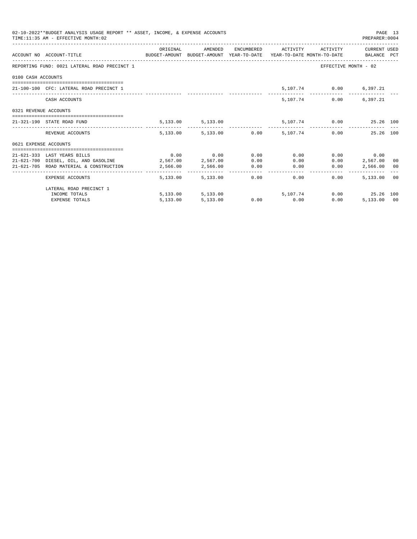|                       | 02-10-2022**BUDGET ANALYSIS USAGE REPORT ** ASSET, INCOME, & EXPENSE ACCOUNTS<br>TIME: 11:35 AM - EFFECTIVE MONTH: 02 |          |                        |                                                            |      | PREPARER:0004          | PAGE 13 |
|-----------------------|-----------------------------------------------------------------------------------------------------------------------|----------|------------------------|------------------------------------------------------------|------|------------------------|---------|
|                       | ACCOUNT NO ACCOUNT-TITLE CONTROL BUDGET-AMOUNT BUDGET-AMOUNT YEAR-TO-DATE YEAR-TO-DATE MONTH-TO-DATE BALANCE PCT      |          |                        | ORIGINAL AMENDED ENCUMBERED ACTIVITY ACTIVITY CURRENT USED |      |                        |         |
|                       | REPORTING FUND: 0021 LATERAL ROAD PRECINCT 1                                                                          |          |                        |                                                            |      | EFFECTIVE MONTH - 02   |         |
| 0100 CASH ACCOUNTS    |                                                                                                                       |          |                        |                                                            |      |                        |         |
|                       | 21-100-100 CFC: LATERAL ROAD PRECINCT 1                                                                               |          |                        |                                                            |      | 5,107.74 0.00 6,397.21 |         |
|                       | CASH ACCOUNTS                                                                                                         |          |                        |                                                            |      | 5,107.74 0.00 6,397.21 |         |
| 0321 REVENUE ACCOUNTS |                                                                                                                       |          |                        |                                                            |      |                        |         |
|                       | 21-321-190 STATE ROAD FUND                                                                                            |          |                        | 5,133.00 5,133.00 5,107.74 0.00 25.26 100                  |      |                        |         |
|                       | REVENUE ACCOUNTS                                                                                                      |          |                        | 5,133.00 5,133.00 0.00 5,107.74 0.00 25.26 100             |      |                        |         |
| 0621 EXPENSE ACCOUNTS |                                                                                                                       |          |                        |                                                            |      |                        |         |
|                       |                                                                                                                       |          |                        |                                                            |      |                        |         |
|                       | 21-621-333 LAST YEARS BILLS                                                                                           |          |                        | $0.00$ $0.00$ $0.00$ $0.00$ $0.00$                         |      | $0.00$ 0.00            |         |
|                       | 21-621-700 DIESEL, OIL, AND GASOLINE 2,567.00 2,567.00 0.00                                                           |          |                        | 0.00                                                       |      | $0.00$ 2,567.00 00     |         |
|                       | 21-621-705 ROAD MATERIAL & CONSTRUCTION 2,566.00 2,566.00 0.00 0.00 0.00                                              |          |                        |                                                            | 0.00 | 2,566.00 00            |         |
|                       | EXPENSE ACCOUNTS                                                                                                      |          | 5,133,00 5,133,00 0.00 | 0.00                                                       | 0.00 | 5,133.00 00            |         |
|                       | LATERAL ROAD PRECINCT 1                                                                                               |          |                        |                                                            |      |                        |         |
|                       | INCOME TOTALS                                                                                                         |          |                        | 5,133.00 5,133.00 5,107.74                                 |      | 0.00 25.26 100         |         |
|                       | <b>EXPENSE TOTALS</b>                                                                                                 | 5,133.00 | 5,133.00               | $0.00$ $0.00$                                              | 0.00 | 5,133.00 00            |         |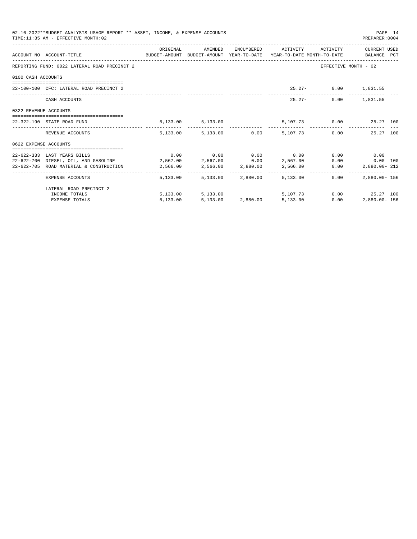|                       | 02-10-2022**BUDGET ANALYSIS USAGE REPORT ** ASSET, INCOME, & EXPENSE ACCOUNTS<br>TIME: 11:35 AM - EFFECTIVE MONTH: 02 |                                                         |                            |                                                   |                      | PAGE 14<br>PREPARER: 0004 |  |
|-----------------------|-----------------------------------------------------------------------------------------------------------------------|---------------------------------------------------------|----------------------------|---------------------------------------------------|----------------------|---------------------------|--|
|                       |                                                                                                                       | ORIGINAL                                                |                            | AMENDED ENCUMBERED ACTIVITY ACTIVITY CURRENT_USED |                      |                           |  |
|                       | ACCOUNT NO ACCOUNT-TITLE TO THE SUDGET-AMOUNT BUDGET-AMOUNT YEAR-TO-DATE YEAR-TO-DATE MONTH-TO-DATE BALANCE PCT       |                                                         |                            |                                                   |                      |                           |  |
|                       | REPORTING FUND: 0022 LATERAL ROAD PRECINCT 2                                                                          |                                                         |                            |                                                   |                      | EFFECTIVE MONTH - 02      |  |
| 0100 CASH ACCOUNTS    |                                                                                                                       |                                                         |                            |                                                   |                      |                           |  |
|                       | 22-100-100 CFC: LATERAL ROAD PRECINCT 2                                                                               |                                                         |                            | 25.27- 0.00 1,831.55                              |                      |                           |  |
|                       |                                                                                                                       |                                                         |                            |                                                   |                      |                           |  |
|                       | CASH ACCOUNTS                                                                                                         |                                                         |                            |                                                   | 25.27- 0.00 1.831.55 |                           |  |
| 0322 REVENUE ACCOUNTS |                                                                                                                       |                                                         |                            |                                                   |                      |                           |  |
|                       | 22-322-190 STATE ROAD FUND                                                                                            |                                                         |                            | 5,133.00 5,133.00 5,107.73 0.00 25.27 100         |                      |                           |  |
|                       | REVENUE ACCOUNTS                                                                                                      |                                                         |                            | 5,133.00 5,133.00 0.00 5,107.73 0.00 25.27 100    |                      |                           |  |
| 0622 EXPENSE ACCOUNTS |                                                                                                                       |                                                         |                            |                                                   |                      |                           |  |
|                       | 22-622-333 LAST YEARS BILLS                                                                                           | $0.00$ $0.00$ $0.00$ $0.00$ $0.00$ $0.00$ $0.00$ $0.00$ |                            |                                                   |                      |                           |  |
|                       | $2,567.00$ DIESEL, OIL, AND GASOLINE $2,567.00$ $2,567.00$ $0.00$ $2,567.00$ $0.00$                                   |                                                         |                            |                                                   |                      | $0.00$ 100                |  |
|                       | 22-622-705 ROAD MATERIAL & CONSTRUCTION 2,566.00 2,566.00 2,880.00 2,566.00 0.00                                      |                                                         |                            |                                                   |                      | 2,880.00-212              |  |
|                       | EXPENSE ACCOUNTS                                                                                                      |                                                         | 5,133.00 5,133.00 2,880.00 | 5,133.00                                          | 0.00                 | 2,880.00- 156             |  |
|                       | LATERAL ROAD PRECINCT 2                                                                                               |                                                         |                            |                                                   |                      |                           |  |
|                       | INCOME TOTALS                                                                                                         |                                                         |                            | 5,133.00 5,133.00 5,107.73 0.00 25.27 100         |                      |                           |  |
|                       | <b>EXPENSE TOTALS</b>                                                                                                 | 5,133.00                                                |                            | 5,133.00 2,880.00 5,133.00                        | 0.00                 | 2,880.00- 156             |  |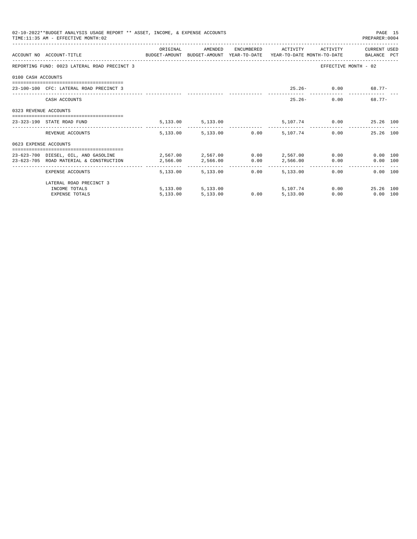|                       | 02-10-2022**BUDGET ANALYSIS USAGE REPORT ** ASSET, INCOME, & EXPENSE ACCOUNTS<br>TIME: 11:35 AM - EFFECTIVE MONTH: 02         |          |                        |      |          |                              | PREPARER: 0004               | PAGE 15 |
|-----------------------|-------------------------------------------------------------------------------------------------------------------------------|----------|------------------------|------|----------|------------------------------|------------------------------|---------|
|                       | ACCOUNT NO ACCOUNT-TITLE COMPUTE SUDGET-AMOUNT BUDGET-AMOUNT YEAR-TO-DATE YEAR-TO-DATE MONTH-TO-DATE BALANCE PCT              | ORIGINAL | AMENDED                |      |          | ENCUMBERED ACTIVITY ACTIVITY | CURRENT USED                 |         |
|                       | REPORTING FUND: 0023 LATERAL ROAD PRECINCT 3                                                                                  |          |                        |      |          |                              | EFFECTIVE MONTH - 02         |         |
| 0100 CASH ACCOUNTS    |                                                                                                                               |          |                        |      |          |                              |                              |         |
|                       | 23-100-100 CFC: LATERAL ROAD PRECINCT 3                                                                                       |          |                        |      |          |                              | $25.26 - 0.00$ 68.77-        |         |
|                       | CASH ACCOUNTS                                                                                                                 |          |                        |      |          | $25.26 -$                    | $68.77 -$<br>0.00            |         |
| 0323 REVENUE ACCOUNTS |                                                                                                                               |          |                        |      |          |                              |                              |         |
|                       | 23-323-190 STATE ROAD FUND                                                                                                    |          | 5,133.00 5,133.00      |      |          |                              | 5,107.74 0.00 25.26 100      |         |
|                       | REVENUE ACCOUNTS                                                                                                              |          | 5,133.00 5,133.00 0.00 |      | 5,107.74 |                              | 25.26 100<br>0.00            |         |
| 0623 EXPENSE ACCOUNTS |                                                                                                                               |          |                        |      |          |                              |                              |         |
|                       | 23-623-700 DIESEL, OIL, AND GASOLINE 2,567.00 2,567.00 0.00 2,567.00 0.00<br>23-623-705 ROAD MATERIAL & CONSTRUCTION 2,566.00 |          | 2,566.00 0.00          |      | 2,566.00 |                              | 0.00 100<br>0.00<br>0.00 100 |         |
|                       | EXPENSE ACCOUNTS                                                                                                              |          | 5,133,00 5,133,00      | 0.00 | 5,133,00 |                              | 0.00<br>0.00 100             |         |
|                       | LATERAL ROAD PRECINCT 3                                                                                                       |          |                        |      |          |                              |                              |         |
|                       | INCOME TOTALS                                                                                                                 |          | 5,133.00 5,133.00      |      | 5,107,74 |                              | 0.00<br>25.26 100            |         |
|                       | <b>EXPENSE TOTALS</b>                                                                                                         | 5.133.00 | 5,133.00               | 0.00 | 5,133.00 | 0.00                         | $0.00$ 100                   |         |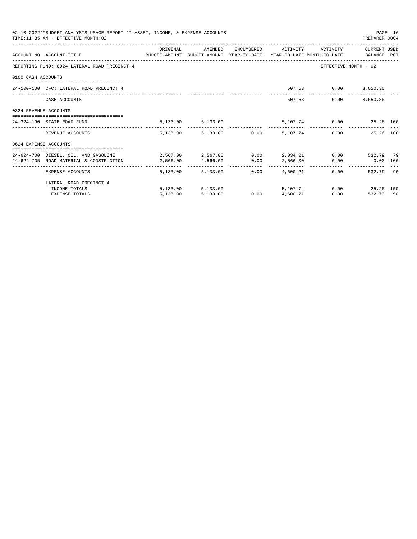|                       | 02-10-2022**BUDGET ANALYSIS USAGE REPORT ** ASSET, INCOME, & EXPENSE ACCOUNTS<br>TIME: 11:35 AM - EFFECTIVE MONTH: 02 |            |                                 |      |                     |                         | PREPARER: 0004       | PAGE 16 |
|-----------------------|-----------------------------------------------------------------------------------------------------------------------|------------|---------------------------------|------|---------------------|-------------------------|----------------------|---------|
|                       |                                                                                                                       | ORIGINAL   | AMENDED                         |      | ENCUMBERED ACTIVITY | ACTIVITY                | CURRENT USED         |         |
|                       | ACCOUNT NO ACCOUNT-TITLE CONTROL SUDGET-AMOUNT BUDGET-AMOUNT YEAR-TO-DATE YEAR-TO-DATE MONTH-TO-DATE BALANCE PCT      |            |                                 |      |                     |                         |                      |         |
|                       | REPORTING FUND: 0024 LATERAL ROAD PRECINCT 4                                                                          |            |                                 |      |                     |                         | EFFECTIVE MONTH - 02 |         |
| 0100 CASH ACCOUNTS    |                                                                                                                       |            |                                 |      |                     |                         |                      |         |
|                       | 24-100-100 CFC: LATERAL ROAD PRECINCT 4                                                                               |            |                                 |      |                     | 507.53 0.00 3,650.36    |                      |         |
|                       | CASH ACCOUNTS                                                                                                         |            |                                 |      |                     | 507.53<br>0.00          | 3,650.36             |         |
| 0324 REVENUE ACCOUNTS |                                                                                                                       |            |                                 |      |                     |                         |                      |         |
|                       | 24-324-190 STATE ROAD FUND                                                                                            |            | 5, 133.00 5, 133.00             |      |                     | 5,107.74 0.00 25.26 100 |                      |         |
|                       | REVENUE ACCOUNTS                                                                                                      |            | 5,133.00 5,133.00 0.00 5,107.74 |      |                     |                         | 0.00<br>25.26 100    |         |
| 0624 EXPENSE ACCOUNTS |                                                                                                                       |            |                                 |      |                     |                         |                      |         |
|                       | 24-624-700 DIESEL, OIL, AND GASOLINE $2,567.00$ $2,567.00$ $0.00$ $2,034.21$ $0.00$ $532.79$ 79                       |            |                                 |      |                     |                         |                      |         |
|                       | 24-624-705 ROAD MATERIAL & CONSTRUCTION                                                                               | 2,566.00   | 2,566.00 0.00                   |      | 2,566.00            |                         | $0.00$ 0.00 100      |         |
|                       | EXPENSE ACCOUNTS                                                                                                      | -------- - | 5,133,00 5,133,00               | 0.00 | 4,600.21            |                         | 532.79 90<br>0.00    |         |
|                       | LATERAL ROAD PRECINCT 4                                                                                               |            |                                 |      |                     |                         |                      |         |
|                       | INCOME TOTALS                                                                                                         |            | 5,133.00 5,133.00               |      | 5,107,74            |                         | 0.00 25.26 100       |         |
|                       | <b>EXPENSE TOTALS</b>                                                                                                 | 5.133.00   | 5,133.00                        | 0.00 | 4,600.21            |                         | 532.79 90<br>0.00    |         |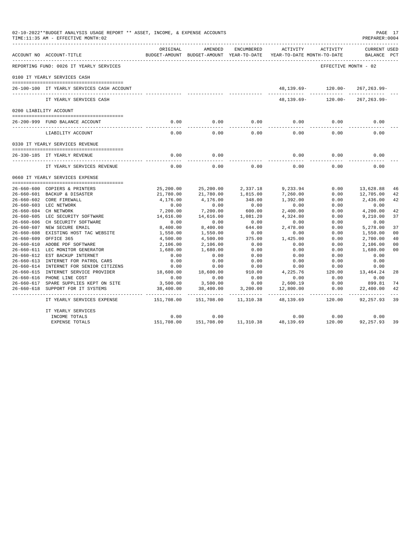| 02-10-2022**BUDGET ANALYSIS USAGE REPORT ** ASSET, INCOME, & EXPENSE ACCOUNTS<br>TIME:11:35 AM - EFFECTIVE MONTH:02 |                       |                                                     |                    |                                        |                      | PAGE 17<br>PREPARER: 0004          |                |
|---------------------------------------------------------------------------------------------------------------------|-----------------------|-----------------------------------------------------|--------------------|----------------------------------------|----------------------|------------------------------------|----------------|
| ACCOUNT NO ACCOUNT-TITLE                                                                                            | ORIGINAL              | AMENDED<br>BUDGET-AMOUNT BUDGET-AMOUNT YEAR-TO-DATE | ENCUMBERED         | ACTIVITY<br>YEAR-TO-DATE MONTH-TO-DATE | ACTIVITY             | <b>CURRENT USED</b><br>BALANCE PCT |                |
| REPORTING FUND: 0026 IT YEARLY SERVICES                                                                             |                       |                                                     |                    |                                        | EFFECTIVE MONTH - 02 |                                    |                |
| 0100 IT YEARLY SERVICES CASH                                                                                        |                       |                                                     |                    |                                        |                      |                                    |                |
| 26-100-100 IT YEARLY SERVICES CASH ACCOUNT                                                                          |                       |                                                     |                    |                                        | 48,139.69- 120.00-   | 267, 263.99-                       |                |
| IT YEARLY SERVICES CASH                                                                                             |                       |                                                     |                    | 48,139.69-                             | $120.00 -$           | $267, 263.99 -$                    |                |
| 0200 LIABILITY ACCOUNT                                                                                              |                       |                                                     |                    |                                        |                      |                                    |                |
|                                                                                                                     |                       |                                                     |                    |                                        |                      |                                    |                |
| 26-200-999 FUND BALANCE ACCOUNT                                                                                     | 0.00                  | 0.00                                                | 0.00               | 0.00                                   | 0.00                 | 0.00                               |                |
| LIABILITY ACCOUNT                                                                                                   | 0.00                  | 0.00                                                | 0.00               | 0.00                                   | 0.00                 | 0.00                               |                |
| 0330 IT YEARLY SERVICES REVENUE                                                                                     |                       |                                                     |                    |                                        |                      |                                    |                |
|                                                                                                                     |                       |                                                     |                    |                                        |                      |                                    |                |
| 26-330-185 IT YEARLY REVENUE                                                                                        | 0.00                  | 0.00                                                |                    | 0.00                                   | 0.00                 | 0.00                               |                |
| IT YEARLY SERVICES REVENUE                                                                                          | 0.00                  | 0.00                                                | 0.00               | 0.00                                   | 0.00                 | 0.00                               |                |
| 0660 IT YEARLY SERVICES EXPENSE                                                                                     |                       |                                                     |                    |                                        |                      |                                    |                |
|                                                                                                                     |                       |                                                     |                    |                                        |                      |                                    |                |
| 26-660-600 COPIERS & PRINTERS                                                                                       | 25,200.00             | 25,200.00                                           | 2,337.18           | 9,233.94                               | 0.00                 | 13,628.88                          | 46             |
| 26-660-601 BACKUP & DISASTER<br>26-660-602 CORE FIREWALL                                                            | 21,780.00<br>4,176.00 | 21,780.00<br>4,176.00                               | 1,815.00<br>348.00 | 7,260.00<br>1,392.00                   | 0.00<br>0.00         | 12,705.00<br>2,436.00              | 42<br>42       |
| 26-660-603 LEC NETWORK                                                                                              | 0.00                  | 0.00                                                | 0.00               | 0.00                                   | 0.00                 | 0.00                               |                |
| 26-660-604 CH NETWORK                                                                                               | 7,200.00              | 7,200.00                                            | 600.00             | 2,400.00                               | 0.00                 | 4,200.00                           | 42             |
| 26-660-605 LEC SECURITY SOFTWARE                                                                                    | 14,616.00             | 14,616.00                                           | 1,081.20           | 4,324.80                               | 0.00                 | 9,210.00                           | 37             |
| 26-660-606 CH SECURITY SOFTWARE                                                                                     | 0.00                  | 0.00                                                | 0.00               | 0.00                                   | 0.00                 | 0.00                               |                |
| 26-660-607 NEW SECURE EMAIL                                                                                         | 8,400.00              | 8,400.00                                            | 644.00             | 2,478.00                               | 0.00                 | 5,278.00                           | 37             |
| 26-660-608 EXISTING HOST TAC WEBSITE                                                                                | 1,550.00              | 1,550.00                                            | 0.00               | 0.00                                   | 0.00                 | 1,550.00                           | 0 <sub>0</sub> |
| 26-660-609 OFFICE 365                                                                                               | 4,500.00              | 4,500.00                                            | 375.00             | 1,425.00                               | 0.00                 | 2,700.00                           | 40             |
| 26-660-610 ADOBE PDF SOFTWARE                                                                                       | 2,106.00              | 2,106.00                                            | 0.00               | 0.00                                   | 0.00                 | 2,106.00                           | 0 <sub>0</sub> |
| 26-660-611 LEC MONITOR GENERATOR                                                                                    | 1,680.00              | 1,680.00                                            | 0.00               | 0.00                                   | 0.00                 | 1,680.00                           | 0 <sub>0</sub> |
| 26-660-612 EST BACKUP INTERNET                                                                                      | 0.00                  | 0.00                                                | 0.00               | 0.00                                   | 0.00                 | 0.00                               |                |
| 26-660-613 INTERNET FOR PATROL CARS                                                                                 | 0.00                  | 0.00                                                | 0.00               | 0.00                                   | 0.00                 | 0.00                               |                |
| 26-660-614 INTERNET FOR SENIOR CITIZENS                                                                             | 0.00                  | 0.00                                                | 0.00               | 0.00                                   | 0.00                 | 0.00                               |                |
| 26-660-615 INTERNET SERVICE PROVIDER                                                                                | 18,600.00             | 18,600.00                                           | 910.00             | 4,225.76                               | 120.00               | 13,464.24                          | 28             |
| 26-660-616 PHONE LINE COST                                                                                          | 0.00                  | 0.00                                                | 0.00               | 0.00                                   | 0.00                 | 0.00                               |                |
| 26-660-617 SPARE SUPPLIES KEPT ON SITE                                                                              | 3,500.00              | 3,500.00                                            | 0.00               | 2,600.19                               | 0.00                 | 899.81                             | 74             |
| 26-660-618 SUPPORT FOR IT SYSTEMS                                                                                   | 38,400.00             | 38,400.00                                           | 3,200.00           | 12,800.00                              | 0.00                 | 22,400.00                          | 42             |
| IT YEARLY SERVICES EXPENSE                                                                                          | 151,708.00            | 151,708.00                                          | 11,310.38          | 48,139.69                              | 120.00               | 92, 257.93                         | 39             |
| IT YEARLY SERVICES                                                                                                  |                       |                                                     |                    |                                        |                      |                                    |                |
| INCOME TOTALS                                                                                                       | 0.00                  | 0.00                                                |                    | 0.00                                   | 0.00                 | 0.00                               |                |
| EXPENSE TOTALS                                                                                                      | 151,708.00            | 151,708.00                                          | 11,310.38          | 48,139.69                              | 120.00               | 92,257.93                          | 39             |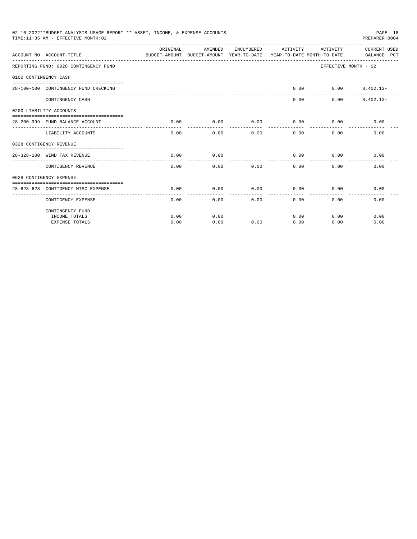|                       | 02-10-2022**BUDGET ANALYSIS USAGE REPORT ** ASSET, INCOME, & EXPENSE ACCOUNTS<br>TIME: 11:35 AM - EFFECTIVE MONTH: 02 |          |         |                 |                               |                               | PAGE 18<br>PREPARER: 0004                                                                       |
|-----------------------|-----------------------------------------------------------------------------------------------------------------------|----------|---------|-----------------|-------------------------------|-------------------------------|-------------------------------------------------------------------------------------------------|
|                       | ACCOUNT NO ACCOUNT-TITLE                                                                                              | ORIGINAL | AMENDED | ENCUMBERED      | ACTIVITY                      | ACTIVITY                      | CURRENT USED<br>BUDGET-AMOUNT BUDGET-AMOUNT YEAR-TO-DATE YEAR-TO-DATE MONTH-TO-DATE BALANCE PCT |
|                       | REPORTING FUND: 0028 CONTINGENCY FUND                                                                                 |          |         |                 |                               |                               | EFFECTIVE MONTH - 02                                                                            |
| 0100 CONTINGENCY CASH |                                                                                                                       |          |         |                 |                               |                               |                                                                                                 |
|                       |                                                                                                                       |          |         |                 |                               |                               |                                                                                                 |
|                       | 28-100-100 CONTINGENCY FUND CHECKING                                                                                  |          |         |                 | 0.00                          |                               | $0.00$ $8,402.13-$                                                                              |
|                       | CONTINGENCY CASH                                                                                                      |          |         |                 | 0.00                          | 0.00                          | $8,402.13-$                                                                                     |
|                       | 0200 LIABILITY ACCOUNTS                                                                                               |          |         |                 |                               |                               |                                                                                                 |
|                       |                                                                                                                       |          |         |                 |                               |                               |                                                                                                 |
|                       | 28-200-999 FUND BALANCE ACCOUNT                                                                                       | 0.00     | 0.00    | 0.00<br>------- | 0.00<br>. _ _ _ _ _ _ _ _ _ _ | 0.00<br>. _ _ _ _ _ _ _ _ _ _ | 0.00                                                                                            |
|                       | LIABILITY ACCOUNTS                                                                                                    | 0.00     | 0.00    | 0.00            | 0.00                          | 0.00                          | 0.00                                                                                            |
|                       | 0328 CONTIGENCY REVENUE                                                                                               |          |         |                 |                               |                               |                                                                                                 |
|                       |                                                                                                                       |          |         |                 |                               |                               |                                                                                                 |
|                       | 28-328-100 WIND TAX REVENUE                                                                                           | 0.00     | 0.00    |                 | 0.00                          | 0.00                          | 0.00                                                                                            |
|                       | CONTIGENCY REVENUE                                                                                                    | 0.00     | 0.00    | 0.00            | 0.00                          | 0.00                          | 0.00                                                                                            |
|                       | 0628 CONTIGENCY EXPENSE                                                                                               |          |         |                 |                               |                               |                                                                                                 |
|                       |                                                                                                                       |          |         |                 |                               |                               |                                                                                                 |
|                       | 28-628-628 CONTIGENCY MISC EXPENSE                                                                                    | 0.00     | 0.00    | 0.00            | 0.00                          | 0.00                          | 0.00                                                                                            |
|                       | CONTIGENCY EXPENSE                                                                                                    | 0.00     | 0.00    | 0.00            | 0.00                          | 0.00                          | 0.00                                                                                            |
|                       | CONTINGENCY FUND                                                                                                      |          |         |                 |                               |                               |                                                                                                 |
|                       | INCOME TOTALS                                                                                                         | 0.00     | 0.00    |                 | 0.00                          | 0.00                          | 0.00                                                                                            |
|                       | <b>EXPENSE TOTALS</b>                                                                                                 | 0.00     | 0.00    | 0.00            | 0.00                          | 0.00                          | 0.00                                                                                            |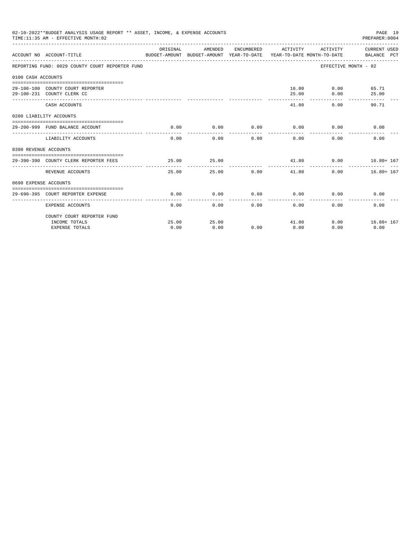|                       | 02-10-2022**BUDGET ANALYSIS USAGE REPORT ** ASSET, INCOME, & EXPENSE ACCOUNTS<br>TIME: 11:35 AM - EFFECTIVE MONTH: 02 |                    |                     |                 |                                 |                             | PAGE 19<br>PREPARER: 0004                                                                       |
|-----------------------|-----------------------------------------------------------------------------------------------------------------------|--------------------|---------------------|-----------------|---------------------------------|-----------------------------|-------------------------------------------------------------------------------------------------|
|                       | ACCOUNT NO ACCOUNT-TITLE                                                                                              | ORIGINAL           | AMENDED             | ENCUMBERED      | ACTIVITY                        | ACTIVITY                    | CURRENT USED<br>BUDGET-AMOUNT BUDGET-AMOUNT YEAR-TO-DATE YEAR-TO-DATE MONTH-TO-DATE BALANCE PCT |
|                       | REPORTING FUND: 0029 COUNTY COURT REPORTER FUND                                                                       |                    |                     |                 |                                 |                             | EFFECTIVE MONTH - 02                                                                            |
| 0100 CASH ACCOUNTS    |                                                                                                                       |                    |                     |                 |                                 |                             |                                                                                                 |
|                       |                                                                                                                       |                    |                     |                 |                                 |                             |                                                                                                 |
|                       | 29-100-100 COUNTY COURT REPORTER                                                                                      |                    |                     |                 |                                 | 16.80 0.00                  | 65.71                                                                                           |
|                       | 29-100-231 COUNTY CLERK CC                                                                                            |                    |                     |                 | 25.00                           |                             | 0.00<br>25.00                                                                                   |
|                       | CASH ACCOUNTS                                                                                                         |                    |                     |                 | 41.80                           |                             | 90.71<br>0.00                                                                                   |
|                       | 0200 LIABILITY ACCOUNTS                                                                                               |                    |                     |                 |                                 |                             |                                                                                                 |
|                       |                                                                                                                       |                    |                     |                 |                                 |                             |                                                                                                 |
|                       | 29-200-999 FUND BALANCE ACCOUNT                                                                                       | 0.00               | 0.00                |                 |                                 | $0.00$ $0.00$ $0.00$ $0.00$ | 0.00                                                                                            |
|                       | LIABILITY ACCOUNTS                                                                                                    | 0.00               | 0.00                | 0.00            | 0.00                            | 0.00                        | 0.00                                                                                            |
| 0390 REVENUE ACCOUNTS |                                                                                                                       |                    |                     |                 |                                 |                             |                                                                                                 |
|                       |                                                                                                                       |                    |                     |                 |                                 |                             |                                                                                                 |
|                       | 29-390-390 COUNTY CLERK REPORTER FEES                                                                                 | 25.00              | 25.00               |                 |                                 |                             | 41.80 0.00 16.80+ 167                                                                           |
|                       | REVENUE ACCOUNTS                                                                                                      | 25.00              |                     | 0.00<br>25.00   | 41.80                           |                             | $16.80 + 167$<br>0.00                                                                           |
| 0690 EXPENSE ACCOUNTS |                                                                                                                       |                    |                     |                 |                                 |                             |                                                                                                 |
|                       |                                                                                                                       |                    |                     |                 |                                 |                             |                                                                                                 |
|                       | 29-690-395 COURT REPORTER EXPENSE<br>------------------------------------                                             | 0.00<br>---------- | 0.00<br>----------- | 0.00<br>------- | 0.00<br>- - - - - - - - - - - - |                             | 0.00<br>0.00                                                                                    |
|                       | <b>EXPENSE ACCOUNTS</b>                                                                                               | 0.00               | 0.00                |                 | 0.00<br>0.00                    |                             | 0.00<br>0.00                                                                                    |
|                       | COUNTY COURT REPORTER FUND                                                                                            |                    |                     |                 |                                 |                             |                                                                                                 |
|                       | INCOME TOTALS                                                                                                         | 25.00              | 25.00               |                 |                                 | 41.80                       | $0.00$ $16.80 + 167$                                                                            |
|                       | <b>EXPENSE TOTALS</b>                                                                                                 | 0.00               | 0.00                | 0.00            | 0.00                            | 0.00                        | 0.00                                                                                            |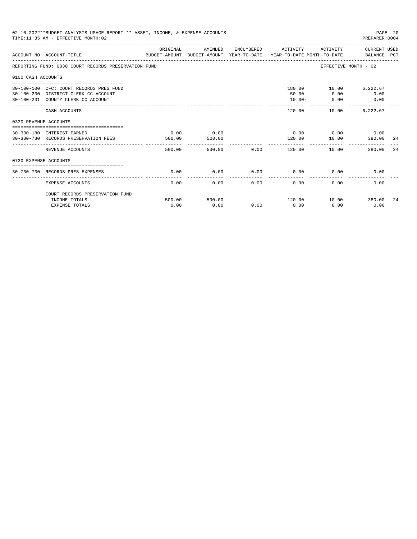|                       | 02-10-2022**BUDGET ANALYSIS USAGE REPORT ** ASSET, INCOME, & EXPENSE ACCOUNTS<br>TIME: 11:35 AM - EFFECTIVE MONTH: 02 |                |                |      |                                           |                                                 | PREPARER: 0004                            | PAGE 20 |
|-----------------------|-----------------------------------------------------------------------------------------------------------------------|----------------|----------------|------|-------------------------------------------|-------------------------------------------------|-------------------------------------------|---------|
|                       | ACCOUNT NO ACCOUNT-TITLE<br>BUDGET-AMOUNT BUDGET-AMOUNT YEAR-TO-DATE YEAR-TO-DATE MONTH-TO-DATE BALANCE PCT           | ORIGINAL       | AMENDED        |      | ENCUMBERED ACTIVITY ACTIVITY CURRENT USED |                                                 |                                           |         |
|                       | REPORTING FUND: 0030 COURT RECORDS PRESERVATION FUND                                                                  |                |                |      |                                           |                                                 | EFFECTIVE MONTH - 02                      |         |
| 0100 CASH ACCOUNTS    |                                                                                                                       |                |                |      |                                           |                                                 |                                           |         |
|                       | 30-100-100 CFC: COURT RECORDS PRES FUND<br>30-100-230 DISTRICT CLERK CC ACCOUNT<br>30-100-231 COUNTY CLERK CC ACCOUNT |                |                |      | $10.00 -$<br>------------                 | 180.00 10.00 6,222.67<br>$50.00 - 0.00$<br>0.00 | 0.00<br>$\sim$ 0.00                       |         |
|                       | CASH ACCOUNTS                                                                                                         |                |                |      | 120.00                                    | 10.00                                           | -----------------------------<br>6,222.67 |         |
| 0330 REVENUE ACCOUNTS |                                                                                                                       |                |                |      |                                           |                                                 |                                           |         |
|                       | --------------------------------<br>30-330-180 INTEREST EARNED<br>30-330-730 RECORDS PRESERVATION FEES                | 0.00<br>500.00 | 0.00<br>500.00 |      | 120.00                                    | $0.00$ $0.00$ $0.00$ $0.00$<br>10.00            | 380.00                                    | -24     |
|                       | REVENUE ACCOUNTS                                                                                                      | 500.00         | 500.00         | 0.00 | ----------- <b>-</b><br>120.00            | 10.00                                           | 380.00                                    | 24      |
| 0730 EXPENSE ACCOUNTS |                                                                                                                       |                |                |      |                                           |                                                 |                                           |         |
|                       | 30-730-730 RECORDS PRES EXPENSES                                                                                      | 0.00           | 0.00           | 0.00 | 0.00                                      | 0.00                                            | 0.00                                      |         |
|                       | <b>EXPENSE ACCOUNTS</b>                                                                                               | 0.00           | 0.00           | 0.00 | 0.00                                      | 0.00                                            | 0.00                                      |         |
|                       | COURT RECORDS PRESERVATION FUND                                                                                       |                |                |      |                                           |                                                 |                                           |         |
|                       | INCOME TOTALS                                                                                                         | 500.00         | 500.00         |      | 120.00                                    | 10.00 380.00                                    |                                           | 24      |
|                       | <b>EXPENSE TOTALS</b>                                                                                                 | 0.00           | 0.00           | 0.00 | 0.00                                      | 0.00                                            | 0.00                                      |         |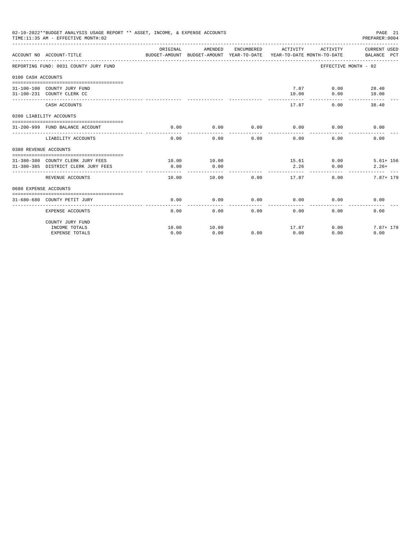|                       | 02-10-2022**BUDGET ANALYSIS USAGE REPORT ** ASSET, INCOME, & EXPENSE ACCOUNTS<br>TIME: 11:35 AM - EFFECTIVE MONTH: 02 |                  |                                                     |            |                                        |                         | PAGE 21<br>PREPARER:0004    |
|-----------------------|-----------------------------------------------------------------------------------------------------------------------|------------------|-----------------------------------------------------|------------|----------------------------------------|-------------------------|-----------------------------|
|                       | ACCOUNT NO ACCOUNT-TITLE                                                                                              | ORIGINAL         | AMENDED<br>BUDGET-AMOUNT BUDGET-AMOUNT YEAR-TO-DATE | ENCUMBERED | ACTIVITY<br>YEAR-TO-DATE MONTH-TO-DATE | ACTIVITY                | CURRENT USED<br>BALANCE PCT |
|                       | REPORTING FUND: 0031 COUNTY JURY FUND                                                                                 |                  |                                                     |            | ------------------                     | EFFECTIVE MONTH - 02    |                             |
| 0100 CASH ACCOUNTS    |                                                                                                                       |                  |                                                     |            |                                        |                         |                             |
|                       | 31-100-100 COUNTY JURY FUND<br>31-100-231 COUNTY CLERK CC                                                             |                  |                                                     |            | 10.00                                  | 7.87 0.00 28.40<br>0.00 | 10.00                       |
|                       | CASH ACCOUNTS                                                                                                         |                  |                                                     |            | -------<br>17.87                       | 0.00                    | 38.40                       |
|                       | 0200 LIABILITY ACCOUNTS                                                                                               |                  |                                                     |            |                                        |                         |                             |
|                       | 31-200-999 FUND BALANCE ACCOUNT                                                                                       | 0.00             | 0.00                                                | 0.00       | 0.00                                   | 0.00                    | 0.00                        |
|                       | LIABILITY ACCOUNTS                                                                                                    | 0.00             | 0.00                                                | 0.00       | 0.00                                   | 0.00                    | 0.00                        |
| 0380 REVENUE ACCOUNTS |                                                                                                                       |                  |                                                     |            |                                        |                         |                             |
|                       | 31-380-380 COUNTY CLERK JURY FEES                                                                                     | 10.00            | 10.00                                               |            |                                        | 15.61 0.00              | $5.61 + 156$                |
|                       | 31-380-385 DISTRICT CLERK JURY FEES                                                                                   | 0.00             | 0.00                                                |            | 2.26                                   | 0.00                    | $2.26+$                     |
|                       | REVENUE ACCOUNTS                                                                                                      | -------<br>10.00 | 10.00                                               | 0.00       | 17.87                                  | 0.00                    | 7.87+ 179                   |
| 0680 EXPENSE ACCOUNTS |                                                                                                                       |                  |                                                     |            |                                        |                         |                             |
|                       | 31-680-680 COUNTY PETIT JURY                                                                                          | 0.00             | 0.00                                                | 0.00       | 0.00                                   | 0.00                    | 0.00                        |
|                       | EXPENSE ACCOUNTS                                                                                                      | 0.00             | 0.00                                                | 0.00       | 0.00                                   | 0.00                    | 0.00                        |
|                       | COUNTY JURY FUND                                                                                                      |                  |                                                     |            |                                        |                         |                             |
|                       | INCOME TOTALS                                                                                                         | 10.00            | 10.00                                               |            | 17.87                                  | 0.00                    | 7.87+ 179                   |
|                       | <b>EXPENSE TOTALS</b>                                                                                                 | 0.00             | 0.00                                                | 0.00       | 0.00                                   | 0.00                    | 0.00                        |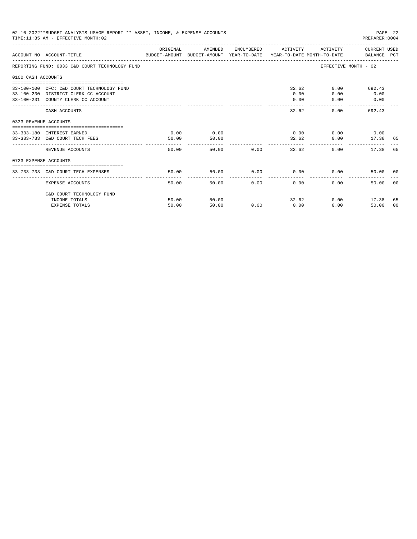|                       | 02-10-2022**BUDGET ANALYSIS USAGE REPORT ** ASSET, INCOME, & EXPENSE ACCOUNTS<br>TIME: 11:35 AM - EFFECTIVE MONTH: 02   |               |               |               |                             |                                      | PAGE 22<br>PREPARER: 0004      |                |
|-----------------------|-------------------------------------------------------------------------------------------------------------------------|---------------|---------------|---------------|-----------------------------|--------------------------------------|--------------------------------|----------------|
|                       | ACCOUNT NO ACCOUNT-TITLE COMPARENT AND BUDGET-AMOUNT BUDGET-AMOUNT YEAR-TO-DATE YEAR-TO-DATE MONTH-TO-DATE BALANCE PCT  | ORIGINAL      | AMENDED       |               | ENCUMBERED ACTIVITY         |                                      | ACTIVITY CURRENT USED          |                |
|                       | REPORTING FUND: 0033 C&D COURT TECHNOLOGY FUND                                                                          |               |               |               |                             |                                      | EFFECTIVE MONTH - 02           |                |
| 0100 CASH ACCOUNTS    |                                                                                                                         |               |               |               |                             |                                      |                                |                |
|                       | 33-100-100 CFC: C&D COURT TECHNOLOGY FUND<br>33-100-230 DISTRICT CLERK CC ACCOUNT<br>33-100-231 COUNTY CLERK CC ACCOUNT |               |               |               | 0.00<br>0.00                | 32.62<br>0.00<br>0.00                | 0.00<br>692.43<br>0.00<br>0.00 |                |
|                       | CASH ACCOUNTS                                                                                                           |               |               |               | 32.62                       |                                      | 0.00<br>692.43                 |                |
| 0333 REVENUE ACCOUNTS |                                                                                                                         |               |               |               |                             |                                      |                                |                |
|                       | 33-333-180 INTEREST EARNED<br>33-333-733 C&D COURT TECH FEES                                                            | 0.00<br>50.00 | 0.00<br>50.00 |               |                             | $0.00$ $0.00$ $0.00$ $0.00$<br>32.62 | 0.00 17.38 65                  |                |
|                       | REVENUE ACCOUNTS                                                                                                        | 50.00         |               | 50.00 0.00    |                             | 32.62                                | 0.00<br>17.38                  | 65             |
| 0733 EXPENSE ACCOUNTS |                                                                                                                         |               |               |               |                             |                                      |                                |                |
|                       | 33-733-733 C&D COURT TECH EXPENSES                                                                                      | 50.00         | 50.00         |               | $0.00$ $0.00$ $0.00$ $0.00$ |                                      | 50.00 00                       |                |
|                       | <b>EXPENSE ACCOUNTS</b>                                                                                                 | 50.00         |               | 50.00<br>0.00 | 0.00                        | 0.00                                 | 50.00                          | 0 <sup>0</sup> |
|                       | C&D COURT TECHNOLOGY FUND                                                                                               |               |               |               |                             |                                      |                                |                |
|                       | INCOME TOTALS                                                                                                           | 50.00         | 50.00         |               |                             | 32.62                                | $0.00$ 17.38                   | 65             |
|                       | <b>EXPENSE TOTALS</b>                                                                                                   | 50.00         | 50.00         | 0.00          | 0.00                        | 0.00                                 | 50.00                          | 00             |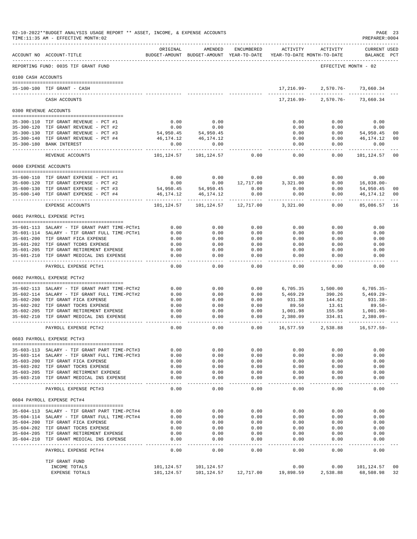|                       | 02-10-2022**BUDGET ANALYSIS USAGE REPORT ** ASSET, INCOME, & EXPENSE ACCOUNTS<br>TIME:11:35 AM - EFFECTIVE MONTH:02 |                          |                                                     |                       |                                        |                   | PREPARER: 0004              | PAGE 23        |
|-----------------------|---------------------------------------------------------------------------------------------------------------------|--------------------------|-----------------------------------------------------|-----------------------|----------------------------------------|-------------------|-----------------------------|----------------|
|                       | ACCOUNT NO ACCOUNT-TITLE                                                                                            | ORIGINAL                 | AMENDED<br>BUDGET-AMOUNT BUDGET-AMOUNT YEAR-TO-DATE | ENCUMBERED            | ACTIVITY<br>YEAR-TO-DATE MONTH-TO-DATE | ACTIVITY          | CURRENT USED<br>BALANCE     | PCT            |
|                       | REPORTING FUND: 0035 TIF GRANT FUND                                                                                 |                          |                                                     |                       |                                        |                   | EFFECTIVE MONTH - 02        |                |
| 0100 CASH ACCOUNTS    |                                                                                                                     |                          |                                                     |                       |                                        |                   |                             |                |
|                       |                                                                                                                     |                          |                                                     |                       |                                        |                   |                             |                |
|                       | 35-100-100 TIF GRANT - CASH                                                                                         |                          |                                                     |                       | 17,216.99-                             | 2,570.76-         | 73,660.34                   |                |
|                       | CASH ACCOUNTS                                                                                                       |                          |                                                     |                       | 17,216.99-                             | 2,570.76-         | 73,660.34                   |                |
| 0300 REVENUE ACCOUNTS |                                                                                                                     |                          |                                                     |                       |                                        |                   |                             |                |
|                       | 35-300-110 TIF GRANT REVENUE - PCT #1                                                                               | 0.00                     | 0.00                                                |                       | 0.00                                   | 0.00              | 0.00                        |                |
|                       | 35-300-120 TIF GRANT REVENUE - PCT #2                                                                               | 0.00                     | 0.00                                                |                       | 0.00                                   | 0.00              | 0.00                        |                |
|                       | 35-300-130 TIF GRANT REVENUE - PCT #3                                                                               | 54,950.45                | 54,950.45                                           |                       | 0.00                                   | 0.00              | 54,950.45                   | 0 <sup>0</sup> |
|                       | 35-300-140 TIF GRANT REVENUE - PCT #4                                                                               | 46,174.12                | 46,174.12                                           |                       | 0.00                                   | 0.00              | 46,174.12                   | 00             |
| $35 - 300 - 180$      | <b>BANK INTEREST</b>                                                                                                | 0.00<br>$- - - - - - -$  | 0.00                                                |                       | 0.00<br>-----                          | 0.00<br>-----     | 0.00<br>---------           |                |
|                       | REVENUE ACCOUNTS                                                                                                    | 101,124.57               | 101,124.57                                          | 0.00                  | 0.00                                   | 0.00              | 101,124.57                  | 00             |
| 0600 EXPENSE ACCOUNTS |                                                                                                                     |                          |                                                     |                       |                                        |                   |                             |                |
|                       | 35-600-110 TIF GRANT EXPENSE - PCT #1                                                                               | 0.00                     | 0.00                                                | 0.00                  | 0.00                                   | 0.00              | 0.00                        |                |
|                       | 35-600-120 TIF GRANT EXPENSE - PCT #2                                                                               | 0.00                     | 0.00                                                | 12,717.00             | 3,321.00                               | 0.00              | $16,038.00 -$               |                |
|                       | 35-600-130 TIF GRANT EXPENSE - PCT #3                                                                               | 54,950.45                | 54,950.45                                           | 0.00                  | 0.00                                   | 0.00              | 54,950.45                   | 00             |
| $35 - 600 - 140$      | TIF GRANT EXPENSE - PCT #4                                                                                          | 46,174.12<br>----------- | 46,174.12<br>-------------                          | 0.00<br>.             | 0.00                                   | 0.00<br>-----     | 46,174.12<br>----------     | 00             |
|                       | EXPENSE ACCOUNTS                                                                                                    | 101,124.57               | 101,124.57                                          | 12,717.00             | 3,321.00                               | 0.00              | 85,086.57                   | 16             |
|                       | 0601 PAYROLL EXPENSE PCT#1                                                                                          |                          |                                                     |                       |                                        |                   |                             |                |
|                       | 35-601-113 SALARY - TIF GRANT PART TIME-PCT#1                                                                       | 0.00                     | 0.00                                                | 0.00                  | 0.00                                   | 0.00              | 0.00                        |                |
|                       | 35-601-114 SALARY - TIF GRANT FULL TIME-PCT#1                                                                       | 0.00                     | 0.00                                                | 0.00                  | 0.00                                   | 0.00              | 0.00                        |                |
|                       | 35-601-200 TIF GRANT FICA EXPENSE                                                                                   | 0.00                     | 0.00                                                | 0.00                  | 0.00                                   | 0.00              | 0.00                        |                |
|                       | 35-601-202 TIF GRANT TCDRS EXPENSE                                                                                  | 0.00                     | 0.00                                                | 0.00                  | 0.00                                   | 0.00              | 0.00                        |                |
|                       | 35-601-205 TIF GRANT RETIREMENT EXPENSE<br>35-601-210 TIF GRANT MEDICAL INS EXPENSE                                 | 0.00<br>0.00             | 0.00<br>0.00                                        | 0.00<br>0.00          | 0.00<br>0.00                           | 0.00<br>0.00      | 0.00<br>0.00                |                |
|                       | ----------------------------------<br>PAYROLL EXPENSE PCT#1                                                         | $- - - -$<br>0.00        | $- - - - -$<br>0.00                                 | $- - - -$<br>0.00     | $- - - -$<br>0.00                      | 0.00              | $- - - - -$<br>0.00         |                |
|                       | 0602 PAYROLL EXPENSE PCT#2                                                                                          |                          |                                                     |                       |                                        |                   |                             |                |
|                       |                                                                                                                     |                          |                                                     |                       |                                        |                   |                             |                |
|                       | 35-602-113 SALARY - TIF GRANT PART TIME-PCT#2                                                                       | 0.00                     | 0.00                                                | 0.00                  | 6,705.35                               | 1,500.00          | $6,705.35-$<br>$5,469.29 -$ |                |
|                       | 35-602-114 SALARY - TIF GRANT FULL TIME-PCT#2<br>35-602-200 TIF GRANT FICA EXPENSE                                  | 0.00<br>0.00             | 0.00<br>0.00                                        | 0.00<br>0.00          | 5,469.29<br>931.38                     | 390.26<br>144.62  | 931.38-                     |                |
|                       | 35-602-202 TIF GRANT TDCRS EXPENSE                                                                                  | 0.00                     | 0.00                                                | 0.00                  | 89.50                                  | 13.61             | $89.50 -$                   |                |
|                       | 35-602-205 TIF GRANT RETIREMENT EXPENSE                                                                             | 0.00                     | 0.00                                                | 0.00                  | 1,001.98                               | 155.58            | 1,001.98-                   |                |
| $35 - 602 - 210$      | TIF GRANT MEDICAL INS EXPENSE                                                                                       | 0.00<br>----             | 0.00<br>$- - - -$                                   | 0.00<br>$- - - -$     | 2,380.09                               | 334.81            | $2,380.09 -$                |                |
|                       | PAYROLL EXPENSE PCT#2                                                                                               | 0.00                     | 0.00                                                | 0.00                  | 16,577.59                              | 2,538.88          | 16,577.59-                  |                |
|                       | 0603 PAYROLL EXPENSE PCT#3                                                                                          |                          |                                                     |                       |                                        |                   |                             |                |
|                       | -------------------------------------<br>35-603-113 SALARY - TIF GRANT PART TIME-PCT#3                              | 0.00                     | 0.00                                                | 0.00                  | 0.00                                   | 0.00              | 0.00                        |                |
|                       | 35-603-114 SALARY - TIF GRANT FULL TIME-PCT#3                                                                       | 0.00                     | 0.00                                                | 0.00                  | 0.00                                   | 0.00              | 0.00                        |                |
|                       | 35-603-200 TIF GRANT FICA EXPENSE                                                                                   | 0.00                     | 0.00                                                | 0.00                  | 0.00                                   | 0.00              | 0.00                        |                |
|                       | 35-603-202 TIF GRANT TDCRS EXPENSE                                                                                  | 0.00                     | 0.00                                                | 0.00                  | 0.00                                   | 0.00              | 0.00                        |                |
|                       | 35-603-205 TIF GRANT RETIRMENT EXPENSE<br>35-603-210 TIF GRANT MEDICAL INS EXPENSE                                  | 0.00<br>0.00             | 0.00<br>0.00                                        | 0.00<br>0.00          | 0.00<br>0.00                           | 0.00<br>0.00      | 0.00<br>0.00                |                |
|                       | ________________________________                                                                                    | $- - - -$<br>0.00        | $- - - -$<br>0.00                                   | $\frac{1}{2}$<br>0.00 | $=$ $=$ $=$ $=$<br>0.00                | $- - - -$<br>0.00 | $- - - -$<br>0.00           |                |
|                       | PAYROLL EXPENSE PCT#3                                                                                               |                          |                                                     |                       |                                        |                   |                             |                |
|                       | 0604 PAYROLL EXPENSE PCT#4                                                                                          |                          |                                                     |                       |                                        |                   |                             |                |
|                       | 35-604-113 SALARY - TIF GRANT PART TIME-PCT#4                                                                       | 0.00                     | 0.00                                                | 0.00                  | 0.00                                   | 0.00              | 0.00                        |                |
|                       | 35-604-114 SALARY - TIF GRANT FULL TIME-PCT#4                                                                       | 0.00                     | 0.00                                                | 0.00                  | 0.00                                   | 0.00              | 0.00                        |                |
|                       | 35-604-200 TIF GRANT FICA EXPENSE<br>35-604-202 TIF GRANT TDCRS EXPENSE                                             | 0.00<br>0.00             | 0.00<br>0.00                                        | 0.00<br>0.00          | 0.00<br>0.00                           | 0.00<br>0.00      | 0.00<br>0.00                |                |
|                       | 35-604-205 TIF GRANT RETIREMENT EXPENSE                                                                             | 0.00                     | 0.00                                                | 0.00                  | 0.00                                   | 0.00              | 0.00                        |                |
|                       | 35-604-210 TIF GRANT MEDICAL INS EXPENSE                                                                            | 0.00                     | 0.00                                                | 0.00<br>$- - - -$     | 0.00<br>$- - - -$                      | 0.00              | 0.00<br>$- - - -$           |                |
|                       | PAYROLL EXPENSE PCT#4                                                                                               | $- - - - -$<br>0.00      | $- - - -$<br>0.00                                   | 0.00                  | 0.00                                   | 0.00              | 0.00                        |                |
|                       | TIF GRANT FUND                                                                                                      |                          |                                                     |                       |                                        |                   |                             |                |
|                       | INCOME TOTALS                                                                                                       | 101,124.57               | 101,124.57                                          |                       | 0.00                                   | 0.00              | 101,124.57                  | 00             |
|                       | EXPENSE TOTALS                                                                                                      | 101,124.57               | 101,124.57                                          | 12,717.00             | 19,898.59                              | 2,538.88          | 68,508.98                   | 32             |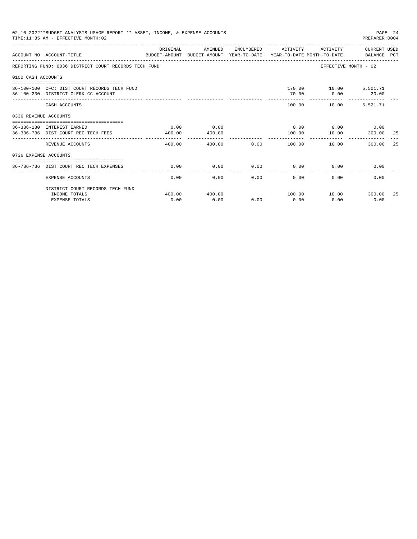|                       | 02-10-2022**BUDGET ANALYSIS USAGE REPORT ** ASSET, INCOME, & EXPENSE ACCOUNTS<br>TIME: 11:35 AM - EFFECTIVE MONTH: 02 |                |                |      |                                 |                             | PREPARER: 0004              | PAGE 24 |
|-----------------------|-----------------------------------------------------------------------------------------------------------------------|----------------|----------------|------|---------------------------------|-----------------------------|-----------------------------|---------|
|                       | ACCOUNT NO ACCOUNT-TITLE<br>BUDGET-AMOUNT BUDGET-AMOUNT YEAR-TO-DATE YEAR-TO-DATE MONTH-TO-DATE                       | ORIGINAL       | AMENDED        |      | ENCUMBERED ACTIVITY             | ACTIVITY                    | CURRENT USED<br>BALANCE PCT |         |
|                       | REPORTING FUND: 0036 DISTRICT COURT RECORDS TECH FUND                                                                 |                |                |      |                                 |                             | EFFECTIVE MONTH - 02        |         |
| 0100 CASH ACCOUNTS    |                                                                                                                       |                |                |      |                                 |                             |                             |         |
|                       | 36-100-100 CFC: DIST COURT RECORDS TECH FUND<br>36-100-230 DISTRICT CLERK CC ACCOUNT                                  |                |                |      | 70.00-                          | 170.00    10.00    5,501.71 | $0.00$ 20.00                |         |
|                       | CASH ACCOUNTS                                                                                                         |                |                |      |                                 | 100.00 10.00                | 5,521.71                    |         |
| 0336 REVENUE ACCOUNTS |                                                                                                                       |                |                |      |                                 |                             |                             |         |
|                       | ----------------------------------<br>36-336-180 INTEREST EARNED<br>36-336-736 DIST COURT REC TECH FEES               | 0.00<br>400.00 | 0.00<br>400.00 |      | $0.00$ 0.00 0.00 0.00<br>100.00 | 10.00                       | 300.00                      | -25     |
|                       | REVENUE ACCOUNTS                                                                                                      | 400.00         | 400.00         | 0.00 | 100.00                          | 10.00                       | 300.00                      | -25     |
| 0736 EXPENSE ACCOUNTS |                                                                                                                       |                |                |      |                                 |                             |                             |         |
|                       | 36-736-736 DIST COURT REC TECH EXPENSES                                                                               | 0.00           | 0.00           | 0.00 | 0.00                            |                             | $0.00$ and $0.00$<br>0.00   |         |
|                       | <b>EXPENSE ACCOUNTS</b>                                                                                               | 0.00           | 0.00           | 0.00 | 0.00                            | 0.00                        | 0.00                        |         |
|                       | DISTRICT COURT RECORDS TECH FUND                                                                                      |                |                |      |                                 |                             |                             |         |
|                       | INCOME TOTALS<br><b>EXPENSE TOTALS</b>                                                                                | 400.00<br>0.00 | 400.00<br>0.00 | 0.00 | 100.00<br>0.00                  | 0.00                        | 10.00 300.00<br>0.00        | -25     |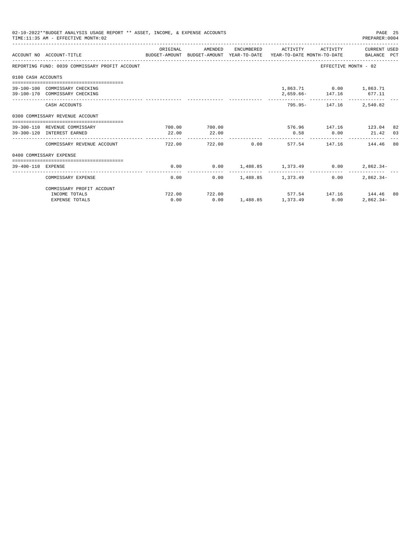|                    | 02-10-2022**BUDGET ANALYSIS USAGE REPORT ** ASSET, INCOME, & EXPENSE ACCOUNTS<br>TIME: 11:35 AM - EFFECTIVE MONTH: 02 |          |                        |                                        |                         | PAGE 25<br>PREPARER: 0004                        |  |
|--------------------|-----------------------------------------------------------------------------------------------------------------------|----------|------------------------|----------------------------------------|-------------------------|--------------------------------------------------|--|
|                    | ACCOUNT NO ACCOUNT-TITLE COMPUTE SUDGET-AMOUNT BUDGET-AMOUNT YEAR-TO-DATE YEAR-TO-DATE MONTH-TO-DATE BALANCE PCT      | ORIGINAL | AMENDED                |                                        |                         | ENCUMBERED ACTIVITY ACTIVITY CURRENT USED        |  |
|                    | REPORTING FUND: 0039 COMMISSARY PROFIT ACCOUNT                                                                        |          |                        |                                        |                         | EFFECTIVE MONTH - 02                             |  |
| 0100 CASH ACCOUNTS |                                                                                                                       |          |                        |                                        |                         |                                                  |  |
|                    | 39-100-100 COMMISSARY CHECKING<br>39-100-170 COMMISSARY CHECKING                                                      |          |                        |                                        | 2,659.66- 147.16 677.11 | 1,863.71 0.00 1,863.71                           |  |
|                    | CASH ACCOUNTS                                                                                                         |          |                        |                                        |                         | 795.95- 147.16 2,540.82                          |  |
|                    | 0300 COMMISSARY REVENUE ACCOUNT                                                                                       |          |                        |                                        |                         |                                                  |  |
|                    | 39-300-110 REVENUE COMMISSARY<br>39-300-120 INTEREST EARNED                                                           | 22.00    | 700.00 700.00<br>22.00 | 0.58                                   |                         | $576.96$ $147.16$ $123.04$ 82<br>$0.00$ 21.42 03 |  |
|                    | COMMISSARY REVENUE ACCOUNT                                                                                            | 722.00   |                        |                                        |                         | 722.00 0.00 577.54 147.16 144.46 80              |  |
|                    | 0400 COMMISSARY EXPENSE                                                                                               |          |                        |                                        |                         |                                                  |  |
| 39-400-110 EXPENSE |                                                                                                                       | 0.00     |                        | $0.00$ 1, 488.85 1, 373.49 0.00        |                         | $2,862.34-$                                      |  |
|                    | COMMISSARY EXPENSE                                                                                                    | 0.00     |                        | $0.00$ 1.488.85 1.373.49               | 0.00                    | $2,862.34-$                                      |  |
|                    | COMMISSARY PROFIT ACCOUNT                                                                                             |          |                        |                                        |                         |                                                  |  |
|                    | INCOME TOTALS<br><b>EXPENSE TOTALS</b>                                                                                | 0.00     | 722.00 722.00          | $0.00 \t 1,488.85 \t 1,373.49 \t 0.00$ |                         | 577.54 147.16 144.46 80<br>$2,862.34-$           |  |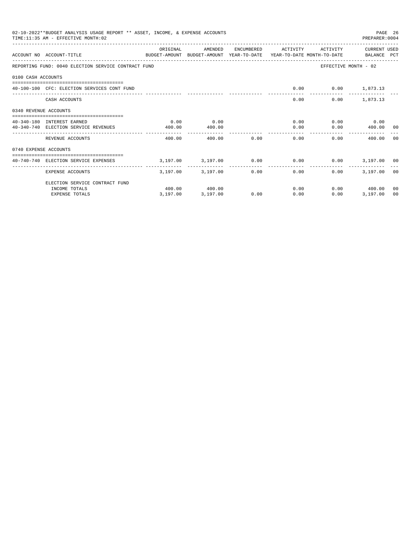|                       | 02-10-2022**BUDGET ANALYSIS USAGE REPORT ** ASSET, INCOME, & EXPENSE ACCOUNTS<br>TIME: 11:35 AM - EFFECTIVE MONTH: 02 |          |                   |      |                                                             |                          | PAGE 26<br>PREPARER: 0004 |    |
|-----------------------|-----------------------------------------------------------------------------------------------------------------------|----------|-------------------|------|-------------------------------------------------------------|--------------------------|---------------------------|----|
|                       | ACCOUNT NO ACCOUNT-TITLE<br>BUDGET-AMOUNT BUDGET-AMOUNT YEAR-TO-DATE YEAR-TO-DATE MONTH-TO-DATE BALANCE PCT           | ORIGINAL | AMENDED           |      | ENCUMBERED ACTIVITY                                         | ACTIVITY                 | CURRENT USED              |    |
|                       | REPORTING FUND: 0040 ELECTION SERVICE CONTRACT FUND                                                                   |          |                   |      |                                                             | EFFECTIVE MONTH - 02     |                           |    |
| 0100 CASH ACCOUNTS    |                                                                                                                       |          |                   |      |                                                             |                          |                           |    |
|                       | 40-100-100 CFC: ELECTION SERVICES CONT FUND                                                                           |          |                   |      |                                                             | $0.00$ $0.00$ $1,873.13$ |                           |    |
|                       | CASH ACCOUNTS                                                                                                         |          |                   |      | 0.00                                                        |                          | $0.00$ 1,873.13           |    |
| 0340 REVENUE ACCOUNTS |                                                                                                                       |          |                   |      |                                                             |                          |                           |    |
|                       | 40-340-180 INTEREST EARNED                                                                                            | 0.00     | 0.00              |      |                                                             | 0.00                     | $0.00$ 0.00               |    |
|                       | 40-340-740 ELECTION SERVICE REVENUES                                                                                  | 400.00   | 400.00            |      | 0.00                                                        |                          | $0.00$ 400.00 00          |    |
|                       | REVENUE ACCOUNTS                                                                                                      | 400.00   | 400.00 0.00       |      | . <u>.</u><br>0.00                                          | 0.00                     | 400.00 00                 |    |
| 0740 EXPENSE ACCOUNTS |                                                                                                                       |          |                   |      |                                                             |                          |                           |    |
|                       | 40-740-740 ELECTION SERVICE EXPENSES                                                                                  |          |                   |      | $3,197.00$ $3,197.00$ $0.00$ $0.00$ $0.00$ $3,197.00$ $0.0$ |                          |                           |    |
|                       | EXPENSE ACCOUNTS                                                                                                      |          | 3,197.00 3,197.00 |      | -------------<br>0.00<br>0.00                               | $0.00 -$                 | 3,197,00 00               |    |
|                       | ELECTION SERVICE CONTRACT FUND                                                                                        |          |                   |      |                                                             |                          |                           |    |
|                       | INCOME TOTALS                                                                                                         |          | 400.00 400.00     |      | 0.00                                                        |                          | $0.00$ 400.00             | 00 |
|                       | <b>EXPENSE TOTALS</b>                                                                                                 | 3,197.00 | 3,197.00          | 0.00 | 0.00                                                        | 0.00                     | 3,197.00                  | 00 |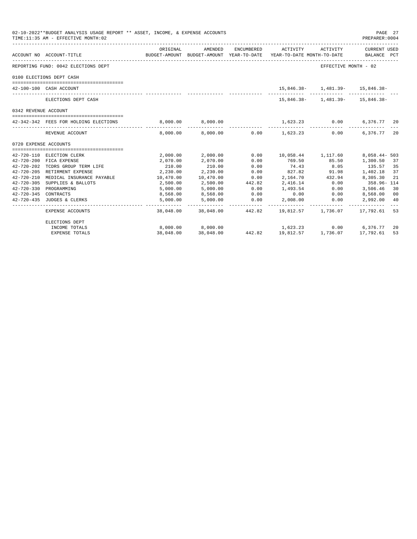|                       | 02-10-2022**BUDGET ANALYSIS USAGE REPORT ** ASSET, INCOME, & EXPENSE ACCOUNTS<br>TIME: 11:35 AM - EFFECTIVE MONTH: 02 |                      |                        |              |                                                                           |                                      | PAGE 27<br>PREPARER:0004   |    |
|-----------------------|-----------------------------------------------------------------------------------------------------------------------|----------------------|------------------------|--------------|---------------------------------------------------------------------------|--------------------------------------|----------------------------|----|
|                       | BUDGET-AMOUNT BUDGET-AMOUNT YEAR-TO-DATE YEAR-TO-DATE MONTH-TO-DATE BALANCE PCT<br>ACCOUNT NO ACCOUNT-TITLE           | ORIGINAL             | AMENDED                | ENCUMBERED   | ACTIVITY ACTIVITY CURRENT USED                                            |                                      |                            |    |
|                       | REPORTING FUND: 0042 ELECTIONS DEPT                                                                                   |                      |                        |              |                                                                           | EFFECTIVE MONTH - 02                 |                            |    |
|                       | 0100 ELECTIONS DEPT CASH                                                                                              |                      |                        |              |                                                                           |                                      |                            |    |
|                       | 42-100-100 CASH ACCOUNT                                                                                               |                      |                        |              | 15,846.38- 1,481.39- 15,846.38-                                           |                                      |                            |    |
|                       | -------------------------<br>ELECTIONS DEPT CASH                                                                      |                      |                        |              |                                                                           | $15,846.38 - 1,481.39 - 15,846.38 -$ |                            |    |
| 0342 REVENUE ACCOUNT  |                                                                                                                       |                      |                        |              |                                                                           |                                      |                            |    |
|                       | 42-342-342 FEES FOR HOLDING ELECTIONS                                                                                 |                      | 8,000.00 8,000.00      |              | 1,623.23 0.00                                                             |                                      | 6,376.77 20                |    |
|                       | REVENUE ACCOUNT                                                                                                       |                      |                        |              | _____________<br>$8,000.00$ $8,000.00$ $0.00$ $1,623.23$ $0.00$           | _______________________________      | 6,376.77 20                |    |
| 0720 EXPENSE ACCOUNTS |                                                                                                                       |                      |                        |              |                                                                           |                                      |                            |    |
|                       |                                                                                                                       |                      |                        |              |                                                                           |                                      |                            |    |
|                       | 42-720-110 ELECTION CLERK                                                                                             |                      | 2,000.00 2,000.00 0.00 |              | 10,058.44 1,117.60                                                        |                                      | $8,058.44 - 503$           |    |
|                       | 42-720-200 FICA EXPENSE                                                                                               | 2,070.00             | 2,070.00               | 0.00         | 769.50 85.50                                                              |                                      | 1,300.50                   | 37 |
| $42 - 720 - 202$      | TCDRS GROUP TERM LIFE                                                                                                 | 210.00               | 210.00<br>2,230.00     | 0.00<br>0.00 | 74.43<br>827.82 91.98                                                     | 8.05                                 | 135.57                     | 35 |
|                       | 42-720-205 RETIRMENT EXPENSE                                                                                          | 2,230.00             | 10,470.00 0.00         |              | 2, 164.70 432.94 8, 305.30                                                |                                      | 1,402.18                   | 37 |
| $42 - 720 - 210$      | MEDICAL INSURANCE PAYABLE                                                                                             | 10,470.00            |                        | 442.82       | 2,416.14 0.00                                                             |                                      |                            | 21 |
| $42 - 720 - 305$      | SUPPLIES & BALLOTS                                                                                                    | 2,500.00             | 2,500.00               | 0.00         |                                                                           | 0.00                                 | 358.96-114                 |    |
| 42-720-345 CONTRACTS  | 42-720-330 PROGRAMMING                                                                                                | 5,000.00             | 5,000.00               | 0.00         | 1,493.54                                                                  | 0.00                                 | 3,506.46 30                |    |
|                       | 42-720-435 JUDGES & CLERKS                                                                                            | 8,568.00<br>5,000.00 | 8,568.00<br>5,000.00   | 0.00         | 0.00                                                                      | $2,008.00$ 0.00                      | 8,568.00 00<br>2,992.00 40 |    |
|                       | EXPENSE ACCOUNTS                                                                                                      |                      |                        |              | .<br>38,048.00 38,048.00 442.82 19,812.57 1,736.07 17,792.61              | ----------- -                        |                            | 53 |
|                       | ELECTIONS DEPT                                                                                                        |                      |                        |              |                                                                           |                                      |                            |    |
|                       | INCOME TOTALS                                                                                                         |                      | 8,000.00 8,000.00      |              | $1,623.23$ $0.00$ $6,376.77$<br>442.82 $19,812.57$ $1,736.07$ $17,792.61$ |                                      |                            | 20 |
|                       | <b>EXPENSE TOTALS</b>                                                                                                 | 38,048.00            | 38,048,00              |              |                                                                           |                                      |                            | 53 |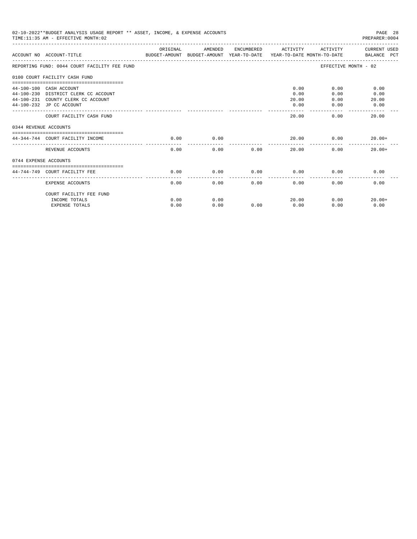|                       | 02-10-2022**BUDGET ANALYSIS USAGE REPORT ** ASSET, INCOME, & EXPENSE ACCOUNTS<br>TIME: 11:35 AM - EFFECTIVE MONTH: 02                                                |              |              |                        |                               |                              | PAGE 28<br>PREPARER: 0004     |
|-----------------------|----------------------------------------------------------------------------------------------------------------------------------------------------------------------|--------------|--------------|------------------------|-------------------------------|------------------------------|-------------------------------|
|                       | ACCOUNT NO ACCOUNT-TITLE<br>BUDGET-AMOUNT BUDGET-AMOUNT YEAR-TO-DATE  YEAR-TO-DATE MONTH-TO-DATE      BALANCE PCT                                                    | ORIGINAL     | AMENDED      |                        | ENCUMBERED ACTIVITY           |                              | ACTIVITY CURRENT USED         |
|                       | REPORTING FUND: 0044 COURT FACILITY FEE FUND                                                                                                                         |              |              |                        |                               |                              | EFFECTIVE MONTH - 02          |
|                       | 0100 COURT FACILITY CASH FUND                                                                                                                                        |              |              |                        |                               |                              |                               |
|                       | ===============================<br>44-100-100 CASH ACCOUNT<br>44-100-230 DISTRICT CLERK CC ACCOUNT<br>44-100-231 COUNTY CLERK CC ACCOUNT<br>44-100-232 JP CC ACCOUNT |              |              |                        | 0.00<br>0.00<br>20.00<br>0.00 | 0.00<br>0.00<br>0.00<br>0.00 | 0.00<br>0.00<br>20.00<br>0.00 |
| 0344 REVENUE ACCOUNTS | COURT FACILITY CASH FUND                                                                                                                                             |              |              |                        | 20.00                         | 0.00                         | 20.00                         |
|                       | 44-344-744 COURT FACILITY INCOME                                                                                                                                     | 0.00         | 0.00         |                        |                               | 20.00                        | 0.00<br>$20.00+$              |
|                       | REVENUE ACCOUNTS                                                                                                                                                     | 0.00         | 0.00         | 0.00                   | 20.00                         |                              | 0.00<br>$20.00+$              |
| 0744 EXPENSE ACCOUNTS |                                                                                                                                                                      |              |              |                        |                               |                              |                               |
|                       | ------------------------------<br>44-744-749 COURT FACILITY FEE                                                                                                      | 0.00         | 0.00         | 0.00                   | 0.00                          | 0.00                         | 0.00                          |
|                       | EXPENSE ACCOUNTS                                                                                                                                                     | 0.00         | 0.00         | ------------ -<br>0.00 | .<br>0.00                     | 0.00                         | 0.00                          |
|                       | COURT FACILITY FEE FUND<br>INCOME TOTALS<br><b>EXPENSE TOTALS</b>                                                                                                    | 0.00<br>0.00 | 0.00<br>0.00 | 0.00                   | 20.00<br>0.00                 | 0.00                         | 0.00<br>$20.00+$<br>0.00      |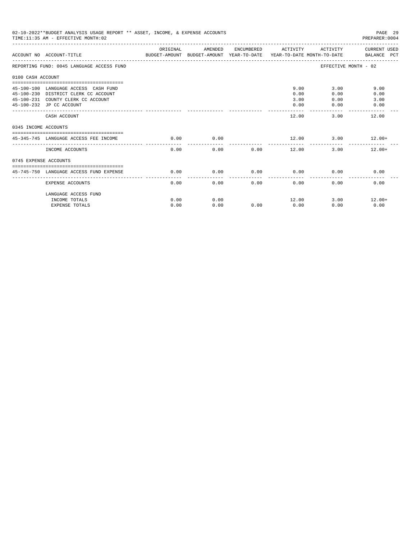| 02-10-2022**BUDGET ANALYSIS USAGE REPORT ** ASSET, INCOME, & EXPENSE ACCOUNTS<br>PAGE 29<br>TIME: 11:35 AM - EFFECTIVE MONTH: 02<br>PREPARER: 0004<br>ORIGINAL<br>ENCUMBERED ACTIVITY<br>AMENDED<br>ACTIVITY<br>ACCOUNT NO ACCOUNT-TITLE COMPARENT AND BUDGET-AMOUNT BUDGET-AMOUNT YEAR-TO-DATE YEAR-TO-DATE MONTH-TO-DATE BALANCE PCT<br>EFFECTIVE MONTH - 02<br>REPORTING FUND: 0045 LANGUAGE ACCESS FUND<br>0100 CASH ACCOUNT<br>9.00<br>9.00<br>45-100-100 LANGUAGE ACCESS CASH FUND<br>3.00<br>45-100-230 DISTRICT CLERK CC ACCOUNT<br>0.00<br>0.00<br>0.00<br>45-100-231 COUNTY CLERK CC ACCOUNT<br>3.00<br>3.00<br>0.00<br>0.00<br>45-100-232 JP CC ACCOUNT<br>0.00<br>0.00<br>-------<br>12.00<br>3.00<br>12.00<br>CASH ACCOUNT<br>0345 INCOME ACCOUNTS<br>0.00<br>$12.00$ $3.00$ $12.00+$<br>45-345-745 LANGUAGE ACCESS FEE INCOME<br>$\sim$ 0.00<br>.<br>0.00<br>INCOME ACCOUNTS<br>0.00<br>0.00<br>12.00<br>3.00<br>$12.00+$<br>0745 EXPENSE ACCOUNTS<br>0.00<br>0.00<br>0.00<br>45-745-750 LANGUAGE ACCESS FUND EXPENSE<br>0.00<br>0.00<br>0.00<br>0.00<br>0.00<br>0.00<br>0.00<br>0.00<br>0.00<br><b>EXPENSE ACCOUNTS</b><br>LANGUAGE ACCESS FUND |      |      |      |       |      |               |
|----------------------------------------------------------------------------------------------------------------------------------------------------------------------------------------------------------------------------------------------------------------------------------------------------------------------------------------------------------------------------------------------------------------------------------------------------------------------------------------------------------------------------------------------------------------------------------------------------------------------------------------------------------------------------------------------------------------------------------------------------------------------------------------------------------------------------------------------------------------------------------------------------------------------------------------------------------------------------------------------------------------------------------------------------------------------------------------------------------------------------------------------------------------|------|------|------|-------|------|---------------|
|                                                                                                                                                                                                                                                                                                                                                                                                                                                                                                                                                                                                                                                                                                                                                                                                                                                                                                                                                                                                                                                                                                                                                                |      |      |      |       |      | CURRENT USED  |
|                                                                                                                                                                                                                                                                                                                                                                                                                                                                                                                                                                                                                                                                                                                                                                                                                                                                                                                                                                                                                                                                                                                                                                |      |      |      |       |      |               |
|                                                                                                                                                                                                                                                                                                                                                                                                                                                                                                                                                                                                                                                                                                                                                                                                                                                                                                                                                                                                                                                                                                                                                                |      |      |      |       |      |               |
|                                                                                                                                                                                                                                                                                                                                                                                                                                                                                                                                                                                                                                                                                                                                                                                                                                                                                                                                                                                                                                                                                                                                                                |      |      |      |       |      |               |
|                                                                                                                                                                                                                                                                                                                                                                                                                                                                                                                                                                                                                                                                                                                                                                                                                                                                                                                                                                                                                                                                                                                                                                |      |      |      |       |      |               |
|                                                                                                                                                                                                                                                                                                                                                                                                                                                                                                                                                                                                                                                                                                                                                                                                                                                                                                                                                                                                                                                                                                                                                                |      |      |      |       |      |               |
|                                                                                                                                                                                                                                                                                                                                                                                                                                                                                                                                                                                                                                                                                                                                                                                                                                                                                                                                                                                                                                                                                                                                                                |      |      |      |       |      |               |
|                                                                                                                                                                                                                                                                                                                                                                                                                                                                                                                                                                                                                                                                                                                                                                                                                                                                                                                                                                                                                                                                                                                                                                |      |      |      |       |      |               |
|                                                                                                                                                                                                                                                                                                                                                                                                                                                                                                                                                                                                                                                                                                                                                                                                                                                                                                                                                                                                                                                                                                                                                                |      |      |      |       |      |               |
|                                                                                                                                                                                                                                                                                                                                                                                                                                                                                                                                                                                                                                                                                                                                                                                                                                                                                                                                                                                                                                                                                                                                                                |      |      |      |       |      |               |
|                                                                                                                                                                                                                                                                                                                                                                                                                                                                                                                                                                                                                                                                                                                                                                                                                                                                                                                                                                                                                                                                                                                                                                |      |      |      |       |      |               |
| INCOME TOTALS                                                                                                                                                                                                                                                                                                                                                                                                                                                                                                                                                                                                                                                                                                                                                                                                                                                                                                                                                                                                                                                                                                                                                  | 0.00 | 0.00 |      | 12.00 |      | $3.00$ 12.00+ |
| <b>EXPENSE TOTALS</b>                                                                                                                                                                                                                                                                                                                                                                                                                                                                                                                                                                                                                                                                                                                                                                                                                                                                                                                                                                                                                                                                                                                                          | 0.00 | 0.00 | 0.00 | 0.00  | 0.00 | 0.00          |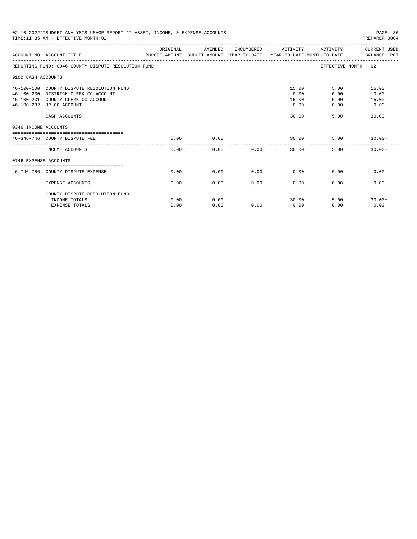| 02-10-2022**BUDGET ANALYSIS USAGE REPORT ** ASSET, INCOME, & EXPENSE ACCOUNTS<br>PAGE 30<br>TIME: 11:35 AM - EFFECTIVE MONTH: 02<br>PREPARER: 0004<br>ORIGINAL<br>AMENDED<br>ENCUMBERED ACTIVITY<br>CURRENT USED<br>ACTIVITY<br>ACCOUNT NO ACCOUNT-TITLE CONTROL SUDGET-AMOUNT BUDGET-AMOUNT YEAR-TO-DATE YEAR-TO-DATE MONTH-TO-DATE BALANCE PCT<br>REPORTING FUND: 0046 COUNTY DISPUTE RESOLUTION FUND<br>EFFECTIVE MONTH - 02<br>0100 CASH ACCOUNTS<br>15.00<br>5.00<br>46-100-100 COUNTY DISPUTE RESOLUTION FUND<br>15.00<br>0.00<br>0.00<br>46-100-230 DISTRICK CLERK CC ACCOUNT<br>0.00<br>46-100-231 COUNTY CLERK CC ACCOUNT<br>15.00<br>0.00<br>15.00<br>0.00<br>0.00<br>46-100-232 JP CC ACCOUNT<br>0.00<br>-------<br>30.00<br>5.00<br>30.00<br>CASH ACCOUNTS<br>0346 INCOME ACCOUNTS<br>0.00<br>46-346-746 COUNTY DISPUTE FEE<br>0.00<br>30.00<br>5.00<br>$30.00+$<br>0.00<br>5.00<br>INCOME ACCOUNTS<br>0.00<br>0.00<br>30.00<br>$30.00+$<br>0746 EXPENSE ACCOUNTS<br>----------------------------------<br>0.00<br>0.00<br>0.00<br>0.00<br>0.00<br>0.00<br>46-746-756 COUNTY DISPUTE EXPENSE<br>0.00<br>0.00<br>0.00<br>0.00<br>0.00<br>0.00<br>EXPENSE ACCOUNTS |      |      |      |       |      |          |
|------------------------------------------------------------------------------------------------------------------------------------------------------------------------------------------------------------------------------------------------------------------------------------------------------------------------------------------------------------------------------------------------------------------------------------------------------------------------------------------------------------------------------------------------------------------------------------------------------------------------------------------------------------------------------------------------------------------------------------------------------------------------------------------------------------------------------------------------------------------------------------------------------------------------------------------------------------------------------------------------------------------------------------------------------------------------------------------------------------------------------------------------------------------------------|------|------|------|-------|------|----------|
|                                                                                                                                                                                                                                                                                                                                                                                                                                                                                                                                                                                                                                                                                                                                                                                                                                                                                                                                                                                                                                                                                                                                                                              |      |      |      |       |      |          |
|                                                                                                                                                                                                                                                                                                                                                                                                                                                                                                                                                                                                                                                                                                                                                                                                                                                                                                                                                                                                                                                                                                                                                                              |      |      |      |       |      |          |
|                                                                                                                                                                                                                                                                                                                                                                                                                                                                                                                                                                                                                                                                                                                                                                                                                                                                                                                                                                                                                                                                                                                                                                              |      |      |      |       |      |          |
|                                                                                                                                                                                                                                                                                                                                                                                                                                                                                                                                                                                                                                                                                                                                                                                                                                                                                                                                                                                                                                                                                                                                                                              |      |      |      |       |      |          |
|                                                                                                                                                                                                                                                                                                                                                                                                                                                                                                                                                                                                                                                                                                                                                                                                                                                                                                                                                                                                                                                                                                                                                                              |      |      |      |       |      |          |
|                                                                                                                                                                                                                                                                                                                                                                                                                                                                                                                                                                                                                                                                                                                                                                                                                                                                                                                                                                                                                                                                                                                                                                              |      |      |      |       |      |          |
|                                                                                                                                                                                                                                                                                                                                                                                                                                                                                                                                                                                                                                                                                                                                                                                                                                                                                                                                                                                                                                                                                                                                                                              |      |      |      |       |      |          |
|                                                                                                                                                                                                                                                                                                                                                                                                                                                                                                                                                                                                                                                                                                                                                                                                                                                                                                                                                                                                                                                                                                                                                                              |      |      |      |       |      |          |
|                                                                                                                                                                                                                                                                                                                                                                                                                                                                                                                                                                                                                                                                                                                                                                                                                                                                                                                                                                                                                                                                                                                                                                              |      |      |      |       |      |          |
|                                                                                                                                                                                                                                                                                                                                                                                                                                                                                                                                                                                                                                                                                                                                                                                                                                                                                                                                                                                                                                                                                                                                                                              |      |      |      |       |      |          |
|                                                                                                                                                                                                                                                                                                                                                                                                                                                                                                                                                                                                                                                                                                                                                                                                                                                                                                                                                                                                                                                                                                                                                                              |      |      |      |       |      |          |
|                                                                                                                                                                                                                                                                                                                                                                                                                                                                                                                                                                                                                                                                                                                                                                                                                                                                                                                                                                                                                                                                                                                                                                              |      |      |      |       |      |          |
|                                                                                                                                                                                                                                                                                                                                                                                                                                                                                                                                                                                                                                                                                                                                                                                                                                                                                                                                                                                                                                                                                                                                                                              |      |      |      |       |      |          |
|                                                                                                                                                                                                                                                                                                                                                                                                                                                                                                                                                                                                                                                                                                                                                                                                                                                                                                                                                                                                                                                                                                                                                                              |      |      |      |       |      |          |
|                                                                                                                                                                                                                                                                                                                                                                                                                                                                                                                                                                                                                                                                                                                                                                                                                                                                                                                                                                                                                                                                                                                                                                              |      |      |      |       |      |          |
| COUNTY DISPUTE RESOLUTION FUND                                                                                                                                                                                                                                                                                                                                                                                                                                                                                                                                                                                                                                                                                                                                                                                                                                                                                                                                                                                                                                                                                                                                               |      |      |      |       |      |          |
| INCOME TOTALS                                                                                                                                                                                                                                                                                                                                                                                                                                                                                                                                                                                                                                                                                                                                                                                                                                                                                                                                                                                                                                                                                                                                                                | 0.00 | 0.00 |      | 30.00 | 5.00 | $30.00+$ |
| <b>EXPENSE TOTALS</b>                                                                                                                                                                                                                                                                                                                                                                                                                                                                                                                                                                                                                                                                                                                                                                                                                                                                                                                                                                                                                                                                                                                                                        | 0.00 | 0.00 | 0.00 | 0.00  | 0.00 | 0.00     |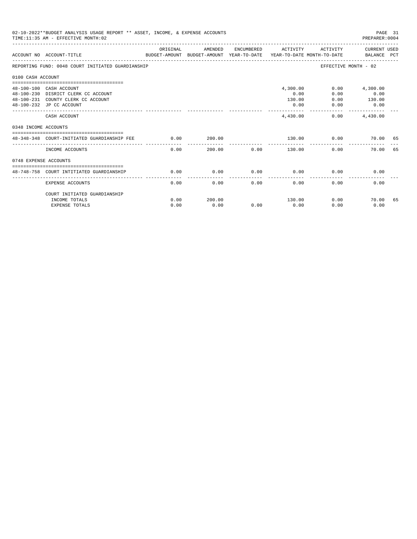|                       | 02-10-2022**BUDGET ANALYSIS USAGE REPORT ** ASSET, INCOME, & EXPENSE ACCOUNTS<br>PAGE 31<br>TIME: 11:35 AM - EFFECTIVE MONTH: 02<br>PREPARER: 0004 |          |         |      |                                            |                              |                                    |    |  |
|-----------------------|----------------------------------------------------------------------------------------------------------------------------------------------------|----------|---------|------|--------------------------------------------|------------------------------|------------------------------------|----|--|
|                       | ACCOUNT NO ACCOUNT-TITLE<br>BUDGET-AMOUNT BUDGET-AMOUNT YEAR-TO-DATE YEAR-TO-DATE MONTH-TO-DATE BALANCE PCT                                        | ORIGINAL | AMENDED |      | ENCUMBERED ACTIVITY                        | ACTIVITY                     | CURRENT USED                       |    |  |
|                       | REPORTING FUND: 0048 COURT INITIATED GUARDIANSHIP                                                                                                  |          |         |      |                                            |                              | EFFECTIVE MONTH - 02               |    |  |
| 0100 CASH ACCOUNT     |                                                                                                                                                    |          |         |      |                                            |                              |                                    |    |  |
|                       | 48-100-100 CASH ACCOUNT<br>48-100-230 DISRICT CLERK CC ACCOUNT<br>48-100-231 COUNTY CLERK CC ACCOUNT<br>48-100-232 JP CC ACCOUNT                   |          |         |      | 4,300.00<br>0.00<br>130.00<br>0.00         | 0.00<br>0.00<br>0.00<br>0.00 | 4,300.00<br>0.00<br>130.00<br>0.00 |    |  |
|                       | CASH ACCOUNT                                                                                                                                       |          |         |      | -----------<br>4,430,00                    |                              | -------------<br>$0.00$ $4.430.00$ |    |  |
| 0348 INCOME ACCOUNTS  |                                                                                                                                                    |          |         |      |                                            |                              |                                    |    |  |
|                       | 48-348-348 COURT-INITIATED GUARDIANSHIP FEE                                                                                                        | 0.00     | 200.00  |      |                                            | 130.00 0.00                  | 70.00 65                           |    |  |
|                       | INCOME ACCOUNTS                                                                                                                                    | 0.00     |         |      | ----------- <b>-</b><br>200.00 0.00 130.00 | 0.00                         | 70.00                              | 65 |  |
| 0748 EXPENSE ACCOUNTS |                                                                                                                                                    |          |         |      |                                            |                              |                                    |    |  |
|                       | 48-748-758 COURT INTITIATED GUARDIANSHIP                                                                                                           | 0.00     | 0.00    | 0.00 | 0.00                                       | 0.00                         | 0.00                               |    |  |
|                       | <b>EXPENSE ACCOUNTS</b>                                                                                                                            | 0.00     | 0.00    | 0.00 | 0.00                                       | 0.00                         | 0.00                               |    |  |
|                       | COURT INITIATED GUARDIANSHIP<br>INCOME TOTALS                                                                                                      | 0.00     | 200.00  |      | 130.00                                     |                              | $0.00$ and $0.00$<br>70.00         | 65 |  |
|                       | <b>EXPENSE TOTALS</b>                                                                                                                              | 0.00     | 0.00    | 0.00 | 0.00                                       | 0.00                         | 0.00                               |    |  |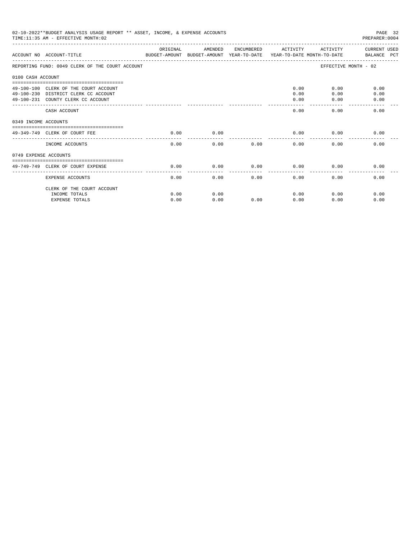|                       | 02-10-2022**BUDGET ANALYSIS USAGE REPORT ** ASSET, INCOME, & EXPENSE ACCOUNTS<br>TIME: 11:35 AM - EFFECTIVE MONTH: 02 |          |         |            |          |                      | PAGE 32<br>PREPARER:0004 |
|-----------------------|-----------------------------------------------------------------------------------------------------------------------|----------|---------|------------|----------|----------------------|--------------------------|
|                       | ACCOUNT NO ACCOUNT-TITLE<br>BUDGET-AMOUNT BUDGET-AMOUNT YEAR-TO-DATE  YEAR-TO-DATE MONTH-TO-DATE      BALANCE PCT     | ORIGINAL | AMENDED | ENCUMBERED | ACTIVITY | ACTIVITY             | CURRENT USED             |
|                       | REPORTING FUND: 0049 CLERK OF THE COURT ACCOUNT                                                                       |          |         |            |          | EFFECTIVE MONTH - 02 |                          |
| 0100 CASH ACCOUNT     |                                                                                                                       |          |         |            |          |                      |                          |
|                       | 49-100-100 CLERK OF THE COURT ACCOUNT                                                                                 |          |         |            | 0.00     | 0.00                 | 0.00                     |
|                       | 49-100-230 DISTRICT CLERK CC ACCOUNT                                                                                  |          |         |            | 0.00     | 0.00                 | 0.00                     |
|                       | 49-100-231 COUNTY CLERK CC ACCOUNT                                                                                    |          |         |            | 0.00     | 0.00                 | 0.00                     |
|                       | CASH ACCOUNT                                                                                                          |          |         |            | 0.00     | 0.00                 | 0.00                     |
| 0349 INCOME ACCOUNTS  |                                                                                                                       |          |         |            |          |                      |                          |
|                       | ----------------------------------<br>49-349-749 CLERK OF COURT FEE                                                   | 0.00     | 0.00    |            | 0.00     | 0.00                 | 0.00                     |
|                       | INCOME ACCOUNTS                                                                                                       | 0.00     | 0.00    | 0.00       | 0.00     | 0.00                 | 0.00                     |
| 0749 EXPENSE ACCOUNTS |                                                                                                                       |          |         |            |          |                      |                          |
|                       | 49-749-749 CLERK OF COURT EXPENSE                                                                                     | 0.00     | 0.00    | 0.00       | 0.00     | 0.00                 | 0.00                     |
|                       | <b>EXPENSE ACCOUNTS</b>                                                                                               | 0.00     | 0.00    | 0.00       | 0.00     | 0.00                 | 0.00                     |
|                       | CLERK OF THE COURT ACCOUNT                                                                                            |          |         |            |          |                      |                          |
|                       | INCOME TOTALS                                                                                                         | 0.00     | 0.00    |            | 0.00     | 0.00                 | 0.00                     |
|                       | <b>EXPENSE TOTALS</b>                                                                                                 | 0.00     | 0.00    | 0.00       | 0.00     | 0.00                 | 0.00                     |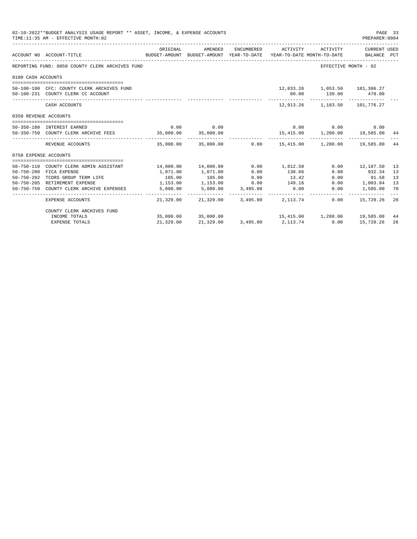|                       | 02-10-2022**BUDGET ANALYSIS USAGE REPORT ** ASSET, INCOME, & EXPENSE ACCOUNTS<br>TIME: 11:35 AM - EFFECTIVE MONTH: 02 |           |                                                                                |                    |                     |                                                                   | PAGE 33<br>PREPARER: 0004   |    |
|-----------------------|-----------------------------------------------------------------------------------------------------------------------|-----------|--------------------------------------------------------------------------------|--------------------|---------------------|-------------------------------------------------------------------|-----------------------------|----|
|                       | ACCOUNT NO ACCOUNT-TITLE                                                                                              | ORIGINAL  | AMENDED<br>BUDGET-AMOUNT BUDGET-AMOUNT YEAR-TO-DATE YEAR-TO-DATE MONTH-TO-DATE |                    | ENCUMBERED ACTIVITY | ACTIVITY                                                          | CURRENT USED<br>BALANCE PCT |    |
|                       | REPORTING FUND: 0050 COUNTY CLERK ARCHIVES FUND                                                                       |           |                                                                                |                    |                     | EFFECTIVE MONTH - 02                                              |                             |    |
| 0100 CASH ACCOUNTS    |                                                                                                                       |           |                                                                                |                    |                     |                                                                   |                             |    |
|                       | 50-100-100 CFC: COUNTY CLERK ARCHIVES FUND<br>50-100-231 COUNTY CLERK CC ACCOUNT                                      |           |                                                                                |                    | 80.00<br>. <u>.</u> | 12,833.26 1,053.50 101,306.27<br>130.00 470.00<br>------------    | -------------               |    |
|                       | CASH ACCOUNTS                                                                                                         |           |                                                                                |                    |                     | 12.913.26 1.183.50 101.776.27                                     |                             |    |
| 0350 REVENUE ACCOUNTS |                                                                                                                       |           |                                                                                |                    |                     |                                                                   |                             |    |
|                       | 50-350-180 INTEREST EARNED                                                                                            | 0.00      | 0.00                                                                           |                    |                     | $0.00$ $0.00$ $0.00$ $0.00$                                       |                             |    |
|                       | 50-350-750 COUNTY CLERK ARCHIVE FEES                                                                                  | 35,000.00 | 35,000.00                                                                      |                    |                     | 15,415.00   1,280.00   19,585.00   44                             |                             |    |
|                       | REVENUE ACCOUNTS                                                                                                      |           | ______________                                                                 |                    |                     | $35,000.00$ $35,000.00$ $0.00$ $15,415.00$ $1,280.00$ $19,585.00$ |                             | 44 |
| 0750 EXPENSE ACCOUNTS |                                                                                                                       |           |                                                                                |                    |                     |                                                                   |                             |    |
|                       | 50-750-110 COUNTY CLERK ADMIN ASSISTANT                                                                               |           | 14,000.00    14,000.00                                                         | 0.00               | 1,812.50            |                                                                   | $0.00$ 12,187.50            | 13 |
| $50 - 750 - 200$      | FICA EXPENSE                                                                                                          | 1,071.00  | 1,071.00                                                                       | 0.00               | 138.66              | 0.00                                                              | 932.34                      | 13 |
| 50-750-202            | TCDRS GROUP TERM LIFE                                                                                                 | 105.00    | 105.00                                                                         | 0.00               | 13.42               | 0.00                                                              | 91.58                       | 13 |
|                       | 50-750-205 RETIREMENT EXPENSE                                                                                         | 1,153.00  | 1,153.00                                                                       | 0.00               | 149.16              | 0.00                                                              | 1,003.84                    | 13 |
| 50-750-750            | COUNTY CLERK ARCHIVE EXPENSES                                                                                         | 5,000.00  | $5,000.00$ $3,495.00$<br>. <u>.</u> .                                          |                    | 0.00                | 0.00                                                              | 1,505.00                    | 70 |
|                       | EXPENSE ACCOUNTS                                                                                                      | 21,329.00 |                                                                                | 21,329.00 3,495.00 | 2, 113. 74          | 0.00                                                              | 15,720.26                   | 26 |
|                       | COUNTY CLERK ARCHIVES FUND                                                                                            |           |                                                                                |                    |                     |                                                                   |                             |    |
|                       | INCOME TOTALS                                                                                                         |           | 35,000.00 35,000.00                                                            |                    |                     | 15,415.00  1,280.00  19,585.00                                    |                             | 44 |
|                       | <b>EXPENSE TOTALS</b>                                                                                                 | 21,329.00 | 21,329.00                                                                      |                    | 3,495.00 2,113.74   | 0.00                                                              | 15,720.26                   | 26 |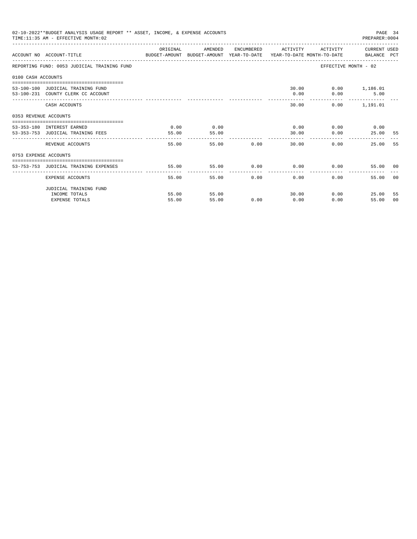|                       | 02-10-2022**BUDGET ANALYSIS USAGE REPORT ** ASSET, INCOME, & EXPENSE ACCOUNTS<br>TIME: 11:35 AM - EFFECTIVE MONTH: 02 |                                                                                                                                                                                                                                                                                                                                                                                                       |         |               |                                              |                         | PAGE 34<br>PREPARER: 0004        |                |
|-----------------------|-----------------------------------------------------------------------------------------------------------------------|-------------------------------------------------------------------------------------------------------------------------------------------------------------------------------------------------------------------------------------------------------------------------------------------------------------------------------------------------------------------------------------------------------|---------|---------------|----------------------------------------------|-------------------------|----------------------------------|----------------|
|                       | ACCOUNT NO ACCOUNT-TITLE CONTROL PROTECT-AMOUNT BUDGET-AMOUNT YEAR-TO-DATE YEAR-TO-DATE MONTH-TO-DATE BALANCE PCT     | ORIGINAL                                                                                                                                                                                                                                                                                                                                                                                              | AMENDED |               | ENCUMBERED ACTIVITY                          |                         | ACTIVITY CURRENT USED            |                |
|                       | REPORTING FUND: 0053 JUDICIAL TRAINING FUND                                                                           |                                                                                                                                                                                                                                                                                                                                                                                                       |         |               |                                              | EFFECTIVE MONTH - 02    |                                  |                |
| 0100 CASH ACCOUNTS    |                                                                                                                       |                                                                                                                                                                                                                                                                                                                                                                                                       |         |               |                                              |                         |                                  |                |
|                       | 53-100-100 JUDICIAL TRAINING FUND                                                                                     |                                                                                                                                                                                                                                                                                                                                                                                                       |         |               |                                              | 30.00   0.00   1,186.01 |                                  |                |
|                       | 53-100-231 COUNTY CLERK CC ACCOUNT                                                                                    |                                                                                                                                                                                                                                                                                                                                                                                                       |         |               | 0.00                                         | 0.00                    | 5.00                             |                |
|                       | CASH ACCOUNTS                                                                                                         |                                                                                                                                                                                                                                                                                                                                                                                                       |         |               | 30.00                                        |                         | -------------<br>$0.00$ 1,191.01 |                |
| 0353 REVENUE ACCOUNTS |                                                                                                                       |                                                                                                                                                                                                                                                                                                                                                                                                       |         |               |                                              |                         |                                  |                |
|                       | 53-353-180 INTEREST EARNED                                                                                            | 0.00                                                                                                                                                                                                                                                                                                                                                                                                  | 0.00    |               | $0.00$ $0.00$ $0.00$ $0.00$                  |                         |                                  |                |
|                       | 53-353-753 JUDICIAL TRAINING FEES                                                                                     | 55.00                                                                                                                                                                                                                                                                                                                                                                                                 | 55.00   |               | 30.00                                        | 0.00                    | 25.00                            | -55            |
|                       | REVENUE ACCOUNTS                                                                                                      | $\frac{1}{2} \frac{1}{2} \frac{1}{2} \frac{1}{2} \frac{1}{2} \frac{1}{2} \frac{1}{2} \frac{1}{2} \frac{1}{2} \frac{1}{2} \frac{1}{2} \frac{1}{2} \frac{1}{2} \frac{1}{2} \frac{1}{2} \frac{1}{2} \frac{1}{2} \frac{1}{2} \frac{1}{2} \frac{1}{2} \frac{1}{2} \frac{1}{2} \frac{1}{2} \frac{1}{2} \frac{1}{2} \frac{1}{2} \frac{1}{2} \frac{1}{2} \frac{1}{2} \frac{1}{2} \frac{1}{2} \frac{$<br>55.00 |         | 55.00         | --------------<br>$0.00$ and $0.00$<br>30.00 | 0.00                    | 25.00                            | 55             |
| 0753 EXPENSE ACCOUNTS |                                                                                                                       |                                                                                                                                                                                                                                                                                                                                                                                                       |         |               |                                              |                         |                                  |                |
|                       | 53-753-753 JUDICIAL TRAINING EXPENSES                                                                                 | 55.00                                                                                                                                                                                                                                                                                                                                                                                                 | 55.00   |               | $0.00$ $0.00$ $0.00$ $0.00$                  |                         | 55.00 00                         |                |
|                       |                                                                                                                       |                                                                                                                                                                                                                                                                                                                                                                                                       |         |               |                                              |                         |                                  |                |
|                       | EXPENSE ACCOUNTS                                                                                                      | 55.00                                                                                                                                                                                                                                                                                                                                                                                                 |         | 0.00<br>55.00 | 0.00                                         | 0.00                    | 55.00                            | 0 <sub>0</sub> |
|                       | JUDICIAL TRAINING FUND                                                                                                |                                                                                                                                                                                                                                                                                                                                                                                                       |         |               |                                              |                         |                                  |                |
|                       | INCOME TOTALS                                                                                                         | 55.00                                                                                                                                                                                                                                                                                                                                                                                                 | 55.00   |               | 30.00                                        | 0.00                    | 25.00                            | -55            |
|                       | <b>EXPENSE TOTALS</b>                                                                                                 | 55.00                                                                                                                                                                                                                                                                                                                                                                                                 | 55.00   | 0.00          | 0.00                                         | 0.00                    | 55.00                            | 00             |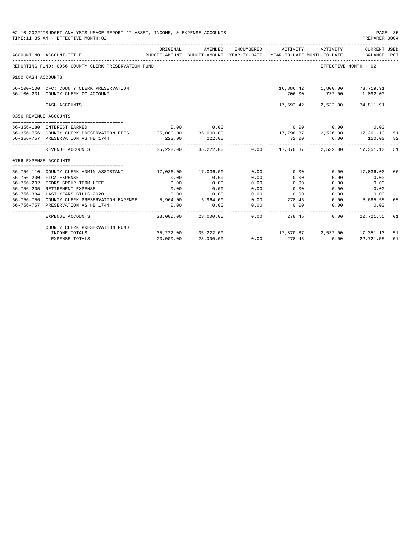|                       | 02-10-2022**BUDGET ANALYSIS USAGE REPORT ** ASSET, INCOME, & EXPENSE ACCOUNTS<br>TIME:11:35 AM - EFFECTIVE MONTH:02 |                     |                                                                                |            |                                                  |                                                                                                                                     | PREPARER:0004               | PAGE 35 |
|-----------------------|---------------------------------------------------------------------------------------------------------------------|---------------------|--------------------------------------------------------------------------------|------------|--------------------------------------------------|-------------------------------------------------------------------------------------------------------------------------------------|-----------------------------|---------|
|                       | ACCOUNT NO ACCOUNT-TITLE<br>--------------------------------                                                        | ORIGINAL            | AMENDED<br>BUDGET-AMOUNT BUDGET-AMOUNT YEAR-TO-DATE YEAR-TO-DATE MONTH-TO-DATE | ENCUMBERED | ACTIVITY<br>____________________________________ | ACTIVITY                                                                                                                            | CURRENT USED<br>BALANCE PCT |         |
|                       | REPORTING FUND: 0056 COUNTY CLERK PRESERVATION FUND                                                                 |                     |                                                                                |            |                                                  |                                                                                                                                     | EFFECTIVE MONTH - 02        |         |
| 0100 CASH ACCOUNTS    |                                                                                                                     |                     |                                                                                |            |                                                  |                                                                                                                                     |                             |         |
|                       | 56-100-100 CFC: COUNTY CLERK PRESERVATION<br>56-100-231 COUNTY CLERK CC ACCOUNT                                     |                     |                                                                                |            | 706.00                                           | 16,886.42    1,800.00    73,719.91                                                                                                  | 732.00 1,092.00             |         |
|                       | CASH ACCOUNTS                                                                                                       |                     |                                                                                |            |                                                  | -----------<br>17,592.42 2,532.00 74,811.91                                                                                         |                             |         |
| 0356 REVENUE ACCOUNTS |                                                                                                                     |                     |                                                                                |            |                                                  |                                                                                                                                     |                             |         |
|                       |                                                                                                                     |                     |                                                                                |            |                                                  |                                                                                                                                     |                             |         |
|                       | 56-356-180 INTEREST EARNED                                                                                          | 0.00                | 0.00                                                                           |            |                                                  | $\begin{array}{cccc} & 0.00 & & 0.00 & & 0.00 \\ 17,798.87 & & 2,526.00 & & 17,201.13 \\ & & 72.00 & & 6.00 & & 150.00 \end{array}$ |                             |         |
|                       | 56-356-756 COUNTY CLERK PRESERVATION FEES 35,000.00 35,000.00                                                       |                     |                                                                                |            |                                                  |                                                                                                                                     |                             | 51      |
|                       | 56-356-757 PRESERVATION VS HB 1744                                                                                  | 222.00              | 222.00                                                                         |            |                                                  |                                                                                                                                     |                             | 32      |
|                       | REVENUE ACCOUNTS                                                                                                    |                     | 35,222.00 35,222.00                                                            |            |                                                  | $0.00$ 17,870.87 2,532.00 17,351.13                                                                                                 |                             | -51     |
| 0756 EXPENSE ACCOUNTS |                                                                                                                     |                     |                                                                                |            |                                                  |                                                                                                                                     |                             |         |
|                       |                                                                                                                     |                     |                                                                                |            |                                                  |                                                                                                                                     |                             |         |
|                       | 56-756-110 COUNTY CLERK ADMIN ASSISTANT                                                                             | 17,036.00 17,036.00 |                                                                                | 0.00       | 0.00                                             | 0.00                                                                                                                                | 17,036.00                   | 00      |
|                       | 56-756-200 FICA EXPENSE                                                                                             | 0.00                | 0.00                                                                           | 0.00       | 0.00                                             | 0.00                                                                                                                                | 0.00                        |         |
|                       | 56-756-202 TCDRS GROUP TERM LIFE                                                                                    | 0.00                | 0.00                                                                           | 0.00       | 0.00                                             | 0.00                                                                                                                                | 0.00                        |         |
|                       | 56-756-205 RETIREMENT EXPENSE                                                                                       | 0.00                | 0.00                                                                           | 0.00       | 0.00                                             | 0.00                                                                                                                                | 0.00                        |         |
|                       | 56-756-334 LAST YEARS BILLS 2020                                                                                    | 0.00                | 0.00                                                                           | 0.00       | 0.00                                             |                                                                                                                                     | 0.00<br>0.00                |         |
|                       | 56-756-756 COUNTY CLERK PRESERVATION EXPENSE 5,964.00 5,964.00                                                      |                     |                                                                                | 0.00       | 278.45                                           |                                                                                                                                     | $0.00$ 5.685.55             | 05      |
|                       | 56-756-757 PRESERVATION VS HB 1744                                                                                  | 0.00                | 0.00                                                                           | 0.00       | 0.00                                             | 0.00                                                                                                                                | 0.00                        |         |
|                       | EXPENSE ACCOUNTS                                                                                                    |                     | 23,000.00 23,000.00                                                            |            | 0.00<br>278.45                                   | 0.00                                                                                                                                | 22,721.55                   | 01      |
|                       | COUNTY CLERK PRESERVATION FUND                                                                                      |                     |                                                                                |            |                                                  |                                                                                                                                     |                             |         |
|                       | INCOME TOTALS                                                                                                       |                     | 35, 222.00 35, 222.00                                                          |            |                                                  | 17,870.87 2,532.00 17,351.13                                                                                                        |                             | 51      |
|                       | <b>EXPENSE TOTALS</b>                                                                                               | 23,000.00           | 23,000.00                                                                      | 0.00       | 278.45                                           | 0.00                                                                                                                                | 22,721.55                   | 01      |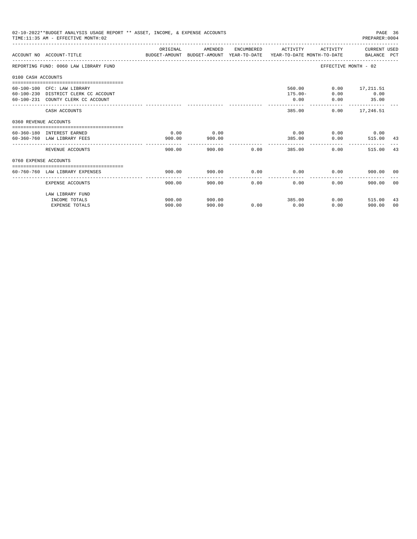|                       | 02-10-2022**BUDGET ANALYSIS USAGE REPORT ** ASSET, INCOME, & EXPENSE ACCOUNTS<br>TIME: 11:35 AM - EFFECTIVE MONTH: 02 |          |         |             |                         |                      | PAGE 36<br>PREPARER: 0004 |    |
|-----------------------|-----------------------------------------------------------------------------------------------------------------------|----------|---------|-------------|-------------------------|----------------------|---------------------------|----|
|                       | ACCOUNT NO ACCOUNT-TITLE COMPUTE THE SUDGET-AMOUNT BUDGET-AMOUNT VEAR-TO-DATE VEAR-TO-DATE MONTH-TO-DATE BALANCE PCT  | ORIGINAL | AMENDED |             | ENCUMBERED ACTIVITY     |                      | ACTIVITY CURRENT USED     |    |
|                       | REPORTING FUND: 0060 LAW LIBRARY FUND                                                                                 |          |         |             |                         | EFFECTIVE MONTH - 02 |                           |    |
| 0100 CASH ACCOUNTS    |                                                                                                                       |          |         |             |                         |                      |                           |    |
|                       |                                                                                                                       |          |         |             |                         |                      |                           |    |
|                       | 60-100-100 CFC: LAW LIBRARY                                                                                           |          |         |             | 560.00                  |                      | $0.00$ 17,211.51          |    |
|                       | 60-100-230 DISTRICT CLERK CC ACCOUNT                                                                                  |          |         |             | $175.00 -$              | 0.00                 | 0.00                      |    |
|                       | 60-100-231 COUNTY CLERK CC ACCOUNT                                                                                    |          |         |             | 0.00<br>--------------- |                      | $0.00$ 35.00              |    |
|                       | CASH ACCOUNTS                                                                                                         |          |         |             | 385.00                  |                      | $0.00$ 17,246.51          |    |
| 0360 REVENUE ACCOUNTS |                                                                                                                       |          |         |             |                         |                      |                           |    |
|                       | 60-360-180 INTEREST EARNED                                                                                            | 0.00     | 0.00    |             | 0.00                    |                      | $0.00$ 0.00               |    |
|                       | 60-360-760 LAW LIBRARY FEES                                                                                           | 900.00   | 900.00  |             |                         |                      |                           |    |
|                       |                                                                                                                       |          |         |             |                         | 385.00 0.00          | 515.00 43                 |    |
|                       | REVENUE ACCOUNTS                                                                                                      | 900.00   |         | 900.00 0.00 | 385.00                  | 0.00                 | 515.00                    | 43 |
| 0760 EXPENSE ACCOUNTS |                                                                                                                       |          |         |             |                         |                      |                           |    |
|                       |                                                                                                                       |          |         |             |                         |                      |                           |    |
|                       | 60-760-760 LAW LIBRARY EXPENSES                                                                                       | 900.00   | 900.00  |             | $0.00$ 0.00             | 0.00                 | 900.00 00                 |    |
|                       | <b>EXPENSE ACCOUNTS</b>                                                                                               | 900.00   | 900.00  | 0.00        | 0.00                    | 0.00                 | 900.00                    | 00 |
|                       | LAW LIBRARY FUND                                                                                                      |          |         |             |                         |                      |                           |    |
|                       | INCOME TOTALS                                                                                                         | 900.00   | 900.00  |             | 385.00                  | $0.00$ and $0.00$    | 515.00                    | 43 |
|                       | <b>EXPENSE TOTALS</b>                                                                                                 | 900.00   | 900.00  | 0.00        | 0.00                    | 0.00                 | 900.00                    | 00 |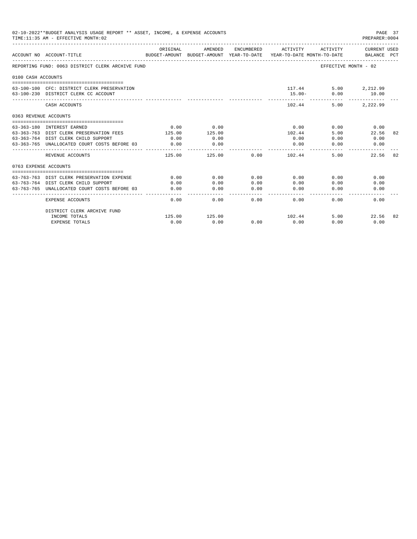|                       | 02-10-2022**BUDGET ANALYSIS USAGE REPORT ** ASSET, INCOME, & EXPENSE ACCOUNTS<br>TIME: 11:35 AM - EFFECTIVE MONTH: 02 |                |                |               |                                                                                 |                      | PAGE 37<br>PREPARER: 0004          |    |
|-----------------------|-----------------------------------------------------------------------------------------------------------------------|----------------|----------------|---------------|---------------------------------------------------------------------------------|----------------------|------------------------------------|----|
|                       | ACCOUNT NO ACCOUNT-TITLE                                                                                              | ORIGINAL       | AMENDED        | ENCUMBERED    | ACTIVITY<br>BUDGET-AMOUNT BUDGET-AMOUNT YEAR-TO-DATE YEAR-TO-DATE MONTH-TO-DATE | ACTIVITY             | <b>CURRENT USED</b><br>BALANCE PCT |    |
|                       | REPORTING FUND: 0063 DISTRICT CLERK ARCHIVE FUND                                                                      |                |                |               |                                                                                 | EFFECTIVE MONTH - 02 |                                    |    |
| 0100 CASH ACCOUNTS    |                                                                                                                       |                |                |               |                                                                                 |                      |                                    |    |
|                       | 63-100-100 CFC: DISTRICT CLERK PRESERVATION<br>63-100-230 DISTRICT CLERK CC ACCOUNT                                   |                |                |               | 117.44<br>$15.00 -$                                                             | 0.00                 | 5.00 2,212.99<br>10.00             |    |
|                       | CASH ACCOUNTS                                                                                                         |                |                |               | 102.44                                                                          | 5.00                 | 2,222.99                           |    |
| 0363 REVENUE ACCOUNTS |                                                                                                                       |                |                |               |                                                                                 |                      |                                    |    |
|                       |                                                                                                                       |                |                |               |                                                                                 |                      |                                    |    |
|                       | 63-363-180 INTEREST EARNED<br>63-363-763 DIST CLERK PRESERVATION FEES                                                 | 0.00<br>125.00 | 0.00<br>125.00 |               | 0.00                                                                            | 0.00<br>5.00         | 0.00<br>22.56                      | 82 |
|                       | 63-363-764 DIST CLERK CHILD SUPPORT                                                                                   | 0.00           | 0.00           |               | 102.44<br>0.00                                                                  | 0.00                 | 0.00                               |    |
|                       | 63-363-765 UNALLOCATED COURT COSTS BEFORE 03                                                                          | 0.00           | 0.00           |               | 0.00                                                                            | 0.00                 | 0.00                               |    |
|                       |                                                                                                                       |                |                |               |                                                                                 |                      |                                    |    |
|                       | REVENUE ACCOUNTS                                                                                                      | 125.00         | 125.00         | 0.00          | 102.44                                                                          | 5.00                 | 22.56                              | 82 |
| 0763 EXPENSE ACCOUNTS |                                                                                                                       |                |                |               |                                                                                 |                      |                                    |    |
|                       |                                                                                                                       |                |                |               |                                                                                 |                      |                                    |    |
|                       | 63-763-763 DIST CLERK PRESERVATION EXPENSE                                                                            | 0.00           | 0.00           | 0.00          | 0.00                                                                            | 0.00                 | 0.00                               |    |
|                       | 63-763-764 DIST CLERK CHILD SUPPORT                                                                                   | 0.00           | 0.00           | 0.00          | 0.00                                                                            | 0.00                 | 0.00                               |    |
|                       | 63-763-765 UNALLOCATED COURT COSTS BEFORE 03                                                                          | 0.00           | 0.00           | 0.00<br>----- | 0.00<br>$- - - - -$                                                             | 0.00                 | 0.00                               |    |
|                       | <b>EXPENSE ACCOUNTS</b>                                                                                               | 0.00           | 0.00           | 0.00          | 0.00                                                                            | 0.00                 | 0.00                               |    |
|                       | DISTRICT CLERK ARCHIVE FUND                                                                                           |                |                |               |                                                                                 |                      |                                    |    |
|                       | INCOME TOTALS                                                                                                         | 125.00         | 125.00         |               | 102.44                                                                          | 5.00                 | 22.56                              | 82 |
|                       | <b>EXPENSE TOTALS</b>                                                                                                 | 0.00           | 0.00           | 0.00          | 0.00                                                                            | 0.00                 | 0.00                               |    |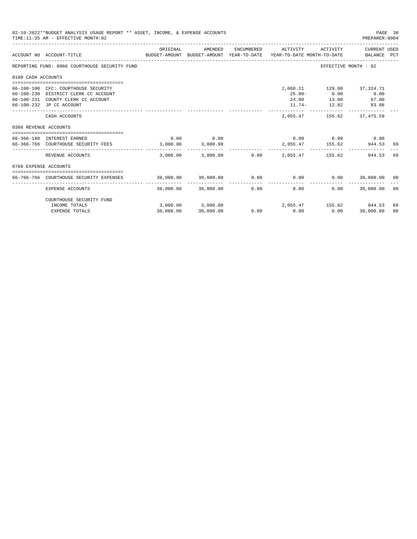|                       | 02-10-2022**BUDGET ANALYSIS USAGE REPORT ** ASSET, INCOME, & EXPENSE ACCOUNTS<br>TIME: 11:35 AM - EFFECTIVE MONTH: 02 |                         |                     |            |                                                    |                             | PAGE 38<br>PREPARER: 0004   |      |
|-----------------------|-----------------------------------------------------------------------------------------------------------------------|-------------------------|---------------------|------------|----------------------------------------------------|-----------------------------|-----------------------------|------|
|                       | BUDGET-AMOUNT BUDGET-AMOUNT YEAR-TO-DATE YEAR-TO-DATE MONTH-TO-DATE<br>ACCOUNT NO ACCOUNT-TITLE                       | ORIGINAL                | AMENDED             | ENCUMBERED | ACTIVITY                                           | ACTIVITY                    | CURRENT USED<br>BALANCE PCT |      |
|                       | REPORTING FUND: 0066 COURTHOUSE SECURITY FUND                                                                         |                         |                     |            |                                                    | EFFECTIVE MONTH - 02        |                             |      |
| 0100 CASH ACCOUNTS    |                                                                                                                       |                         |                     |            |                                                    |                             |                             |      |
|                       |                                                                                                                       |                         |                     |            |                                                    |                             |                             |      |
|                       | 66-100-100 CFC: COURTHOUSE SECURITY                                                                                   |                         |                     |            |                                                    | 2,068.21 129.80 37,324.71   |                             |      |
|                       | 66-100-230 DISTRICT CLERK CC ACCOUNT                                                                                  |                         |                     |            | $25.00 -$                                          | 0.00                        | 0.00                        |      |
|                       | 66-100-231 COUNTY CLERK CC ACCOUNT                                                                                    |                         |                     |            |                                                    | 24.00 13.00                 | 67.00                       |      |
|                       | 66-100-232 JP CC ACCOUNT                                                                                              |                         |                     |            |                                                    | $11.74 - 12.82$             | 83.88                       |      |
|                       | CASH ACCOUNTS                                                                                                         |                         |                     |            | 2,055.47                                           | 155.62                      | 37,475.59                   |      |
| 0366 REVENUE ACCOUNTS |                                                                                                                       |                         |                     |            |                                                    |                             |                             |      |
|                       |                                                                                                                       |                         |                     |            |                                                    |                             |                             |      |
|                       | 66-366-180 INTEREST EARNED                                                                                            | 0.00                    | 0.00                |            |                                                    | $0.00$ $0.00$ $0.00$ $0.00$ |                             |      |
|                       | 66-366-766 COURTHOUSE SECURITY FEES                                                                                   | 3.000.00                | 3,000.00            |            |                                                    |                             | 2.055.47 155.62 944.53      | -69  |
|                       | REVENUE ACCOUNTS                                                                                                      | 3,000.00                | 3,000.00            | 0.00       |                                                    | 2,055.47 155.62             | 944.53                      | 69   |
| 0766 EXPENSE ACCOUNTS |                                                                                                                       |                         |                     |            |                                                    |                             |                             |      |
|                       |                                                                                                                       |                         |                     |            |                                                    |                             |                             |      |
|                       | 66-766-766 COURTHOUSE SECURITY EXPENSES                                                                               | $30,000.00$ $30,000.00$ |                     | 0.00       | 0.00                                               |                             | $0.00$ 30,000.00 00         |      |
|                       | <b>EXPENSE ACCOUNTS</b>                                                                                               |                         | 30,000.00 30,000.00 | 0.00       | 0.00                                               | 0.00                        | 30,000.00                   | - 00 |
|                       | COURTHOUSE SECURITY FUND                                                                                              |                         |                     |            |                                                    |                             |                             |      |
|                       | INCOME TOTALS                                                                                                         |                         |                     |            | $3,000.00$ $3,000.00$ $2,055.47$ $155.62$ $944.53$ |                             |                             | 69   |
|                       | <b>EXPENSE TOTALS</b>                                                                                                 | 30,000.00               | 30,000.00           | 0.00       | 0.00                                               | 0.00                        | 30,000.00                   | 00   |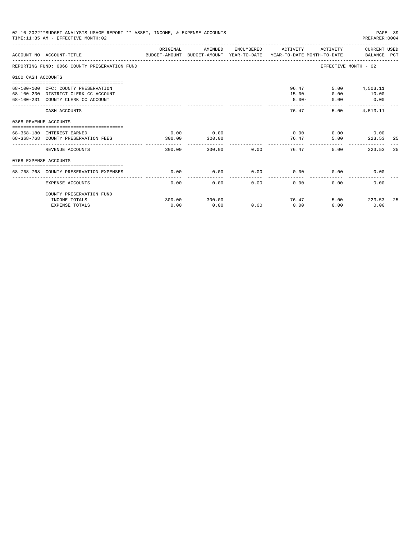|                       | 02-10-2022**BUDGET ANALYSIS USAGE REPORT ** ASSET, INCOME, & EXPENSE ACCOUNTS<br>TIME: 11:35 AM - EFFECTIVE MONTH: 02  |                |                                  |             |                                   |                               | PAGE 39<br>PREPARER: 0004           |     |
|-----------------------|------------------------------------------------------------------------------------------------------------------------|----------------|----------------------------------|-------------|-----------------------------------|-------------------------------|-------------------------------------|-----|
|                       | ACCOUNT NO ACCOUNT-TITLE COMPARENT AND BUDGET-AMOUNT BUDGET-AMOUNT YEAR-TO-DATE YEAR-TO-DATE MONTH-TO-DATE BALANCE PCT | ORIGINAL       | AMENDED                          |             | ENCUMBERED ACTIVITY               |                               | ACTIVITY CURRENT USED               |     |
|                       | REPORTING FUND: 0068 COUNTY PRESERVATION FUND                                                                          |                |                                  |             |                                   | EFFECTIVE MONTH - 02          |                                     |     |
| 0100 CASH ACCOUNTS    |                                                                                                                        |                |                                  |             |                                   |                               |                                     |     |
|                       | 68-100-100 CFC: COUNTY PRESERVATION<br>68-100-230 DISTRICT CLERK CC ACCOUNT<br>68-100-231 COUNTY CLERK CC ACCOUNT      |                |                                  |             | 96.47<br>$15.00 -$<br>$5.00 -$    | 0.00<br>0.00<br>------------- | 5.00 4,503.11<br>10.00<br>0.00<br>. |     |
|                       | CASH ACCOUNTS                                                                                                          |                |                                  |             | 76.47                             |                               | 5.00 4.513.11                       |     |
| 0368 REVENUE ACCOUNTS |                                                                                                                        |                |                                  |             |                                   |                               |                                     |     |
|                       | 68-368-180 INTEREST EARNED<br>68-368-768 COUNTY PRESERVATION FEES                                                      | 0.00<br>300.00 | 0.00<br>300.00<br>-------------- |             | 0.00<br>76.47<br>---------------- | ----------------------------- | $0.00$ 0.00<br>5.00 223.53          | -25 |
|                       | REVENUE ACCOUNTS                                                                                                       | 300.00         |                                  | 300.00 0.00 | 76.47                             | 5.00                          | 223.53                              | 25  |
| 0768 EXPENSE ACCOUNTS |                                                                                                                        |                |                                  |             |                                   |                               |                                     |     |
|                       | 68-768-768 COUNTY PRESERVATION EXPENSES                                                                                | 0.00           | 0.00                             |             | $0.00$ 0.00                       |                               | 0.00<br>0.00                        |     |
|                       | <b>EXPENSE ACCOUNTS</b>                                                                                                | 0.00           | 0.00                             | 0.00        | 0.00                              | 0.00                          | 0.00                                |     |
|                       | COUNTY PRESERVATION FUND                                                                                               |                |                                  |             |                                   |                               |                                     |     |
|                       | INCOME TOTALS                                                                                                          | 300.00         | 300.00                           |             | 76.47                             |                               | 5.00 223.53                         | -25 |
|                       | <b>EXPENSE TOTALS</b>                                                                                                  | 0.00           | 0.00                             | 0.00        | 0.00                              | 0.00                          | 0.00                                |     |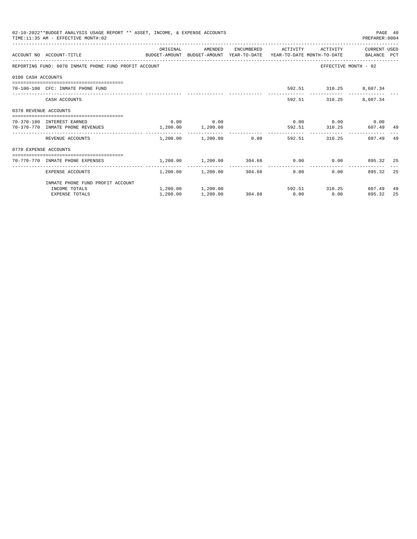|                       | 02-10-2022**BUDGET ANALYSIS USAGE REPORT ** ASSET, INCOME, & EXPENSE ACCOUNTS<br>TIME: 11:35 AM - EFFECTIVE MONTH: 02 |                                                            |                                                  |             |                     |                        | PREPARER: 0004              | PAGE 40 |
|-----------------------|-----------------------------------------------------------------------------------------------------------------------|------------------------------------------------------------|--------------------------------------------------|-------------|---------------------|------------------------|-----------------------------|---------|
|                       | BUDGET-AMOUNT BUDGET-AMOUNT YEAR-TO-DATE YEAR-TO-DATE MONTH-TO-DATE BALANCE PCT<br>ACCOUNT NO ACCOUNT-TITLE           | ORIGINAL                                                   | AMENDED                                          |             | ENCUMBERED ACTIVITY | ACTIVITY               | CURRENT USED                |         |
|                       | REPORTING FUND: 0070 INMATE PHONE FUND PROFIT ACCOUNT                                                                 |                                                            |                                                  |             |                     |                        | EFFECTIVE MONTH - 02        |         |
| 0100 CASH ACCOUNTS    |                                                                                                                       |                                                            |                                                  |             |                     |                        |                             |         |
|                       | 70-100-100 CFC: INMATE PHONE FUND                                                                                     |                                                            |                                                  |             |                     | 592.51 310.25 8,607.34 |                             |         |
|                       | CASH ACCOUNTS                                                                                                         |                                                            |                                                  |             |                     |                        | 592.51 310.25 8,607.34      |         |
| 0370 REVENUE ACCOUNTS |                                                                                                                       |                                                            |                                                  |             |                     |                        |                             |         |
|                       | 70-370-180 INTEREST EARNED                                                                                            |                                                            | $0.00$ 0.00                                      |             |                     |                        | $0.00$ $0.00$ $0.00$ $0.00$ |         |
|                       | 70-370-770 INMATE PHONE REVENUES                                                                                      | $1,200.00$ $1,200.00$                                      |                                                  |             |                     |                        | 592.51 310.25 607.49 49     |         |
|                       | REVENUE ACCOUNTS                                                                                                      |                                                            | $1,200.00$ $1,200.00$ $0.00$ $592.51$ $310.25$   |             |                     |                        | 607.49                      | -49     |
| 0770 EXPENSE ACCOUNTS |                                                                                                                       |                                                            |                                                  |             |                     |                        |                             |         |
|                       | =================================<br>70-770-770 INMATE PHONE EXPENSES                                                 | $1,200.00$ $1,200.00$ $304.68$ $0.00$ $0.00$ $895.32$ $25$ |                                                  |             |                     |                        |                             |         |
|                       | EXPENSE ACCOUNTS                                                                                                      |                                                            | $1,200.00$ $1,200.00$ $304.68$ 0.00              |             | ---------------     |                        | 0.00<br>895.32              | 25      |
|                       | INMATE PHONE FUND PROFIT ACCOUNT                                                                                      |                                                            |                                                  |             |                     |                        |                             |         |
|                       | INCOME TOTALS                                                                                                         |                                                            | $1,200.00$ $1,200.00$ $592.51$ $310.25$ $607.49$ |             |                     |                        |                             | 49      |
|                       | <b>EXPENSE TOTALS</b>                                                                                                 | 1,200.00                                                   | 1,200.00                                         | 304.68 0.00 |                     | 0.00                   | 895.32                      | 25      |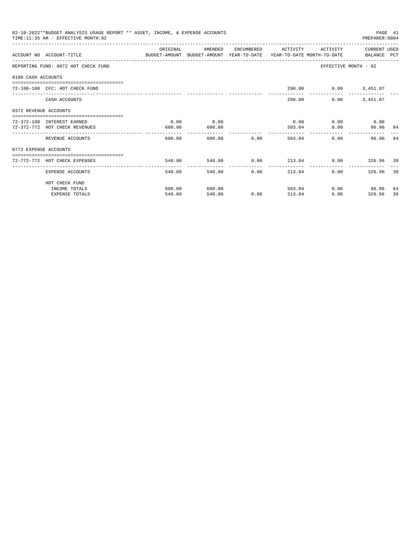|                       | 02-10-2022**BUDGET ANALYSIS USAGE REPORT ** ASSET, INCOME, & EXPENSE ACCOUNTS<br>TIME: 11:35 AM - EFFECTIVE MONTH: 02  |          |              |                |                     |                 | PREPARER: 0004           | PAGE 41 |
|-----------------------|------------------------------------------------------------------------------------------------------------------------|----------|--------------|----------------|---------------------|-----------------|--------------------------|---------|
|                       |                                                                                                                        | ORIGINAL | AMENDED      |                | ENCUMBERED ACTIVITY | ACTIVITY        | CURRENT USED             |         |
|                       | ACCOUNT NO ACCOUNT-TITLE COMMONICATION BUDGET-AMOUNT BUDGET-AMOUNT YEAR-TO-DATE YEAR-TO-DATE MONTH-TO-DATE BALANCE PCT |          |              |                |                     |                 |                          |         |
|                       | REPORTING FUND: 0072 HOT CHECK FUND                                                                                    |          |              |                |                     |                 | EFFECTIVE MONTH - 02     |         |
| 0100 CASH ACCOUNTS    |                                                                                                                        |          |              |                |                     |                 |                          |         |
|                       | 72-100-100 CFC: HOT CHECK FUND                                                                                         |          |              |                |                     |                 | 290.00   0.00   3,451.07 |         |
|                       | CASH ACCOUNTS                                                                                                          |          |              |                | 290.00              | 0.00            | 3,451.07                 |         |
| 0372 REVENUE ACCOUNTS |                                                                                                                        |          |              |                |                     |                 |                          |         |
|                       | 72-372-180 INTEREST EARNED                                                                                             | 0.00     | 0.00         |                | 0.00                |                 | $0.00$ 0.00              |         |
|                       | 72-372-772 HOT CHECK REVENUES                                                                                          | 600.00   | 600.00       |                | 503.04              | 0.00            | 96.96 84                 |         |
|                       | REVENUE ACCOUNTS                                                                                                       | 600.00   |              | 600.00 0.00    | 503.04              |                 | 0.00<br>96.96            | 84      |
| 0772 EXPENSE ACCOUNTS |                                                                                                                        |          |              |                |                     |                 |                          |         |
|                       | ------------------------------------<br>72-772-772 HOT CHECK EXPENSES                                                  | 540.00   |              |                |                     |                 |                          |         |
|                       |                                                                                                                        |          | ------------ | ------------   | ---------------     | --------------- |                          |         |
|                       | EXPENSE ACCOUNTS                                                                                                       | 540.00   |              | 540.00<br>0.00 | 213.04              |                 | 326.96 39<br>0.00        |         |
|                       | HOT CHECK FUND                                                                                                         |          |              |                |                     |                 |                          |         |
|                       | INCOME TOTALS                                                                                                          | 600.00   | 600.00       |                | 503.04              |                 | $0.00$ 96.96             | 84      |
|                       | <b>EXPENSE TOTALS</b>                                                                                                  | 540.00   | 540.00       | 0.00           | 213.04              |                 | 0.00<br>326.96           | 39      |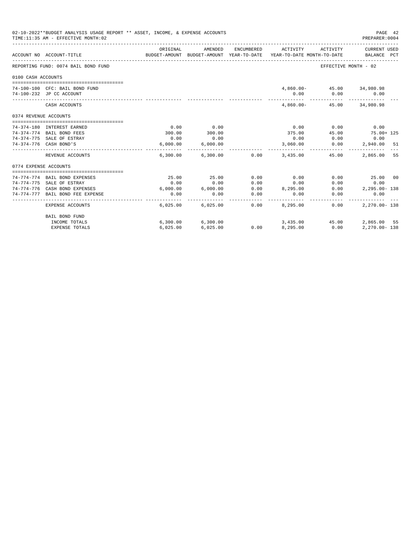|                       | 02-10-2022**BUDGET ANALYSIS USAGE REPORT ** ASSET, INCOME, & EXPENSE ACCOUNTS<br>TIME: 11:35 AM - EFFECTIVE MONTH: 02 |                  |                      |                       |                                                                                             |                           | PAGE 42<br>PREPARER: 0004 |  |
|-----------------------|-----------------------------------------------------------------------------------------------------------------------|------------------|----------------------|-----------------------|---------------------------------------------------------------------------------------------|---------------------------|---------------------------|--|
|                       | ACCOUNT NO ACCOUNT-TITLE                                                                                              | ORIGINAL         | AMENDED              | ENCUMBERED            | ACTIVITY<br>BUDGET-AMOUNT BUDGET-AMOUNT YEAR-TO-DATE YEAR-TO-DATE MONTH-TO-DATE BALANCE PCT | ACTIVITY                  | CURRENT USED              |  |
|                       | REPORTING FUND: 0074 BAIL BOND FUND                                                                                   |                  |                      |                       |                                                                                             | EFFECTIVE MONTH - 02      |                           |  |
| 0100 CASH ACCOUNTS    |                                                                                                                       |                  |                      |                       |                                                                                             |                           |                           |  |
|                       |                                                                                                                       |                  |                      |                       |                                                                                             |                           |                           |  |
|                       | 74-100-100 CFC: BAIL BOND FUND                                                                                        |                  |                      |                       |                                                                                             | 4,860.00- 45.00 34,980.98 |                           |  |
|                       | 74-100-232 JP CC ACCOUNT                                                                                              |                  |                      |                       |                                                                                             | $0.00$ $0.00$ $0.00$      |                           |  |
|                       | CASH ACCOUNTS                                                                                                         |                  |                      |                       |                                                                                             | 4,860.00- 45.00 34,980.98 |                           |  |
| 0374 REVENUE ACCOUNTS |                                                                                                                       |                  |                      |                       |                                                                                             |                           |                           |  |
|                       |                                                                                                                       |                  |                      |                       |                                                                                             |                           |                           |  |
|                       | 74-374-180 INTEREST EARNED                                                                                            | 0.00             | 0.00                 |                       | 0.00                                                                                        | 0.00                      | 0.00                      |  |
|                       | 74-374-774 BAIL BOND FEES                                                                                             | 300.00           | 300.00               |                       | 375.00                                                                                      | 45.00                     | $75.00 + 125$             |  |
|                       | 74-374-775 SALE OF ESTRAY                                                                                             | 0.00             | 0.00                 |                       | 0.00                                                                                        | 0.00                      | 0.00                      |  |
|                       | 74-374-776 CASH BOND'S                                                                                                | 6.000.00         | 6,000.00             |                       | 3,060.00                                                                                    | 0.00                      | 2,940.00 51               |  |
|                       | REVENUE ACCOUNTS                                                                                                      |                  |                      |                       | $6,300.00$ $6,300.00$ $0.00$ $3,435.00$ $45.00$                                             |                           | 2,865,00 55               |  |
| 0774 EXPENSE ACCOUNTS |                                                                                                                       |                  |                      |                       |                                                                                             |                           |                           |  |
|                       |                                                                                                                       |                  |                      |                       |                                                                                             |                           |                           |  |
|                       | 74-774-774 BAIL BOND EXPENSES                                                                                         | 25.00            | 25.00                | 0.00                  | 0.00                                                                                        |                           | $0.00$ 25.00 00           |  |
|                       | 74-774-775 SALE OF ESTRAY                                                                                             | 0.00             | 0.00                 | 0.00                  | 0.00                                                                                        |                           | $0.00$ 0.00               |  |
|                       | 74-774-776 CASH BOND EXPENSES                                                                                         |                  |                      |                       | $6,000.00$ $6,000.00$ $0.00$ $8,295.00$                                                     |                           | $0.00$ 2, 295.00 - 138    |  |
|                       | 74-774-777 BAIL BOND FEE EXPENSE                                                                                      | 0.00<br>-------- | 0.00<br>------------ | 0.00<br>------------- | 0.00<br>---------                                                                           | ------------              | 0.00<br>0.00              |  |
|                       | EXPENSE ACCOUNTS                                                                                                      |                  | 6,025.00 6,025.00    |                       | $0.00$ 8,295.00                                                                             | 0.00                      | $2.270.00 - 138$          |  |
|                       | BAIL BOND FUND                                                                                                        |                  |                      |                       |                                                                                             |                           |                           |  |
|                       | INCOME TOTALS                                                                                                         |                  | 6,300.00 6,300.00    |                       | 3,435.00 45.00                                                                              |                           | 2,865.00 55               |  |
|                       | <b>EXPENSE TOTALS</b>                                                                                                 | 6.025.00         | 6,025.00             | 0.00                  | 8.295.00                                                                                    | 0.00                      | $2.270.00 - 138$          |  |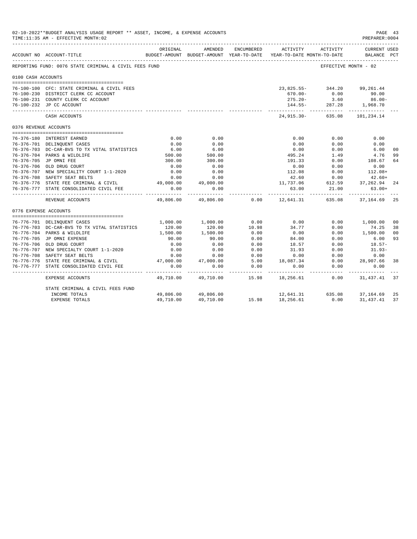|                       | 02-10-2022**BUDGET ANALYSIS USAGE REPORT ** ASSET, INCOME, & EXPENSE ACCOUNTS<br>TIME:11:35 AM - EFFECTIVE MONTH:02 |                        |                                                     |                            |                                                 |                        | PAGE 43<br>PREPARER: 0004          |                      |
|-----------------------|---------------------------------------------------------------------------------------------------------------------|------------------------|-----------------------------------------------------|----------------------------|-------------------------------------------------|------------------------|------------------------------------|----------------------|
|                       | ACCOUNT NO ACCOUNT-TITLE                                                                                            | ORIGINAL               | AMENDED<br>BUDGET-AMOUNT BUDGET-AMOUNT YEAR-TO-DATE | ENCUMBERED                 | ACTIVITY ACTIVITY<br>YEAR-TO-DATE MONTH-TO-DATE |                        | <b>CURRENT USED</b><br>BALANCE PCT |                      |
|                       | REPORTING FUND: 0076 STATE CRIMINAL & CIVIL FEES FUND                                                               |                        |                                                     |                            |                                                 | EFFECTIVE MONTH - 02   |                                    |                      |
| 0100 CASH ACCOUNTS    |                                                                                                                     |                        |                                                     |                            |                                                 |                        |                                    |                      |
|                       | 76-100-100 CFC: STATE CRIMINAL & CIVIL FEES                                                                         |                        |                                                     |                            | 23,825.55 - 344.20 99,261.44                    |                        |                                    |                      |
|                       | 76-100-230 DISTRICT CLERK CC ACCOUNT                                                                                |                        |                                                     |                            |                                                 | $670.00 - 0.00$        | 90.00                              |                      |
|                       | 76-100-231 COUNTY CLERK CC ACCOUNT                                                                                  |                        |                                                     |                            | $275.20 -$                                      | 3.60                   | $86.00 -$                          |                      |
|                       | 76-100-232 JP CC ACCOUNT                                                                                            |                        |                                                     |                            |                                                 | $144.55 - 287.28$      | 1,968.70                           |                      |
|                       | CASH ACCOUNTS                                                                                                       |                        |                                                     |                            | 24,915.30- 635.08                               | ------------           | -----------<br>101,234.14          |                      |
| 0376 REVENUE ACCOUNTS |                                                                                                                     |                        |                                                     |                            |                                                 |                        |                                    |                      |
|                       |                                                                                                                     |                        |                                                     |                            |                                                 |                        |                                    |                      |
|                       | 76-376-180 INTEREST EARNED                                                                                          | 0.00                   | 0.00                                                |                            | 0.00                                            | 0.00                   | 0.00                               |                      |
|                       | 76-376-701 DELINQUENT CASES                                                                                         | 0.00                   | 0.00                                                |                            | 0.00                                            | 0.00                   | 0.00                               |                      |
|                       | 76-376-703 DC-CAR-BVS TO TX VITAL STATISTICS                                                                        | 6.00                   | 6.00                                                |                            | 0.00                                            | 0.00                   | 6.00                               | 0 <sub>0</sub>       |
|                       | 76-376-704 PARKS & WILDLIFE                                                                                         | 500.00                 | 500.00                                              |                            | 495.24                                          | 1.49                   | 4.76                               | 99                   |
|                       | 76-376-705 JP OMNI FEE                                                                                              | 300.00                 | 300.00                                              |                            | 191.33                                          | 0.00                   | 108.67                             | 64                   |
|                       | 76-376-706 OLD DRUG COURT                                                                                           | 0.00                   | 0.00                                                |                            | 0.00                                            | 0.00                   | 0.00                               |                      |
|                       | 76-376-707 NEW SPECIALITY COURT 1-1-2020                                                                            | 0.00                   | 0.00                                                |                            | 112.08                                          | 0.00                   | $112.08+$                          |                      |
|                       | 76-376-708 SAFETY SEAT BELTS                                                                                        | 0.00                   | 0.00                                                |                            | 42.60                                           | 0.00                   | $42.60+$                           |                      |
|                       | 76-376-776 STATE FEE CRIMINAL & CIVIL 49,000.00                                                                     |                        | 49,000.00                                           |                            | 11,737.06                                       |                        | 612.59 37,262.94                   | -24                  |
|                       | 76-376-777 STATE CONSOLIDATED CIVIL FEE                                                                             | 0.00                   | 0.00                                                |                            | 63.00                                           | 21.00<br>------------- | $63.00+$<br>-------------          |                      |
|                       | REVENUE ACCOUNTS                                                                                                    | _________<br>49,806.00 | -------------<br>49,806.00                          | 0.00                       | 12,641.31                                       | 635.08                 | 37,164.69                          | -25                  |
| 0776 EXPENSE ACCOUNTS |                                                                                                                     |                        |                                                     |                            |                                                 |                        |                                    |                      |
|                       |                                                                                                                     |                        |                                                     |                            |                                                 |                        |                                    |                      |
|                       | 76-776-701 DELINQUENT CASES                                                                                         |                        | 1,000.00 1,000.00                                   | 0.00                       | 0.00                                            |                        | $0.00$ 1,000.00                    | 0 <sub>0</sub>       |
|                       | 76-776-703 DC-CAR-BVS TO TX VITAL STATISTICS<br>76-776-704 PARKS & WILDLIFE                                         | 120.00<br>1,500.00     | 120.00<br>1,500.00                                  | 10.98<br>0.00              | 34.77<br>0.00                                   | 0.00<br>0.00           | 74.25<br>1,500.00                  | 38<br>0 <sub>0</sub> |
|                       | 76-776-705 JP OMNI EXPENSE                                                                                          | 90.00                  | 90.00                                               | 0.00                       | 84.00                                           | 0.00                   | 6.00                               | 93                   |
|                       | 76-776-706 OLD DRUG COURT                                                                                           | 0.00                   | 0.00                                                | 0.00                       | 18.57                                           | 0.00                   | $18.57-$                           |                      |
|                       | 76-776-707 NEW SPECIALTY COURT 1-1-2020                                                                             | 0.00                   | 0.00                                                | 0.00                       | 31.93                                           | 0.00                   | $31.93-$                           |                      |
|                       | 76-776-708 SAFETY SEAT BELTS                                                                                        | 0.00                   | 0.00                                                | 0.00                       | 0.00                                            | 0.00                   | 0.00                               |                      |
|                       | 76-776-776 STATE FEE CRIMINAL & CIVIL                                                                               | 47,000.00              | 47,000.00                                           | 5.00                       | 18,087.34                                       | 0.00                   | 28,907.66                          | 38                   |
|                       | 76-776-777 STATE CONSOLIDATED CIVIL FEE                                                                             | 0.00                   | 0.00                                                | 0.00                       | 0.00                                            | 0.00                   | 0.00                               |                      |
|                       | EXPENSE ACCOUNTS                                                                                                    | 49,710.00              | 49,710.00                                           | - - - - - - - - -<br>15.98 | 18,256.61 0.00                                  |                        | 31,437.41                          | 37                   |
|                       | STATE CRIMINAL & CIVIL FEES FUND                                                                                    |                        |                                                     |                            |                                                 |                        |                                    |                      |
|                       | INCOME TOTALS                                                                                                       |                        | 49,806.00 49,806.00                                 |                            | 12,641.31 635.08                                |                        | 37,164.69                          | 25                   |
|                       | <b>EXPENSE TOTALS</b>                                                                                               | 49,710.00              | 49,710.00                                           | 15.98                      | 18,256.61                                       | 0.00                   | 31, 437.41                         | 37                   |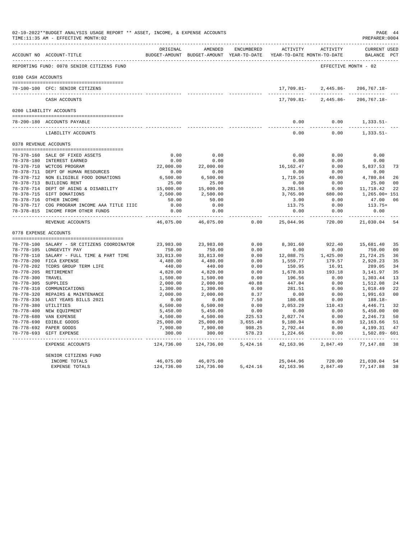|                     | 02-10-2022**BUDGET ANALYSIS USAGE REPORT ** ASSET, INCOME, & EXPENSE ACCOUNTS<br>TIME:11:35 AM - EFFECTIVE MONTH:02 |                      |                                                     |                |                     |                                              | PREPARER: 0004                     | PAGE 44              |
|---------------------|---------------------------------------------------------------------------------------------------------------------|----------------------|-----------------------------------------------------|----------------|---------------------|----------------------------------------------|------------------------------------|----------------------|
|                     | ACCOUNT NO ACCOUNT-TITLE                                                                                            | ORIGINAL             | AMENDED<br>BUDGET-AMOUNT BUDGET-AMOUNT YEAR-TO-DATE | ENCUMBERED     | ACTIVITY            | ACTIVITY<br>YEAR-TO-DATE MONTH-TO-DATE       | <b>CURRENT USED</b><br>BALANCE PCT |                      |
|                     | REPORTING FUND: 0078 SENIOR CITIZENS FUND                                                                           |                      |                                                     |                |                     | --------------------<br>EFFECTIVE MONTH - 02 |                                    |                      |
| 0100 CASH ACCOUNTS  |                                                                                                                     |                      |                                                     |                |                     |                                              |                                    |                      |
|                     | 78-100-100 CFC: SENIOR CITIZENS                                                                                     |                      |                                                     |                | 17,709.81-          | 2,445.86-                                    | $206, 767.18 -$                    |                      |
|                     | CASH ACCOUNTS                                                                                                       |                      |                                                     |                | 17,709.81-          | $2,445.86-$                                  | $206, 767.18 -$                    |                      |
|                     | 0200 LIABILITY ACCOUNTS                                                                                             |                      |                                                     |                |                     |                                              |                                    |                      |
|                     | 78-200-180 ACCOUNTS PAYABLE                                                                                         |                      |                                                     |                | 0.00                | 0.00                                         | $1,333.51-$                        |                      |
|                     | LIABILITY ACCOUNTS                                                                                                  |                      |                                                     |                | 0.00                | 0.00                                         | -----------<br>$1,333.51-$         |                      |
|                     | 0378 REVENUE ACCOUNTS                                                                                               |                      |                                                     |                |                     |                                              |                                    |                      |
|                     | 78-378-160 SALE OF FIXED ASSETS                                                                                     | 0.00                 | 0.00                                                |                | 0.00                | 0.00                                         | 0.00                               |                      |
|                     | 78-378-180 INTEREST EARNED                                                                                          | 0.00                 | 0.00                                                |                | 0.00                | 0.00                                         | 0.00                               |                      |
|                     | 78-378-710 WCTCOG PROGRAM                                                                                           | 22,000.00            | 22,000.00                                           |                | 16, 162.47          | 0.00                                         | 5,837.53                           | 73                   |
|                     | 78-378-711 DEPT OF HUMAN RESOURCES                                                                                  | 0.00                 | 0.00                                                |                | 0.00                | 0.00                                         | 0.00                               |                      |
|                     | 78-378-712 NON ELIGIBLE FOOD DONATIONS                                                                              | 6,500.00             | 6,500.00                                            |                | 1,719.16            | 40.00                                        | 4,780.84                           | 26                   |
|                     | 78-378-713 BUILDING RENT                                                                                            | 25.00                | 25.00                                               |                | 0.00                | 0.00                                         | 25.00                              | 0 <sub>0</sub>       |
|                     | 78-378-714 DEPT OF AGING & DISABILITY                                                                               | 15,000.00            | 15,000.00                                           |                | 3,281.58            | 0.00                                         | 11,718.42                          | 22                   |
|                     | 78-378-715 GIFT DONATIONS                                                                                           | 2,500.00             | 2,500.00                                            |                | 3,765.00            | 680.00                                       | 1,265.00+ 151                      |                      |
|                     | 78-378-716 OTHER INCOME                                                                                             | 50.00                | 50.00                                               |                | 3.00                | 0.00                                         | 47.00                              | 06                   |
|                     | 78-378-717 COG PROGRAM INCOME AAA TITLE IIIC                                                                        | 0.00                 | 0.00                                                |                | 113.75              | 0.00                                         | $113.75+$                          |                      |
|                     | 78-378-815 INCOME FROM OTHER FUNDS                                                                                  | 0.00<br>------------ | 0.00<br>-----------                                 |                | 0.00<br>----------- | 0.00<br>---------                            | 0.00<br>-----------                |                      |
|                     | REVENUE ACCOUNTS                                                                                                    | 46,075.00            | 46,075.00                                           | 0.00           | 25,044.96           | 720.00                                       | 21,030.04                          | 54                   |
|                     | 0778 EXPENSE ACCOUNTS                                                                                               |                      |                                                     |                |                     |                                              |                                    |                      |
|                     | 78-778-100 SALARY - SR CITIZENS COORDINATOR                                                                         | 23,983.00            | 23,983.00                                           | 0.00           | 8,301.60            | 922.40                                       | 15,681.40                          | 35                   |
|                     | 78-778-105 LONGEVITY PAY                                                                                            | 750.00               | 750.00                                              | 0.00           | 0.00                | 0.00                                         | 750.00                             | 0 <sup>0</sup>       |
|                     | 78-778-110 SALARY - FULL TIME & PART TIME                                                                           | 33,813.00            | 33,813.00                                           | 0.00           | 12,088.75           | 1,425.00                                     | 21,724.25                          | 36                   |
|                     | 78-778-200 FICA EXPENSE                                                                                             | 4,480.00             | 4,480.00                                            | 0.00           | 1,559.77            | 179.57                                       | 2,920.23                           | 35                   |
|                     | 78-778-202 TCDRS GROUP TERM LIFE                                                                                    | 440.00               | 440.00                                              | 0.00           | 150.95              | 16.91                                        | 289.05                             | 34                   |
|                     | 78-778-205 RETIREMENT                                                                                               | 4,820.00             | 4,820.00                                            | 0.00           | 1,678.03            | 193.18                                       | 3,141.97                           | 35                   |
| 78-778-300 TRAVEL   |                                                                                                                     | 1,500.00             | 1,500.00                                            | 0.00           | 196.56              | 0.00                                         | 1,303.44                           | 13                   |
| 78-778-305 SUPPLIES |                                                                                                                     | 2,000.00             | 2,000.00                                            | 40.88          | 447.04              | 0.00                                         | 1,512.08                           | 24                   |
|                     | 78-778-310 COMMUNICATIONS                                                                                           | 1,300.00             | 1,300.00                                            | 0.00           | 281.51              | 0.00                                         | 1,018.49                           | 22                   |
|                     | 78-778-320 REPAIRS & MAINTENANCE                                                                                    | 2,000.00             | 2,000.00                                            | 8.37           | 0.00                | 0.00                                         | 1,991.63                           | 0 <sub>0</sub>       |
|                     | 78-778-336 LAST YEARS BILLS 2021                                                                                    | 0.00                 | 0.00                                                | 7.50           | 180.68              | 0.00                                         | 188.18-                            |                      |
|                     | 78-778-380 UTILITIES                                                                                                | 6,500.00             | 6,500.00                                            | 0.00           | 2,053.29            | 110.43                                       | 4,446.71                           | 32                   |
|                     | 78-778-400 NEW EQUIPMENT<br>78-778-680 VAN EXPENSE                                                                  | 5,450.00<br>4,500.00 | 5,450.00<br>4,500.00                                | 0.00<br>225.53 | 0.00<br>2,027.74    | 0.00<br>0.00                                 | 5,450.00<br>2,246.73               | 0 <sub>0</sub><br>50 |
|                     | 78-778-690 EDIBLE GOODS                                                                                             | 25,000.00            | 25,000.00                                           | 3,655.40       | 9,180.94            | 0.00                                         | 12,163.66                          | 51                   |
|                     | 78-778-692 PAPER GOODS                                                                                              | 7,900.00             | 7,900.00                                            | 908.25         | 2,792.44            | 0.00                                         | 4,199.31                           | 47                   |
|                     | 78-778-693 GIFT EXPENSE                                                                                             | 300.00               | 300.00                                              | 578.23         | 1,224.66            | 0.00<br>$- - - - -$                          | 1,502.89- 601                      |                      |
|                     | EXPENSE ACCOUNTS                                                                                                    | 124,736.00           | 124,736.00                                          | 5,424.16       | 42,163.96           | 2,847.49                                     | 77,147.88                          | 38                   |
|                     | SENIOR CITIZENS FUND                                                                                                |                      |                                                     |                |                     |                                              |                                    |                      |
|                     | INCOME TOTALS                                                                                                       | 46,075.00            | 46,075.00                                           |                | 25,044.96           | 720.00                                       | 21,030.04                          | 54                   |
|                     | <b>EXPENSE TOTALS</b>                                                                                               | 124,736.00           | 124,736.00                                          | 5,424.16       | 42,163.96           | 2,847.49                                     | 77,147.88                          | 38                   |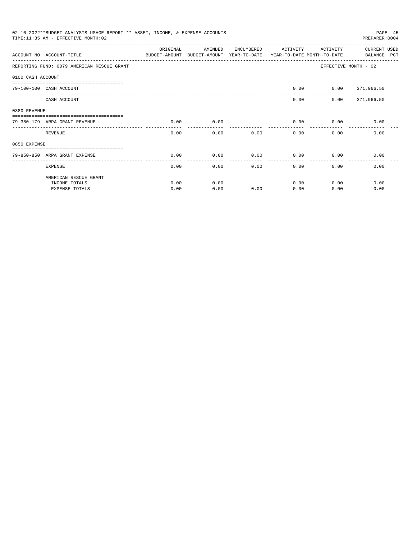|                   | 02-10-2022**BUDGET ANALYSIS USAGE REPORT ** ASSET, INCOME, & EXPENSE ACCOUNTS<br>TIME: 11:35 AM - EFFECTIVE MONTH: 02 |          |                                                     |            |          |                                        | PAGE 45<br>PREPARER: 0004   |
|-------------------|-----------------------------------------------------------------------------------------------------------------------|----------|-----------------------------------------------------|------------|----------|----------------------------------------|-----------------------------|
|                   | ACCOUNT NO ACCOUNT-TITLE                                                                                              | ORIGINAL | AMENDED<br>BUDGET-AMOUNT BUDGET-AMOUNT YEAR-TO-DATE | ENCUMBERED | ACTIVITY | ACTIVITY<br>YEAR-TO-DATE MONTH-TO-DATE | CURRENT USED<br>BALANCE PCT |
|                   | REPORTING FUND: 0079 AMERICAN RESCUE GRANT                                                                            |          |                                                     |            |          |                                        | EFFECTIVE MONTH - 02        |
| 0100 CASH ACCOUNT |                                                                                                                       |          |                                                     |            |          |                                        |                             |
|                   | ----------------------------<br>79-100-100 CASH ACCOUNT                                                               |          |                                                     |            | 0.00     |                                        | 0.0000371,966.50            |
|                   | CASH ACCOUNT                                                                                                          |          |                                                     |            | 0.00     |                                        | $0.00$ 371,966.50           |
| 0380 REVENUE      |                                                                                                                       |          |                                                     |            |          |                                        |                             |
|                   | 79-380-179 ARPA GRANT REVENUE                                                                                         | 0.00     | 0.00                                                |            | 0.00     | 0.00                                   | 0.00                        |
|                   | REVENUE                                                                                                               | 0.00     | 0.00                                                | 0.00       | 0.00     | 0.00                                   | 0.00                        |
| 0850 EXPENSE      |                                                                                                                       |          |                                                     |            |          |                                        |                             |
|                   | 79-850-850 ARPA GRANT EXPENSE                                                                                         | 0.00     | 0.00                                                | 0.00       | 0.00     | 0.00                                   | 0.00                        |
|                   | <b>EXPENSE</b>                                                                                                        | 0.00     | 0.00                                                | 0.00       | 0.00     | 0.00                                   | 0.00                        |
|                   | AMERICAN RESCUE GRANT                                                                                                 |          |                                                     |            |          |                                        |                             |
|                   | INCOME TOTALS                                                                                                         | 0.00     | 0.00                                                |            | 0.00     | 0.00                                   | 0.00                        |
|                   | <b>EXPENSE TOTALS</b>                                                                                                 | 0.00     | 0.00                                                | 0.00       | 0.00     | 0.00                                   | 0.00                        |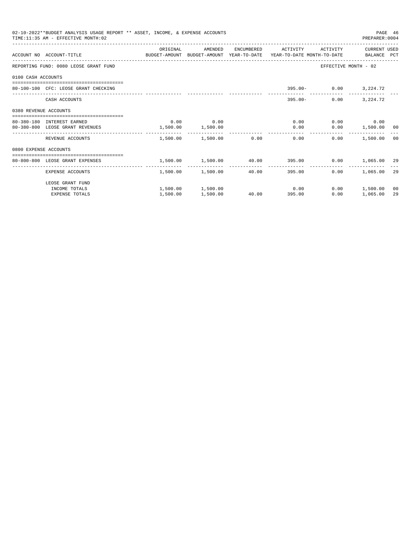|                       | 02-10-2022**BUDGET ANALYSIS USAGE REPORT ** ASSET, INCOME, & EXPENSE ACCOUNTS<br>TIME: 11:35 AM - EFFECTIVE MONTH: 02 |                       |                                                               |              |                     |                    | PREPARER: 0004        | PAGE 46 |
|-----------------------|-----------------------------------------------------------------------------------------------------------------------|-----------------------|---------------------------------------------------------------|--------------|---------------------|--------------------|-----------------------|---------|
|                       | ACCOUNT NO ACCOUNT-TITLE COMPUTER ANOUNT BUDGET-AMOUNT HEAR-TO-DATE YEAR-TO-DATE MONTH-TO-DATE BALANCE PCT            | ORIGINAL              | AMENDED                                                       |              | ENCUMBERED ACTIVITY | ACTIVITY           | CURRENT USED          |         |
|                       | REPORTING FUND: 0080 LEOSE GRANT FUND                                                                                 |                       |                                                               |              |                     |                    | EFFECTIVE MONTH - 02  |         |
| 0100 CASH ACCOUNTS    |                                                                                                                       |                       |                                                               |              |                     |                    |                       |         |
|                       | 80-100-100 CFC: LEOSE GRANT CHECKING                                                                                  |                       |                                                               |              |                     |                    | 395.00- 0.00 3,224.72 |         |
|                       | CASH ACCOUNTS                                                                                                         |                       |                                                               |              |                     | $395.00 -$<br>0.00 | 3,224.72              |         |
| 0380 REVENUE ACCOUNTS |                                                                                                                       |                       |                                                               |              |                     |                    |                       |         |
|                       | 80-380-180 INTEREST EARNED                                                                                            | 0.00                  | 0.00                                                          |              |                     | 0.00               | $0.00$ 0.00           |         |
|                       | 80-380-800 LEOSE GRANT REVENUES                                                                                       | $1,500.00$ $1,500.00$ |                                                               |              |                     | 0.00               | $0.00$ 1,500.00 00    |         |
|                       | REVENUE ACCOUNTS                                                                                                      |                       | 1,500.00 1,500.00 0.00                                        |              |                     | 0.00               | $0.00$ 1,500.00 00    |         |
| 0800 EXPENSE ACCOUNTS |                                                                                                                       |                       |                                                               |              |                     |                    |                       |         |
|                       | ------------------------------------<br>80-800-800 LEOSE GRANT EXPENSES                                               |                       | $1,500.00$ $1,500.00$ $40.00$ $395.00$ $0.00$ $1,065.00$ $29$ |              |                     |                    |                       |         |
|                       |                                                                                                                       |                       |                                                               | ------------ | -------------       |                    |                       |         |
|                       | EXPENSE ACCOUNTS                                                                                                      |                       | 1,500.00 1,500.00                                             | 40.00        | 395.00              |                    | 0.00 1,065.00         | 29      |
|                       | LEOSE GRANT FUND                                                                                                      |                       |                                                               |              |                     |                    |                       |         |
|                       | INCOME TOTALS                                                                                                         |                       | $1,500.00$ $1,500.00$ $0.00$                                  |              |                     |                    | $0.00$ 1,500.00       | 00      |
|                       | <b>EXPENSE TOTALS</b>                                                                                                 | 1,500.00              | 1,500.00                                                      |              | 40.00<br>395.00     | 0.00               | 1,065.00              | 29      |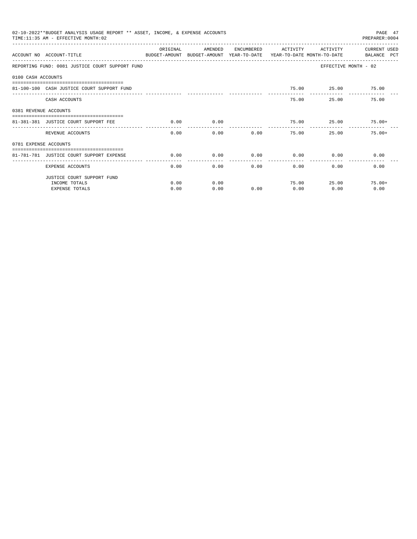|                       | 02-10-2022**BUDGET ANALYSIS USAGE REPORT ** ASSET, INCOME, & EXPENSE ACCOUNTS<br>TIME: 11:35 AM - EFFECTIVE MONTH: 02 |           |         |              |                        |                     | PAGE 47<br>PREPARER: 0004 |
|-----------------------|-----------------------------------------------------------------------------------------------------------------------|-----------|---------|--------------|------------------------|---------------------|---------------------------|
|                       | ACCOUNT NO ACCOUNT-TITLE<br>BUDGET-AMOUNT BUDGET-AMOUNT YEAR-TO-DATE YEAR-TO-DATE MONTH-TO-DATE     BALANCE PCT       | OR TGTNAL | AMENDED | ENCUMBERED   | ACTIVITY               | ACTIVITY            | CURRENT USED              |
|                       | REPORTING FUND: 0081 JUSTICE COURT SUPPORT FUND                                                                       |           |         |              |                        |                     | EFFECTIVE MONTH - 02      |
| 0100 CASH ACCOUNTS    |                                                                                                                       |           |         |              |                        |                     |                           |
|                       | 81-100-100 CASH JUSTICE COURT SUPPORT FUND                                                                            |           |         |              |                        | 75.00  25.00  75.00 |                           |
|                       | CASH ACCOUNTS                                                                                                         |           |         |              | $- - - - - -$<br>75.00 | ------------        | 25.00<br>75.00            |
| 0381 REVENUE ACCOUNTS |                                                                                                                       |           |         |              |                        |                     |                           |
|                       | 81-381-381 JUSTICE COURT SUPPORT FEE                                                                                  | 0.00      | 0.00    |              |                        |                     | $75.00$ $25.00$ $75.00+$  |
|                       | REVENUE ACCOUNTS                                                                                                      | 0.00      |         | 0.00<br>0.00 |                        | 75.00               | 25.00<br>$75.00+$         |
| 0781 EXPENSE ACCOUNTS |                                                                                                                       |           |         |              |                        |                     |                           |
|                       | 81-781-781 JUSTICE COURT SUPPORT EXPENSE                                                                              | 0.00      | 0.00    | 0.00         | 0.00                   | 0.00                | 0.00                      |
|                       | EXPENSE ACCOUNTS                                                                                                      | 0.00      |         | 0.00         | 0.00                   | 0.00                | 0.00<br>$0.00$ and $0.00$ |
|                       | JUSTICE COURT SUPPORT FUND                                                                                            |           |         |              |                        |                     |                           |
|                       | INCOME TOTALS                                                                                                         | 0.00      | 0.00    |              | 75.00                  |                     | 25.00<br>$75.00+$         |
|                       | <b>EXPENSE TOTALS</b>                                                                                                 | 0.00      | 0.00    | 0.00         | 0.00                   | 0.00                | 0.00                      |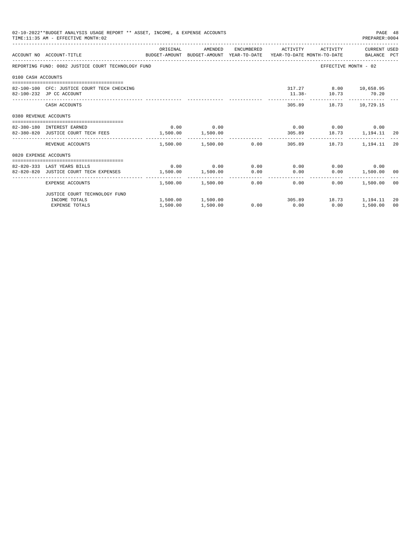| 02-10-2022**BUDGET ANALYSIS USAGE REPORT ** ASSET, INCOME, & EXPENSE ACCOUNTS<br>TIME: 11:35 AM - EFFECTIVE MONTH: 02 |                                                                                                                  |          |                            |  |                                                   |      |                                                | PAGE 48<br>PREPARER: 0004 |
|-----------------------------------------------------------------------------------------------------------------------|------------------------------------------------------------------------------------------------------------------|----------|----------------------------|--|---------------------------------------------------|------|------------------------------------------------|---------------------------|
|                                                                                                                       | ACCOUNT NO ACCOUNT-TITLE CONTROL SUDGET-AMOUNT BUDGET-AMOUNT YEAR-TO-DATE YEAR-TO-DATE MONTH-TO-DATE BALANCE PCT | ORIGINAL |                            |  | AMENDED ENCUMBERED ACTIVITY ACTIVITY CURRENT_USED |      |                                                |                           |
|                                                                                                                       | REPORTING FUND: 0082 JUSTICE COURT TECHNOLOGY FUND                                                               |          |                            |  |                                                   |      | EFFECTIVE MONTH - 02                           |                           |
| 0100 CASH ACCOUNTS                                                                                                    |                                                                                                                  |          |                            |  |                                                   |      |                                                |                           |
|                                                                                                                       | 82-100-100 CFC: JUSTICE COURT TECH CHECKING<br>82-100-232 JP CC ACCOUNT                                          |          |                            |  |                                                   |      | 317.27 8.00 10,658.95<br>$11.38 - 10.73$ 70.20 |                           |
|                                                                                                                       | CASH ACCOUNTS                                                                                                    |          |                            |  |                                                   |      | 305.89 18.73 10,729.15                         |                           |
| 0380 REVENUE ACCOUNTS                                                                                                 |                                                                                                                  |          |                            |  |                                                   |      |                                                |                           |
|                                                                                                                       | 82-380-180 INTEREST EARNED                                                                                       |          | $0.00$ 0.00                |  |                                                   |      | $0.00$ $0.00$ $0.00$ $0.00$                    |                           |
|                                                                                                                       | 82-380-820 JUSTICE COURT TECH FEES 1,500.00 1,500.00                                                             |          |                            |  | 305.89 18.73 1,194.11 20                          |      |                                                |                           |
|                                                                                                                       | REVENUE ACCOUNTS                                                                                                 |          | $1.500.00$ $1.500.00$ 0.00 |  |                                                   |      | 305.89 18.73 1.194.11                          | -20                       |
| 0820 EXPENSE ACCOUNTS                                                                                                 |                                                                                                                  |          |                            |  |                                                   |      |                                                |                           |
|                                                                                                                       |                                                                                                                  |          |                            |  |                                                   |      |                                                |                           |
|                                                                                                                       | 82-820-333 LAST YEARS BILLS                                                                                      |          |                            |  | $0.00$ $0.00$ $0.00$ $0.00$ $0.00$                |      | $0.00$ 0.00                                    |                           |
|                                                                                                                       | 82-820-820 JUSTICE COURT TECH EXPENSES                                                                           |          |                            |  | $1,500.00$ $1,500.00$ $0.00$ $0.00$               |      | $0.00$ 1,500.00 00                             |                           |
|                                                                                                                       | EXPENSE ACCOUNTS                                                                                                 |          | $1.500.00$ $1.500.00$ 0.00 |  | 0.00                                              | 0.00 | 1,500.00                                       | 00                        |
|                                                                                                                       | JUSTICE COURT TECHNOLOGY FUND                                                                                    |          |                            |  |                                                   |      |                                                |                           |
|                                                                                                                       | INCOME TOTALS                                                                                                    |          |                            |  | $1,500.00$ $1,500.00$ $305.89$ $18.73$ $1,194.11$ |      |                                                | 20                        |
|                                                                                                                       | <b>EXPENSE TOTALS</b>                                                                                            | 1,500.00 | 1,500.00                   |  | $0.00$ $0.00$                                     | 0.00 | 1,500.00                                       | 0 <sup>0</sup>            |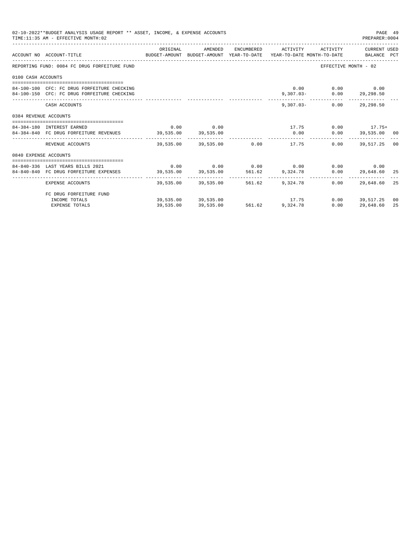|                       | 02-10-2022**BUDGET ANALYSIS USAGE REPORT ** ASSET, INCOME, & EXPENSE ACCOUNTS<br>TIME: 11:35 AM - EFFECTIVE MONTH: 02 |           |             |                                                |          | PAGE 49<br>PREPARER: 0004                        |    |
|-----------------------|-----------------------------------------------------------------------------------------------------------------------|-----------|-------------|------------------------------------------------|----------|--------------------------------------------------|----|
|                       | ACCOUNT NO ACCOUNT-TITLE CONTROL SUDGET-AMOUNT BUDGET-AMOUNT YEAR-TO-DATE YEAR-TO-DATE MONTH-TO-DATE BALANCE PCT      |           |             |                                                |          |                                                  |    |
|                       | REPORTING FUND: 0084 FC DRUG FORFEITURE FUND                                                                          |           |             |                                                |          | EFFECTIVE MONTH - 02                             |    |
| 0100 CASH ACCOUNTS    |                                                                                                                       |           |             |                                                |          |                                                  |    |
|                       | 84-100-100 CFC: FC DRUG FORFEITURE CHECKING<br>84-100-150 CFC: FC DRUG FORFEITURE CHECKING                            |           |             |                                                |          | $0.00$ $0.00$ $0.00$<br>9,307.03- 0.00 29,298.50 |    |
|                       | CASH ACCOUNTS                                                                                                         |           |             |                                                |          | 9,307.03- 0.00 29,298.50                         |    |
| 0384 REVENUE ACCOUNTS |                                                                                                                       |           |             |                                                |          |                                                  |    |
|                       | 84-384-180 INTEREST EARNED                                                                                            |           | $0.00$ 0.00 |                                                |          | $17.75$ 0.00 $17.75+$                            |    |
|                       | 84-384-840 FC DRUG FORFEITURE REVENUES 39,535.00 39,535.00                                                            |           |             | 0.00                                           |          | $0.00$ 39,535.00 00                              |    |
|                       | REVENUE ACCOUNTS                                                                                                      |           |             | ------------<br>39.535.00 39.535.00 0.00 17.75 | $0.00 -$ | 39,517,25 00                                     |    |
| 0840 EXPENSE ACCOUNTS |                                                                                                                       |           |             |                                                |          |                                                  |    |
|                       | 84-840-336 LAST YEARS BILLS 2021                                                                                      |           |             | $0.00$ $0.00$ $0.00$ $0.00$ $0.00$ $0.00$      |          | $0.00$ 0.00                                      |    |
|                       | 84-840-840 FC DRUG FORFEITURE EXPENSES 39,535.00 39,535.00 561.62 9,324.78                                            |           |             |                                                |          | $0.00$ 29,648.60 25                              |    |
|                       | EXPENSE ACCOUNTS                                                                                                      |           |             | 39,535.00 39,535.00 561.62 9,324.78            | 0.00     | 29,648.60                                        | 25 |
|                       | FC DRUG FORFEITURE FUND                                                                                               |           |             |                                                |          |                                                  |    |
|                       | INCOME TOTALS                                                                                                         |           |             | $39,535.00$ $39,535.00$ $17.75$                |          | $0.00$ 39,517.25 00                              |    |
|                       | <b>EXPENSE TOTALS</b>                                                                                                 | 39,535.00 | 39,535.00   | 561.62 9,324.78                                | 0.00     | 29,648.60                                        | 25 |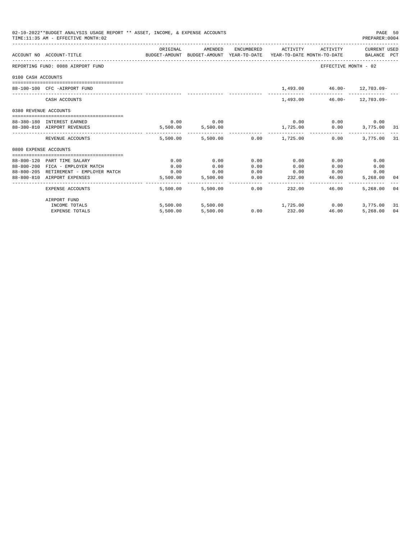| 02-10-2022**BUDGET ANALYSIS USAGE REPORT ** ASSET, INCOME, & EXPENSE ACCOUNTS<br>TIME: 11:35 AM - EFFECTIVE MONTH: 02 |                                                                                                   |                                                                                             |                        |      |                                               |                             |                     |    |
|-----------------------------------------------------------------------------------------------------------------------|---------------------------------------------------------------------------------------------------|---------------------------------------------------------------------------------------------|------------------------|------|-----------------------------------------------|-----------------------------|---------------------|----|
|                                                                                                                       | ACCOUNT NO ACCOUNT-TITLE                                                                          | ORIGINAL<br>BUDGET-AMOUNT BUDGET-AMOUNT YEAR-TO-DATE YEAR-TO-DATE MONTH-TO-DATE BALANCE PCT | AMENDED                |      | ENCUMBERED ACTIVITY ACTIVITY CURRENT USED     |                             |                     |    |
|                                                                                                                       | REPORTING FUND: 0088 AIRPORT FUND                                                                 |                                                                                             |                        |      |                                               | EFFECTIVE MONTH - 02        |                     |    |
| 0100 CASH ACCOUNTS                                                                                                    |                                                                                                   |                                                                                             |                        |      |                                               |                             |                     |    |
|                                                                                                                       | 88-100-100 CFC -AIRPORT FUND                                                                      |                                                                                             |                        |      |                                               | 1,493.00 46.00- 12,703.09-  |                     |    |
|                                                                                                                       | CASH ACCOUNTS                                                                                     |                                                                                             |                        |      |                                               | 1,493.00  46.00  12,703.09  |                     |    |
| 0380 REVENUE ACCOUNTS                                                                                                 |                                                                                                   |                                                                                             |                        |      |                                               |                             |                     |    |
|                                                                                                                       | 88-380-180 INTEREST EARNED                                                                        |                                                                                             | $0.00$ 0.00            |      |                                               | $0.00$ $0.00$ $0.00$ $0.00$ |                     |    |
|                                                                                                                       | 88-380-810 AIRPORT REVENUES                                                                       |                                                                                             | 5,500.00 5,500.00      |      | $1,725.00$ $0.00$ $3,775.00$ $31$             |                             |                     |    |
|                                                                                                                       | REVENUE ACCOUNTS                                                                                  |                                                                                             |                        |      | 5,500.00 5,500.00 0.00 1,725.00 0.00          |                             | 3,775.00 31         |    |
| 0800 EXPENSE ACCOUNTS                                                                                                 |                                                                                                   |                                                                                             |                        |      |                                               |                             |                     |    |
|                                                                                                                       |                                                                                                   |                                                                                             |                        |      |                                               |                             |                     |    |
|                                                                                                                       | 88-800-120 PART TIME SALARY                                                                       | 0.00                                                                                        | 0.00                   | 0.00 | 0.00                                          | 0.00                        | 0.00                |    |
|                                                                                                                       | 88-800-200 FICA - EMPLOYER MATCH<br>$88-800-205$ RETIREMENT - EMPLOYER MATCH $0.00$ $0.00$ $0.00$ | 0.00                                                                                        | 0.00                   | 0.00 | 0.00<br>$0.00$ 0.00                           | 0.00                        | 0.00                |    |
|                                                                                                                       | 88-800-810 AIRPORT EXPENSES                                                                       |                                                                                             |                        | 0.00 | $5,500.00$ $5,500.00$ $0.00$ $232.00$ $46.00$ |                             | 0.00<br>5,268.00 04 |    |
|                                                                                                                       |                                                                                                   |                                                                                             |                        |      |                                               |                             |                     |    |
|                                                                                                                       | EXPENSE ACCOUNTS                                                                                  |                                                                                             | 5,500.00 5,500.00 0.00 |      | 232.00                                        | 46.00                       | 5,268,00 04         |    |
|                                                                                                                       | AIRPORT FUND                                                                                      |                                                                                             |                        |      |                                               |                             |                     |    |
|                                                                                                                       | INCOME TOTALS                                                                                     |                                                                                             |                        |      | $5,500.00$ $5,500.00$ $1,725.00$ $0.00$       |                             | 3,775.00            | 31 |
|                                                                                                                       | <b>EXPENSE TOTALS</b>                                                                             |                                                                                             | 5,500.00 5,500.00      |      | $0.00$ 232.00                                 | 46.00                       | 5,268.00            | 04 |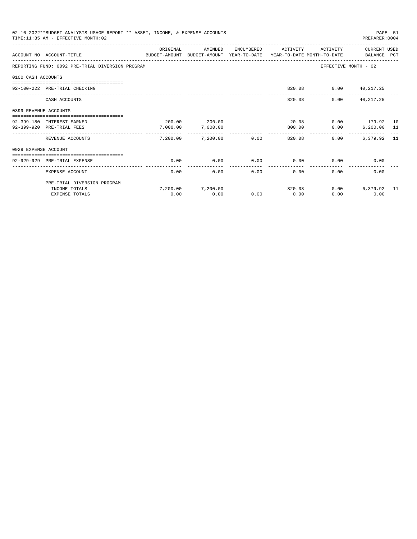| 02-10-2022**BUDGET ANALYSIS USAGE REPORT ** ASSET, INCOME, & EXPENSE ACCOUNTS<br>TIME: 11:35 AM - EFFECTIVE MONTH: 02<br>PREPARER: 0004 |                                                               |                                                                                     |                        |                      |                      |                         |                      |  |
|-----------------------------------------------------------------------------------------------------------------------------------------|---------------------------------------------------------------|-------------------------------------------------------------------------------------|------------------------|----------------------|----------------------|-------------------------|----------------------|--|
|                                                                                                                                         |                                                               | ORIGINAL                                                                            | AMENDED                | ENCUMBERED           | ACTIVITY             | ACTIVITY                | CURRENT USED         |  |
|                                                                                                                                         | ACCOUNT NO ACCOUNT-TITLE                                      | BUDGET-AMOUNT BUDGET-AMOUNT YEAR-TO-DATE YEAR-TO-DATE MONTH-TO-DATE     BALANCE PCT |                        |                      |                      |                         |                      |  |
|                                                                                                                                         | REPORTING FUND: 0092 PRE-TRIAL DIVERSION PROGRAM              |                                                                                     |                        |                      |                      |                         | EFFECTIVE MONTH - 02 |  |
| 0100 CASH ACCOUNTS                                                                                                                      |                                                               |                                                                                     |                        |                      |                      |                         |                      |  |
|                                                                                                                                         | 92-100-222 PRE-TRIAL CHECKING                                 |                                                                                     |                        |                      |                      | 820.08  0.00  40,217.25 |                      |  |
|                                                                                                                                         | CASH ACCOUNTS                                                 |                                                                                     |                        |                      | 820.08               |                         | $0.00$ $40,217.25$   |  |
| 0399 REVENUE ACCOUNTS                                                                                                                   |                                                               |                                                                                     |                        |                      |                      |                         |                      |  |
|                                                                                                                                         | 92-399-180 INTEREST EARNED                                    |                                                                                     | 200.00 200.00          |                      | 20.08                |                         | $0.00$ 179.92 10     |  |
|                                                                                                                                         | 92-399-920 PRE-TRIAL FEES                                     | 7,000.00                                                                            | 7,000.00               |                      | 800.00               |                         | $0.00$ 6,200.00 11   |  |
|                                                                                                                                         | REVENUE ACCOUNTS                                              |                                                                                     | 7,200.00 7,200.00 0.00 |                      | . <u>.</u>           | 0.00<br>820.08          | 6,379.92 11          |  |
| 0929 EXPENSE ACCOUNT                                                                                                                    |                                                               |                                                                                     |                        |                      |                      |                         |                      |  |
|                                                                                                                                         | =============================<br>92-929-929 PRE-TRIAL EXPENSE | 0.00                                                                                | 0.00                   | 0.00                 | 0.00                 |                         | 0.00<br>0.00         |  |
|                                                                                                                                         | EXPENSE ACCOUNT                                               | 0.00                                                                                | 0.00                   | ------------<br>0.00 | ------------<br>0.00 | 0.00                    | 0.00                 |  |
|                                                                                                                                         | PRE-TRIAL DIVERSION PROGRAM                                   |                                                                                     |                        |                      |                      |                         |                      |  |
|                                                                                                                                         | INCOME TOTALS                                                 |                                                                                     | 7,200.00 7,200.00      |                      | 820.08               |                         | 0.00<br>6,379.92 11  |  |
|                                                                                                                                         | <b>EXPENSE TOTALS</b>                                         | 0.00                                                                                | 0.00                   | 0.00                 | 0.00                 | 0.00                    | 0.00                 |  |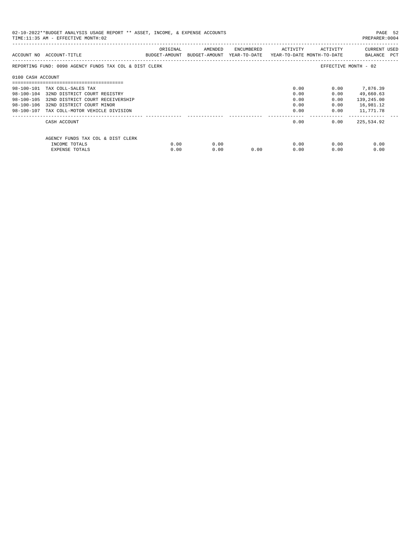| 02-10-2022**BUDGET ANALYSIS USAGE REPORT ** ASSET, INCOME, & EXPENSE ACCOUNTS<br>TIME:11:35 AM - EFFECTIVE MONTH:02<br>PREPARER: 0004 |                                                        |          |                                                                     |                             |      |              |                             |  |
|---------------------------------------------------------------------------------------------------------------------------------------|--------------------------------------------------------|----------|---------------------------------------------------------------------|-----------------------------|------|--------------|-----------------------------|--|
|                                                                                                                                       | ACCOUNT NO ACCOUNT-TITLE                               | ORIGINAL | BUDGET-AMOUNT BUDGET-AMOUNT YEAR-TO-DATE YEAR-TO-DATE MONTH-TO-DATE | AMENDED ENCUMBERED ACTIVITY |      | ACTIVITY     | CURRENT USED<br>BALANCE PCT |  |
|                                                                                                                                       | REPORTING FUND: 0098 AGENCY FUNDS TAX COL & DIST CLERK |          |                                                                     |                             |      |              | EFFECTIVE MONTH - 02        |  |
| 0100 CASH ACCOUNT                                                                                                                     |                                                        |          |                                                                     |                             |      |              |                             |  |
|                                                                                                                                       | 98-100-101 TAX COLL-SALES TAX                          |          |                                                                     |                             | 0.00 | 0.00         | 7,876.39                    |  |
|                                                                                                                                       | 98-100-104 32ND DISTRICT COURT REGISTRY                |          |                                                                     |                             | 0.00 | 0.00         | 49,660.63                   |  |
|                                                                                                                                       | 98-100-105 32ND DISTRICT COURT RECEIVERSHIP            |          |                                                                     |                             | 0.00 | 0.00         | 139,245.00                  |  |
|                                                                                                                                       | 98-100-106 32ND DISTRICT COURT MINOR                   |          |                                                                     |                             | 0.00 | 0.00         | 16,981.12                   |  |
|                                                                                                                                       | 98-100-107 TAX COLL-MOTOR VEHICLE DIVISION             |          |                                                                     |                             | 0.00 |              | $0.00$ 11,771.78            |  |
|                                                                                                                                       | CASH ACCOUNT                                           |          |                                                                     |                             |      | 0.00<br>0.00 | 225,534.92                  |  |
|                                                                                                                                       | AGENCY FUNDS TAX COL & DIST CLERK                      |          |                                                                     |                             |      |              |                             |  |
|                                                                                                                                       | INCOME TOTALS                                          | 0.00     | 0.00                                                                |                             |      | 0.00<br>0.00 | 0.00                        |  |
|                                                                                                                                       | EXPENSE TOTALS                                         | 0.00     | 0.00                                                                | 0.00                        | 0.00 | 0.00         | 0.00                        |  |